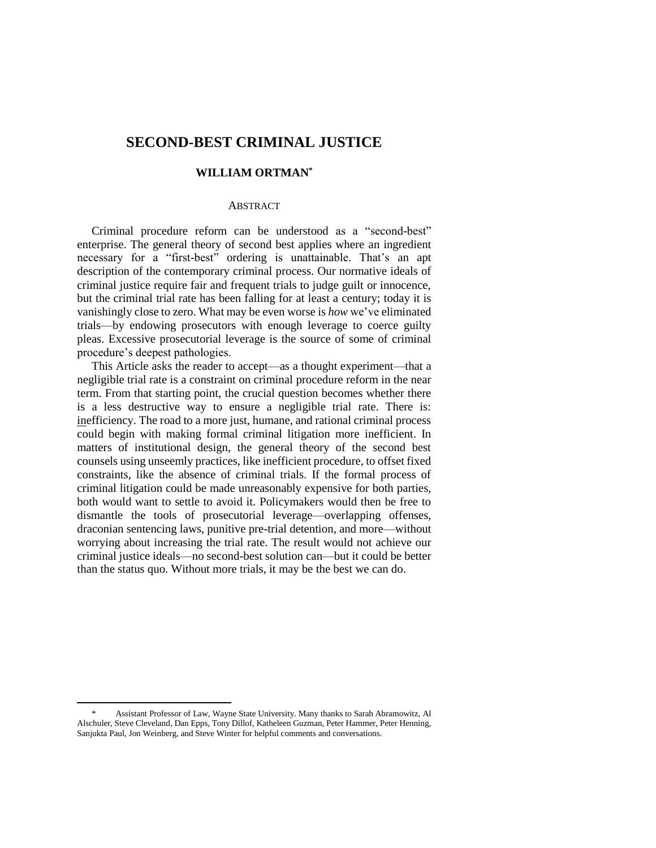# **SECOND-BEST CRIMINAL JUSTICE**

## **WILLIAM ORTMAN\***

#### **ABSTRACT**

Criminal procedure reform can be understood as a "second-best" enterprise. The general theory of second best applies where an ingredient necessary for a "first-best" ordering is unattainable. That's an apt description of the contemporary criminal process. Our normative ideals of criminal justice require fair and frequent trials to judge guilt or innocence, but the criminal trial rate has been falling for at least a century; today it is vanishingly close to zero. What may be even worse is *how* we've eliminated trials—by endowing prosecutors with enough leverage to coerce guilty pleas. Excessive prosecutorial leverage is the source of some of criminal procedure's deepest pathologies.

This Article asks the reader to accept—as a thought experiment—that a negligible trial rate is a constraint on criminal procedure reform in the near term. From that starting point, the crucial question becomes whether there is a less destructive way to ensure a negligible trial rate. There is: inefficiency. The road to a more just, humane, and rational criminal process could begin with making formal criminal litigation more inefficient. In matters of institutional design, the general theory of the second best counsels using unseemly practices, like inefficient procedure, to offset fixed constraints, like the absence of criminal trials. If the formal process of criminal litigation could be made unreasonably expensive for both parties, both would want to settle to avoid it. Policymakers would then be free to dismantle the tools of prosecutorial leverage—overlapping offenses, draconian sentencing laws, punitive pre-trial detention, and more—without worrying about increasing the trial rate. The result would not achieve our criminal justice ideals—no second-best solution can—but it could be better than the status quo. Without more trials, it may be the best we can do.

<sup>\*</sup> Assistant Professor of Law, Wayne State University. Many thanks to Sarah Abramowitz, Al Alschuler, Steve Cleveland, Dan Epps, Tony Dillof, Katheleen Guzman, Peter Hammer, Peter Henning, Sanjukta Paul, Jon Weinberg, and Steve Winter for helpful comments and conversations.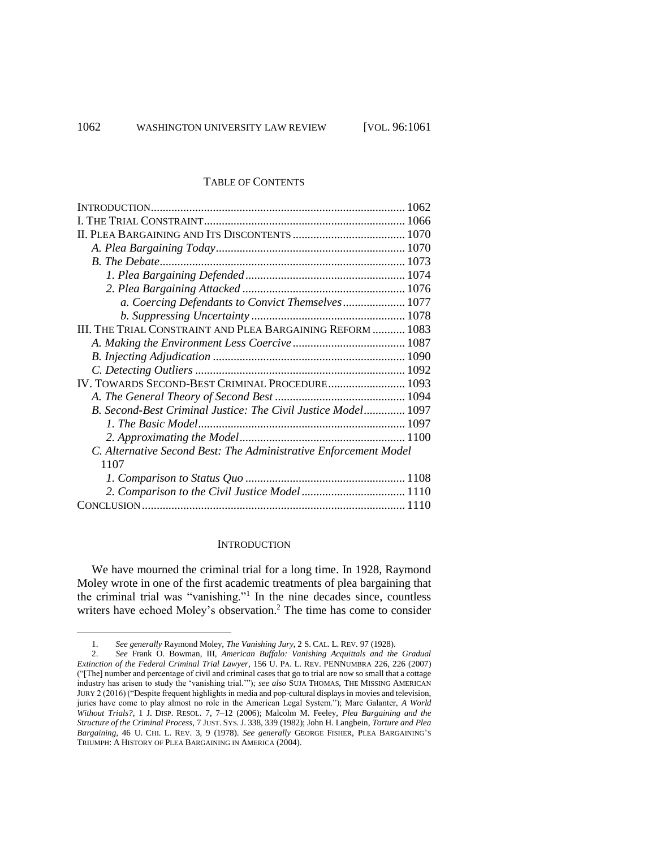## TABLE OF CONTENTS

| <b>B.</b> The Debate.                                            |  |
|------------------------------------------------------------------|--|
|                                                                  |  |
|                                                                  |  |
| a. Coercing Defendants to Convict Themselves 1077                |  |
|                                                                  |  |
| III. THE TRIAL CONSTRAINT AND PLEA BARGAINING REFORM  1083       |  |
|                                                                  |  |
|                                                                  |  |
|                                                                  |  |
| IV. TOWARDS SECOND-BEST CRIMINAL PROCEDURE 1093                  |  |
|                                                                  |  |
| B. Second-Best Criminal Justice: The Civil Justice Model 1097    |  |
|                                                                  |  |
|                                                                  |  |
| C. Alternative Second Best: The Administrative Enforcement Model |  |
| 1107                                                             |  |
|                                                                  |  |
| 2. Comparison to the Civil Justice Model 1110                    |  |
|                                                                  |  |

#### **INTRODUCTION**

We have mourned the criminal trial for a long time. In 1928, Raymond Moley wrote in one of the first academic treatments of plea bargaining that the criminal trial was "vanishing."<sup>1</sup> In the nine decades since, countless writers have echoed Moley's observation.<sup>2</sup> The time has come to consider

l

<sup>1.</sup> *See generally* Raymond Moley, *The Vanishing Jury*, 2 S. CAL. L. REV. 97 (1928).

<sup>2.</sup> *See* Frank O. Bowman, III, *American Buffalo: Vanishing Acquittals and the Gradual Extinction of the Federal Criminal Trial Lawyer*, 156 U. PA. L. REV. PENNUMBRA 226, 226 (2007) ("[The] number and percentage of civil and criminal cases that go to trial are now so small that a cottage industry has arisen to study the 'vanishing trial.'"); *see also* SUJA THOMAS, THE MISSING AMERICAN JURY 2 (2016) ("Despite frequent highlights in media and pop-cultural displays in movies and television, juries have come to play almost no role in the American Legal System."); Marc Galanter, *A World Without Trials?*, 1 J. DISP. RESOL. 7, 7–12 (2006); Malcolm M. Feeley, *Plea Bargaining and the Structure of the Criminal Process*, 7 JUST. SYS. J. 338, 339 (1982); John H. Langbein, *Torture and Plea Bargaining*, 46 U. CHI. L. REV. 3, 9 (1978). *See generally* GEORGE FISHER, PLEA BARGAINING'S TRIUMPH: A HISTORY OF PLEA BARGAINING IN AMERICA (2004).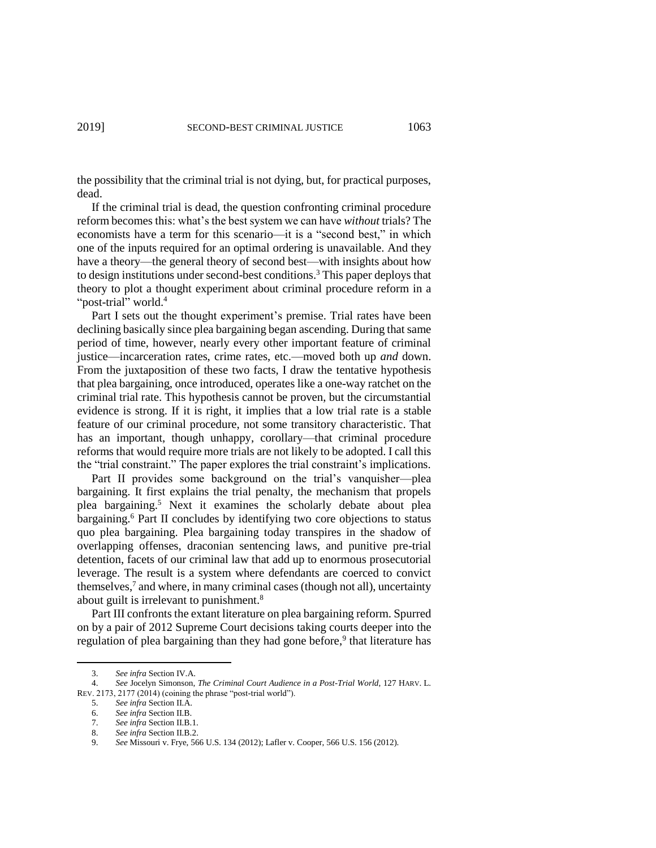the possibility that the criminal trial is not dying, but, for practical purposes, dead.

If the criminal trial is dead, the question confronting criminal procedure reform becomes this: what's the best system we can have *without* trials? The economists have a term for this scenario—it is a "second best," in which one of the inputs required for an optimal ordering is unavailable. And they have a theory—the general theory of second best—with insights about how to design institutions under second-best conditions.<sup>3</sup> This paper deploys that theory to plot a thought experiment about criminal procedure reform in a "post-trial" world.<sup>4</sup>

Part I sets out the thought experiment's premise. Trial rates have been declining basically since plea bargaining began ascending. During that same period of time, however, nearly every other important feature of criminal justice—incarceration rates, crime rates, etc.—moved both up *and* down. From the juxtaposition of these two facts, I draw the tentative hypothesis that plea bargaining, once introduced, operates like a one-way ratchet on the criminal trial rate. This hypothesis cannot be proven, but the circumstantial evidence is strong. If it is right, it implies that a low trial rate is a stable feature of our criminal procedure, not some transitory characteristic. That has an important, though unhappy, corollary—that criminal procedure reforms that would require more trials are not likely to be adopted. I call this the "trial constraint." The paper explores the trial constraint's implications.

Part II provides some background on the trial's vanquisher—plea bargaining. It first explains the trial penalty, the mechanism that propels plea bargaining.<sup>5</sup> Next it examines the scholarly debate about plea bargaining.<sup>6</sup> Part II concludes by identifying two core objections to status quo plea bargaining. Plea bargaining today transpires in the shadow of overlapping offenses, draconian sentencing laws, and punitive pre-trial detention, facets of our criminal law that add up to enormous prosecutorial leverage. The result is a system where defendants are coerced to convict themselves, 7 and where, in many criminal cases (though not all), uncertainty about guilt is irrelevant to punishment.<sup>8</sup>

Part III confronts the extant literature on plea bargaining reform. Spurred on by a pair of 2012 Supreme Court decisions taking courts deeper into the regulation of plea bargaining than they had gone before,<sup>9</sup> that literature has

<sup>3.</sup> *See infra* Section IV.A.

<sup>4.</sup> *See* Jocelyn Simonson, *The Criminal Court Audience in a Post-Trial World*, 127 HARV. L. REV. 2173, 2177 (2014) (coining the phrase "post-trial world").

<sup>5.</sup> *See infra* Section II.A.

<sup>6.</sup> *See infra* Section II.B.

<sup>7.</sup> *See infra* Section II.B.1.

<sup>8.</sup> *See infra* Section II.B.2.

<sup>9.</sup> *See* Missouri v. Frye, 566 U.S. 134 (2012); Lafler v. Cooper, 566 U.S. 156 (2012).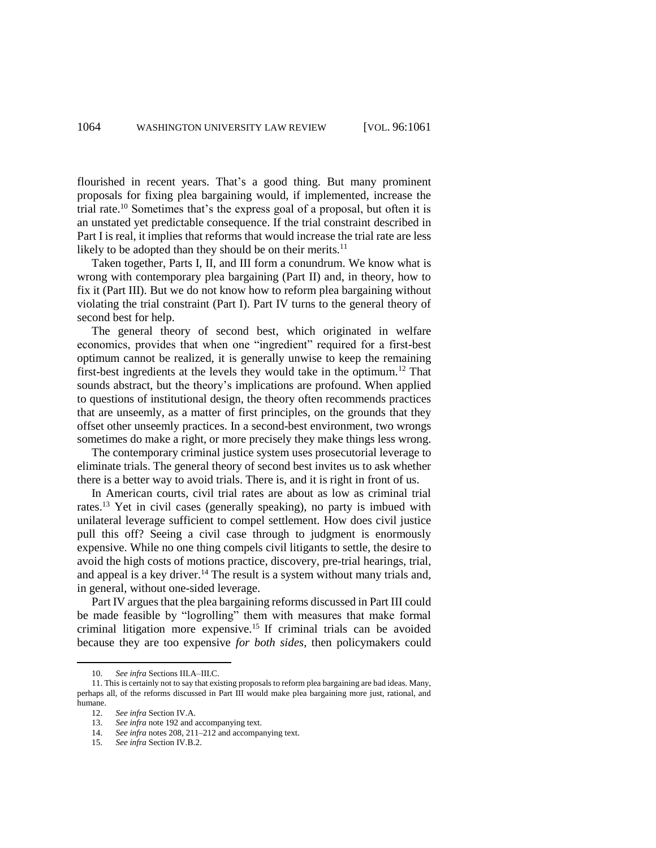flourished in recent years. That's a good thing. But many prominent proposals for fixing plea bargaining would, if implemented, increase the trial rate.<sup>10</sup> Sometimes that's the express goal of a proposal, but often it is an unstated yet predictable consequence. If the trial constraint described in Part I is real, it implies that reforms that would increase the trial rate are less likely to be adopted than they should be on their merits.<sup>11</sup>

Taken together, Parts I, II, and III form a conundrum. We know what is wrong with contemporary plea bargaining (Part II) and, in theory, how to fix it (Part III). But we do not know how to reform plea bargaining without violating the trial constraint (Part I). Part IV turns to the general theory of second best for help.

The general theory of second best, which originated in welfare economics, provides that when one "ingredient" required for a first-best optimum cannot be realized, it is generally unwise to keep the remaining first-best ingredients at the levels they would take in the optimum.<sup>12</sup> That sounds abstract, but the theory's implications are profound. When applied to questions of institutional design, the theory often recommends practices that are unseemly, as a matter of first principles, on the grounds that they offset other unseemly practices. In a second-best environment, two wrongs sometimes do make a right, or more precisely they make things less wrong.

The contemporary criminal justice system uses prosecutorial leverage to eliminate trials. The general theory of second best invites us to ask whether there is a better way to avoid trials. There is, and it is right in front of us.

In American courts, civil trial rates are about as low as criminal trial rates.<sup>13</sup> Yet in civil cases (generally speaking), no party is imbued with unilateral leverage sufficient to compel settlement. How does civil justice pull this off? Seeing a civil case through to judgment is enormously expensive. While no one thing compels civil litigants to settle, the desire to avoid the high costs of motions practice, discovery, pre-trial hearings, trial, and appeal is a key driver.<sup>14</sup> The result is a system without many trials and, in general, without one-sided leverage.

Part IV argues that the plea bargaining reforms discussed in Part III could be made feasible by "logrolling" them with measures that make formal criminal litigation more expensive.<sup>15</sup> If criminal trials can be avoided because they are too expensive *for both sides*, then policymakers could

<sup>10.</sup> *See infra* Sections III.A–III.C.

<sup>11.</sup> This is certainly not to say that existing proposals to reform plea bargaining are bad ideas. Many, perhaps all, of the reforms discussed in Part III would make plea bargaining more just, rational, and humane.<br> $12.$ 

<sup>12.</sup> *See infra* Section IV.A.

<sup>13.</sup> *See infra* note 192 and accompanying text.

<sup>14.</sup> *See infra* notes 208, 211–212 and accompanying text.

<sup>15.</sup> *See infra* Section IV.B.2.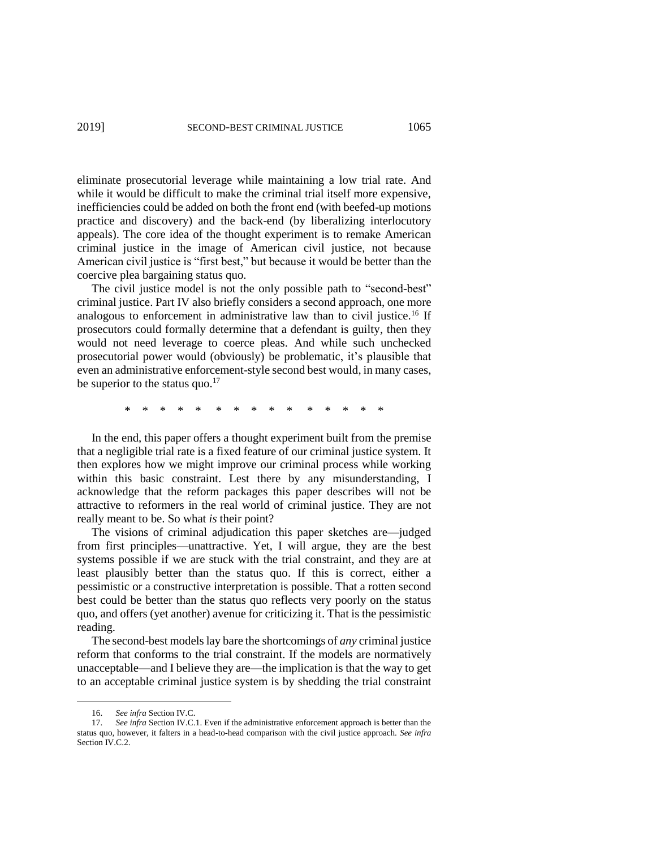eliminate prosecutorial leverage while maintaining a low trial rate. And while it would be difficult to make the criminal trial itself more expensive, inefficiencies could be added on both the front end (with beefed-up motions practice and discovery) and the back-end (by liberalizing interlocutory appeals). The core idea of the thought experiment is to remake American criminal justice in the image of American civil justice, not because American civil justice is "first best," but because it would be better than the coercive plea bargaining status quo.

The civil justice model is not the only possible path to "second-best" criminal justice. Part IV also briefly considers a second approach, one more analogous to enforcement in administrative law than to civil justice.<sup>16</sup> If prosecutors could formally determine that a defendant is guilty, then they would not need leverage to coerce pleas. And while such unchecked prosecutorial power would (obviously) be problematic, it's plausible that even an administrative enforcement-style second best would, in many cases, be superior to the status quo. $^{17}$ 

\* \* \* \* \* \* \* \* \* \* \* \* \* \* \*

In the end, this paper offers a thought experiment built from the premise that a negligible trial rate is a fixed feature of our criminal justice system. It then explores how we might improve our criminal process while working within this basic constraint. Lest there by any misunderstanding, I acknowledge that the reform packages this paper describes will not be attractive to reformers in the real world of criminal justice. They are not really meant to be. So what *is* their point?

The visions of criminal adjudication this paper sketches are—judged from first principles—unattractive. Yet, I will argue, they are the best systems possible if we are stuck with the trial constraint, and they are at least plausibly better than the status quo. If this is correct, either a pessimistic or a constructive interpretation is possible. That a rotten second best could be better than the status quo reflects very poorly on the status quo, and offers (yet another) avenue for criticizing it. That is the pessimistic reading.

The second-best models lay bare the shortcomings of *any* criminal justice reform that conforms to the trial constraint. If the models are normatively unacceptable—and I believe they are—the implication is that the way to get to an acceptable criminal justice system is by shedding the trial constraint

 $\overline{a}$ 

<sup>16.</sup> *See infra* Section IV.C.

<sup>17.</sup> *See infra* Section IV.C.1. Even if the administrative enforcement approach is better than the status quo, however, it falters in a head-to-head comparison with the civil justice approach. *See infra* Section IV.C.2.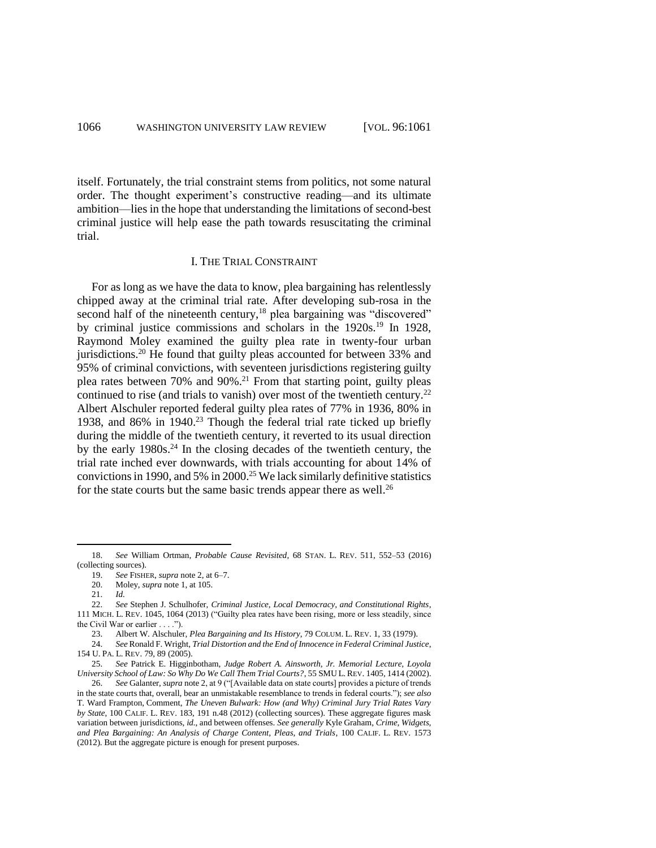itself. Fortunately, the trial constraint stems from politics, not some natural order. The thought experiment's constructive reading—and its ultimate ambition—lies in the hope that understanding the limitations of second-best criminal justice will help ease the path towards resuscitating the criminal trial.

#### I. THE TRIAL CONSTRAINT

For as long as we have the data to know, plea bargaining has relentlessly chipped away at the criminal trial rate. After developing sub-rosa in the second half of the nineteenth century,<sup>18</sup> plea bargaining was "discovered" by criminal justice commissions and scholars in the 1920s.<sup>19</sup> In 1928, Raymond Moley examined the guilty plea rate in twenty-four urban jurisdictions.<sup>20</sup> He found that guilty pleas accounted for between 33% and 95% of criminal convictions, with seventeen jurisdictions registering guilty plea rates between 70% and 90%. <sup>21</sup> From that starting point, guilty pleas continued to rise (and trials to vanish) over most of the twentieth century.<sup>22</sup> Albert Alschuler reported federal guilty plea rates of 77% in 1936, 80% in 1938, and 86% in 1940.<sup>23</sup> Though the federal trial rate ticked up briefly during the middle of the twentieth century, it reverted to its usual direction by the early  $1980s<sup>24</sup>$  In the closing decades of the twentieth century, the trial rate inched ever downwards, with trials accounting for about 14% of convictions in 1990, and 5% in 2000.<sup>25</sup> We lack similarly definitive statistics for the state courts but the same basic trends appear there as well.<sup>26</sup>

<sup>18.</sup> *See* William Ortman, *Probable Cause Revisited*, 68 STAN. L. REV. 511, 552–53 (2016) (collecting sources).

<sup>19.</sup> *See* FISHER, *supra* note 2, at 6–7.

<sup>20.</sup> Moley, *supra* note 1, at 105.

<sup>21.</sup> *Id.*

<sup>22.</sup> *See* Stephen J. Schulhofer, *Criminal Justice, Local Democracy, and Constitutional Rights*, 111 MICH. L. REV. 1045, 1064 (2013) ("Guilty plea rates have been rising, more or less steadily, since the Civil War or earlier . . . .").

<sup>23.</sup> Albert W. Alschuler, *Plea Bargaining and Its History*, 79 COLUM. L. REV. 1, 33 (1979).

<sup>24.</sup> *See* Ronald F. Wright, *Trial Distortion and the End of Innocence in Federal Criminal Justice*, 154 U. PA. L. REV. 79, 89 (2005).

<sup>25.</sup> *See* Patrick E. Higginbotham, *Judge Robert A. Ainsworth, Jr. Memorial Lecture, Loyola University School of Law: So Why Do We Call Them Trial Courts?*, 55 SMU L. REV. 1405, 1414 (2002). 26. *See* Galanter, *supra* note 2, at 9 ("[Available data on state courts] provides a picture of trends

in the state courts that, overall, bear an unmistakable resemblance to trends in federal courts."); *see also* T. Ward Frampton, Comment, *The Uneven Bulwark: How (and Why) Criminal Jury Trial Rates Vary by State*, 100 CALIF. L. REV. 183, 191 n.48 (2012) (collecting sources). These aggregate figures mask variation between jurisdictions, *id.*, and between offenses. *See generally* Kyle Graham, *Crime, Widgets, and Plea Bargaining: An Analysis of Charge Content, Pleas, and Trials*, 100 CALIF. L. REV. 1573 (2012). But the aggregate picture is enough for present purposes.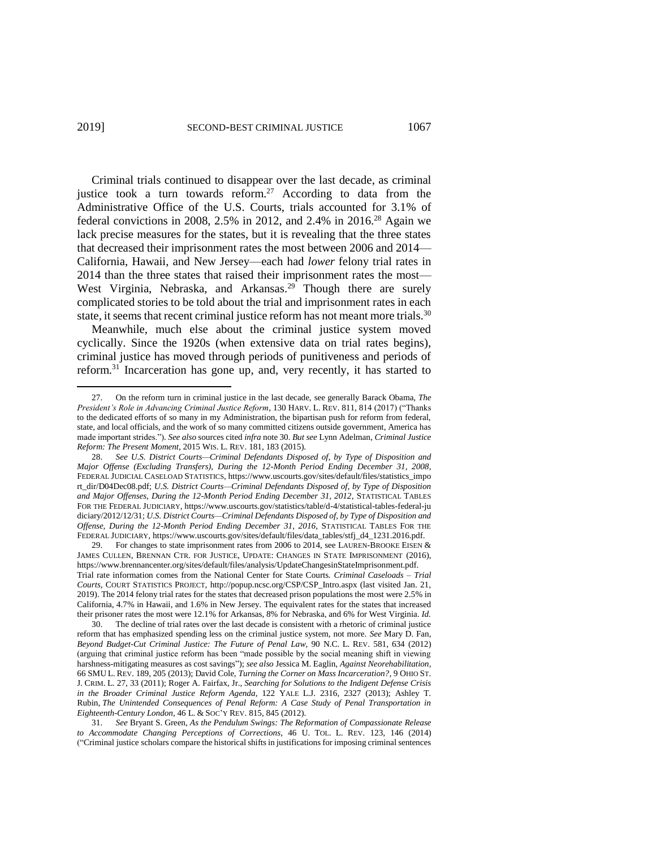Criminal trials continued to disappear over the last decade, as criminal justice took a turn towards reform.<sup>27</sup> According to data from the Administrative Office of the U.S. Courts, trials accounted for 3.1% of federal convictions in 2008, 2.5% in 2012, and 2.4% in 2016.<sup>28</sup> Again we lack precise measures for the states, but it is revealing that the three states that decreased their imprisonment rates the most between 2006 and 2014— California, Hawaii, and New Jersey—each had *lower* felony trial rates in 2014 than the three states that raised their imprisonment rates the most— West Virginia, Nebraska, and Arkansas.<sup>29</sup> Though there are surely complicated stories to be told about the trial and imprisonment rates in each state, it seems that recent criminal justice reform has not meant more trials.<sup>30</sup>

Meanwhile, much else about the criminal justice system moved cyclically. Since the 1920s (when extensive data on trial rates begins), criminal justice has moved through periods of punitiveness and periods of reform.<sup>31</sup> Incarceration has gone up, and, very recently, it has started to

29. For changes to state imprisonment rates from 2006 to 2014, see LAUREN-BROOKE EISEN & JAMES CULLEN, BRENNAN CTR. FOR JUSTICE, UPDATE: CHANGES IN STATE IMPRISONMENT (2016), https://www.brennancenter.org/sites/default/files/analysis/UpdateChangesinStateImprisonment.pdf. Trial rate information comes from the National Center for State Courts. *Criminal Caseloads – Trial Courts*, COURT STATISTICS PROJECT, http://popup.ncsc.org/CSP/CSP\_Intro.aspx (last visited Jan. 21, 2019). The 2014 felony trial rates for the states that decreased prison populations the most were 2.5% in California, 4.7% in Hawaii, and 1.6% in New Jersey. The equivalent rates for the states that increased their prisoner rates the most were 12.1% for Arkansas, 8% for Nebraska, and 6% for West Virginia. *Id.*

30. The decline of trial rates over the last decade is consistent with a rhetoric of criminal justice reform that has emphasized spending less on the criminal justice system, not more. *See* Mary D. Fan, *Beyond Budget-Cut Criminal Justice: The Future of Penal Law*, 90 N.C. L. REV. 581, 634 (2012) (arguing that criminal justice reform has been "made possible by the social meaning shift in viewing harshness-mitigating measures as cost savings"); *see also* Jessica M. Eaglin, *Against Neorehabilitation*, 66 SMU L. REV. 189, 205 (2013); David Cole, *Turning the Corner on Mass Incarceration?*, 9 OHIO ST. J. CRIM. L. 27, 33 (2011); Roger A. Fairfax, Jr., *Searching for Solutions to the Indigent Defense Crisis in the Broader Criminal Justice Reform Agenda*, 122 YALE L.J. 2316, 2327 (2013); Ashley T. Rubin, *The Unintended Consequences of Penal Reform: A Case Study of Penal Transportation in Eighteenth-Century London*, 46 L. & SOC'Y REV. 815, 845 (2012).

31. *See* Bryant S. Green, *As the Pendulum Swings: The Reformation of Compassionate Release to Accommodate Changing Perceptions of Corrections*, 46 U. TOL. L. REV. 123, 146 (2014) ("Criminal justice scholars compare the historical shifts in justifications for imposing criminal sentences

<sup>27.</sup> On the reform turn in criminal justice in the last decade, see generally Barack Obama, *The President's Role in Advancing Criminal Justice Reform*, 130 HARV. L. REV. 811, 814 (2017) ("Thanks to the dedicated efforts of so many in my Administration, the bipartisan push for reform from federal, state, and local officials, and the work of so many committed citizens outside government, America has made important strides.")*. See also* sources cited *infra* note 30. *But see* Lynn Adelman, *Criminal Justice Reform: The Present Moment*, 2015 WIS. L. REV. 181, 183 (2015).

<sup>28.</sup> *See U.S. District Courts—Criminal Defendants Disposed of, by Type of Disposition and Major Offense (Excluding Transfers), During the 12-Month Period Ending December 31, 2008*, FEDERAL JUDICIAL CASELOAD STATISTICS, https://www.uscourts.gov/sites/default/files/statistics\_impo rt\_dir/D04Dec08.pdf; *U.S. District Courts—Criminal Defendants Disposed of, by Type of Disposition and Major Offenses, During the 12-Month Period Ending December 31, 2012*, STATISTICAL TABLES FOR THE FEDERAL JUDICIARY, https://www.uscourts.gov/statistics/table/d-4/statistical-tables-federal-ju diciary/2012/12/31; *U.S. District Courts—Criminal Defendants Disposed of, by Type of Disposition and Offense, During the 12-Month Period Ending December 31, 2016*, STATISTICAL TABLES FOR THE FEDERAL JUDICIARY, https://www.uscourts.gov/sites/default/files/data\_tables/stfj\_d4\_1231.2016.pdf.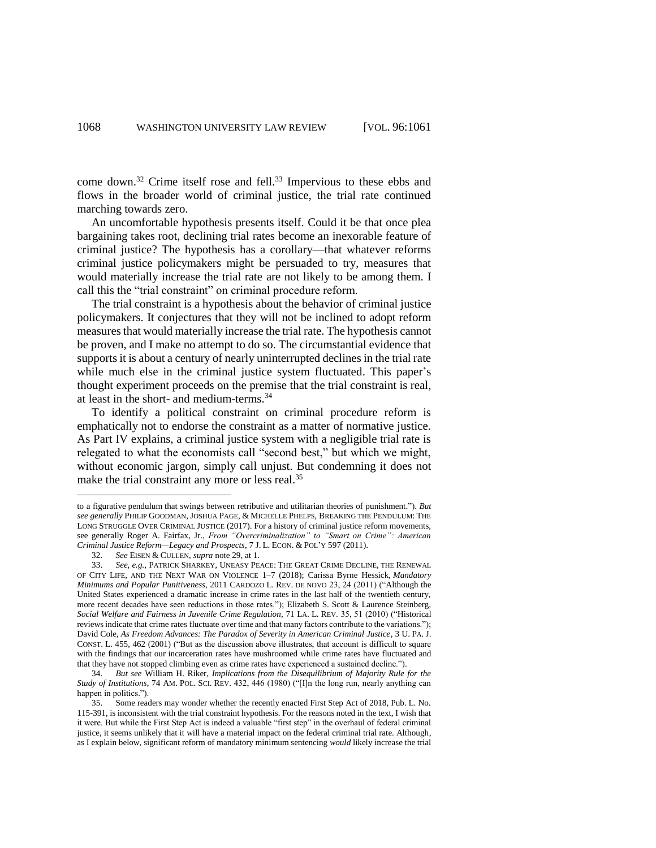come down.<sup>32</sup> Crime itself rose and fell.<sup>33</sup> Impervious to these ebbs and flows in the broader world of criminal justice, the trial rate continued marching towards zero.

An uncomfortable hypothesis presents itself. Could it be that once plea bargaining takes root, declining trial rates become an inexorable feature of criminal justice? The hypothesis has a corollary—that whatever reforms criminal justice policymakers might be persuaded to try, measures that would materially increase the trial rate are not likely to be among them. I call this the "trial constraint" on criminal procedure reform.

The trial constraint is a hypothesis about the behavior of criminal justice policymakers. It conjectures that they will not be inclined to adopt reform measures that would materially increase the trial rate. The hypothesis cannot be proven, and I make no attempt to do so. The circumstantial evidence that supports it is about a century of nearly uninterrupted declines in the trial rate while much else in the criminal justice system fluctuated. This paper's thought experiment proceeds on the premise that the trial constraint is real, at least in the short- and medium-terms. 34

To identify a political constraint on criminal procedure reform is emphatically not to endorse the constraint as a matter of normative justice. As Part IV explains, a criminal justice system with a negligible trial rate is relegated to what the economists call "second best," but which we might, without economic jargon, simply call unjust. But condemning it does not make the trial constraint any more or less real.<sup>35</sup>

to a figurative pendulum that swings between retributive and utilitarian theories of punishment."). *But see generally* PHILIP GOODMAN, JOSHUA PAGE, & MICHELLE PHELPS, BREAKING THE PENDULUM: THE LONG STRUGGLE OVER CRIMINAL JUSTICE (2017). For a history of criminal justice reform movements, see generally Roger A. Fairfax, Jr., *From "Overcriminalization" to "Smart on Crime": American Criminal Justice Reform—Legacy and Prospects*, 7 J. L. ECON. & POL'Y 597 (2011).

<sup>32.</sup> *See* EISEN & CULLEN, *supra* note 29, at 1.

<sup>33.</sup> *See, e.g.*, PATRICK SHARKEY, UNEASY PEACE: THE GREAT CRIME DECLINE, THE RENEWAL OF CITY LIFE, AND THE NEXT WAR ON VIOLENCE 1–7 (2018); Carissa Byrne Hessick, *Mandatory Minimums and Popular Punitiveness*, 2011 CARDOZO L. REV. DE NOVO 23, 24 (2011) ("Although the United States experienced a dramatic increase in crime rates in the last half of the twentieth century, more recent decades have seen reductions in those rates."); Elizabeth S. Scott & Laurence Steinberg, *Social Welfare and Fairness in Juvenile Crime Regulation*, 71 LA. L. REV. 35, 51 (2010) ("Historical reviews indicate that crime rates fluctuate over time and that many factors contribute to the variations."); David Cole, *As Freedom Advances: The Paradox of Severity in American Criminal Justice*, 3 U. PA. J. CONST. L. 455, 462 (2001) ("But as the discussion above illustrates, that account is difficult to square with the findings that our incarceration rates have mushroomed while crime rates have fluctuated and that they have not stopped climbing even as crime rates have experienced a sustained decline.").

<sup>34.</sup> *But see* William H. Riker, *Implications from the Disequilibrium of Majority Rule for the Study of Institutions*, 74 AM. POL. SCI. REV. 432, 446 (1980) ("[I]n the long run, nearly anything can happen in politics.").

<sup>35.</sup> Some readers may wonder whether the recently enacted First Step Act of 2018, Pub. L. No. 115-391, is inconsistent with the trial constraint hypothesis. For the reasons noted in the text, I wish that it were. But while the First Step Act is indeed a valuable "first step" in the overhaul of federal criminal justice, it seems unlikely that it will have a material impact on the federal criminal trial rate. Although, as I explain below, significant reform of mandatory minimum sentencing *would* likely increase the trial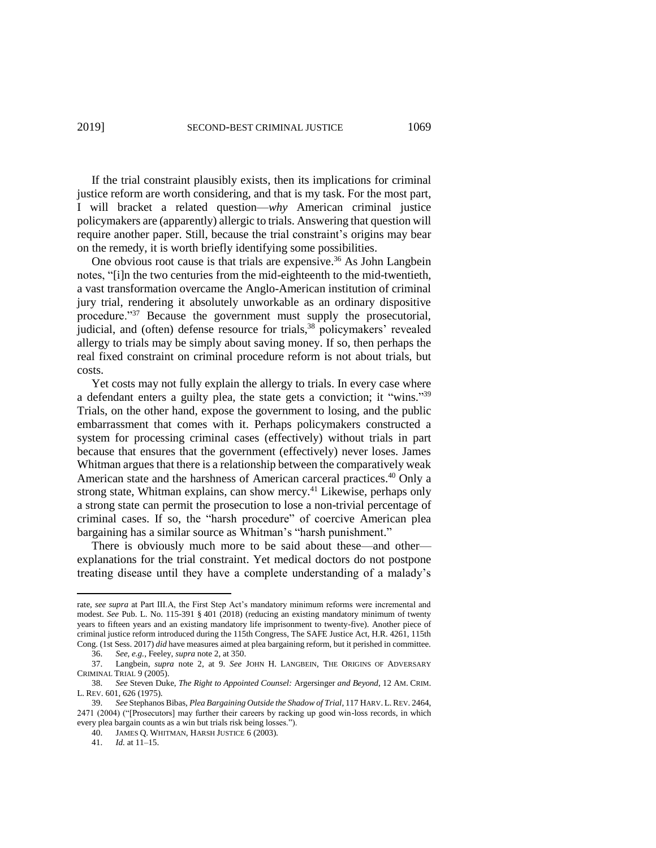If the trial constraint plausibly exists, then its implications for criminal justice reform are worth considering, and that is my task. For the most part, I will bracket a related question—*why* American criminal justice policymakers are (apparently) allergic to trials. Answering that question will require another paper. Still, because the trial constraint's origins may bear on the remedy, it is worth briefly identifying some possibilities.

One obvious root cause is that trials are expensive.<sup>36</sup> As John Langbein notes, "[i]n the two centuries from the mid-eighteenth to the mid-twentieth, a vast transformation overcame the Anglo-American institution of criminal jury trial, rendering it absolutely unworkable as an ordinary dispositive procedure."<sup>37</sup> Because the government must supply the prosecutorial, judicial, and (often) defense resource for trials,<sup>38</sup> policymakers' revealed allergy to trials may be simply about saving money. If so, then perhaps the real fixed constraint on criminal procedure reform is not about trials, but costs.

Yet costs may not fully explain the allergy to trials. In every case where a defendant enters a guilty plea, the state gets a conviction; it "wins."<sup>39</sup> Trials, on the other hand, expose the government to losing, and the public embarrassment that comes with it. Perhaps policymakers constructed a system for processing criminal cases (effectively) without trials in part because that ensures that the government (effectively) never loses. James Whitman argues that there is a relationship between the comparatively weak American state and the harshness of American carceral practices.<sup>40</sup> Only a strong state, Whitman explains, can show mercy.<sup>41</sup> Likewise, perhaps only a strong state can permit the prosecution to lose a non-trivial percentage of criminal cases. If so, the "harsh procedure" of coercive American plea bargaining has a similar source as Whitman's "harsh punishment."

There is obviously much more to be said about these—and other explanations for the trial constraint. Yet medical doctors do not postpone treating disease until they have a complete understanding of a malady's

40. JAMES Q. WHITMAN, HARSH JUSTICE 6 (2003).

 $\overline{a}$ 

rate, *see supra* at Part III.A, the First Step Act's mandatory minimum reforms were incremental and modest. *See* Pub. L. No. 115-391 § 401 (2018) (reducing an existing mandatory minimum of twenty years to fifteen years and an existing mandatory life imprisonment to twenty-five). Another piece of criminal justice reform introduced during the 115th Congress, The SAFE Justice Act, H.R. 4261, 115th Cong. (1st Sess. 2017) *did* have measures aimed at plea bargaining reform, but it perished in committee.

<sup>36.</sup> *See, e.g.*, Feeley, *supra* note 2, at 350.

<sup>37.</sup> Langbein, *supra* note 2, at 9. *See* JOHN H. LANGBEIN, THE ORIGINS OF ADVERSARY CRIMINAL TRIAL 9 (2005).

<sup>38.</sup> *See* Steven Duke, *The Right to Appointed Counsel:* Argersinger *and Beyond*, 12 AM. CRIM. L. REV. 601, 626 (1975).

<sup>39.</sup> *See* Stephanos Bibas, *Plea Bargaining Outside the Shadow of Trial*, 117 HARV. L. REV. 2464, 2471 (2004) ("[Prosecutors] may further their careers by racking up good win-loss records, in which every plea bargain counts as a win but trials risk being losses.").

<sup>41.</sup> *Id.* at 11–15.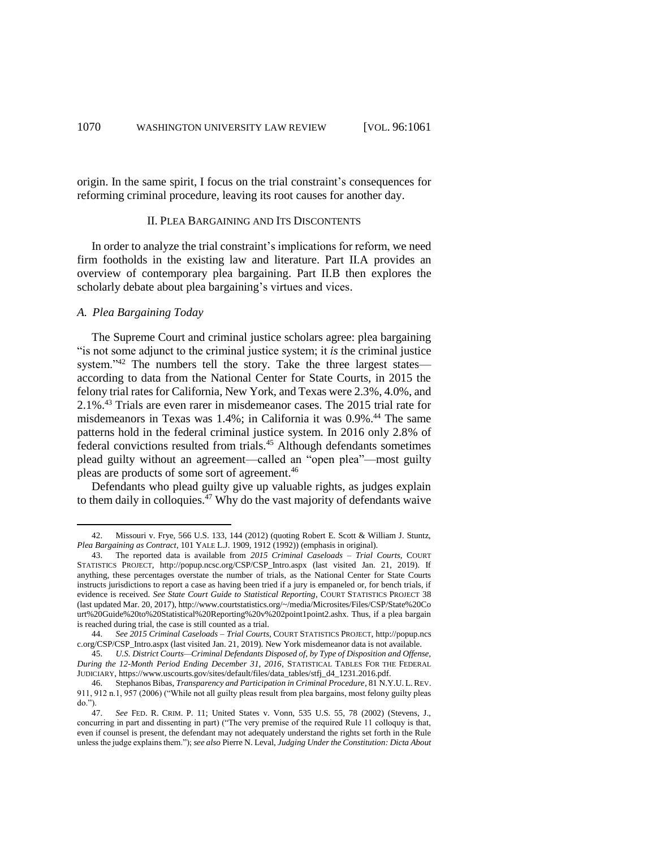origin. In the same spirit, I focus on the trial constraint's consequences for reforming criminal procedure, leaving its root causes for another day.

#### II. PLEA BARGAINING AND ITS DISCONTENTS

In order to analyze the trial constraint's implications for reform, we need firm footholds in the existing law and literature. Part II.A provides an overview of contemporary plea bargaining. Part II.B then explores the scholarly debate about plea bargaining's virtues and vices.

## *A. Plea Bargaining Today*

 $\overline{\phantom{a}}$ 

The Supreme Court and criminal justice scholars agree: plea bargaining "is not some adjunct to the criminal justice system; it *is* the criminal justice system."<sup>42</sup> The numbers tell the story. Take the three largest states according to data from the National Center for State Courts, in 2015 the felony trial rates for California, New York, and Texas were 2.3%, 4.0%, and 2.1%. <sup>43</sup> Trials are even rarer in misdemeanor cases. The 2015 trial rate for misdemeanors in Texas was 1.4%; in California it was 0.9%. <sup>44</sup> The same patterns hold in the federal criminal justice system. In 2016 only 2.8% of federal convictions resulted from trials.<sup>45</sup> Although defendants sometimes plead guilty without an agreement—called an "open plea"—most guilty pleas are products of some sort of agreement.<sup>46</sup>

Defendants who plead guilty give up valuable rights, as judges explain to them daily in colloquies. $47$  Why do the vast majority of defendants waive

<sup>42.</sup> Missouri v. Frye, 566 U.S. 133, 144 (2012) (quoting Robert E. Scott & William J. Stuntz, *Plea Bargaining as Contract*, 101 YALE L.J. 1909, 1912 (1992)) (emphasis in original).

<sup>43.</sup> The reported data is available from *2015 Criminal Caseloads – Trial Courts*, COURT STATISTICS PROJECT, http://popup.ncsc.org/CSP/CSP\_Intro.aspx (last visited Jan. 21, 2019). If anything, these percentages overstate the number of trials, as the National Center for State Courts instructs jurisdictions to report a case as having been tried if a jury is empaneled or, for bench trials, if evidence is received. *See State Court Guide to Statistical Reporting*, COURT STATISTICS PROJECT 38 (last updated Mar. 20, 2017), http://www.courtstatistics.org/~/media/Microsites/Files/CSP/State%20Co urt%20Guide%20to%20Statistical%20Reporting%20v%202point1point2.ashx. Thus, if a plea bargain is reached during trial, the case is still counted as a trial.

<sup>44.</sup> *See 2015 Criminal Caseloads – Trial Courts*, COURT STATISTICS PROJECT, http://popup.ncs c.org/CSP/CSP\_Intro.aspx (last visited Jan. 21, 2019). New York misdemeanor data is not available.

<sup>45.</sup> *U.S. District Courts—Criminal Defendants Disposed of, by Type of Disposition and Offense, During the 12-Month Period Ending December 31, 2016*, STATISTICAL TABLES FOR THE FEDERAL JUDICIARY, https://www.uscourts.gov/sites/default/files/data\_tables/stfj\_d4\_1231.2016.pdf.

<sup>46.</sup> Stephanos Bibas, *Transparency and Participation in Criminal Procedure*, 81 N.Y.U. L. REV. 911, 912 n.1, 957 (2006) ("While not all guilty pleas result from plea bargains, most felony guilty pleas do.").<br> $47.$ 

<sup>47.</sup> *See* FED. R. CRIM. P. 11; United States v. Vonn, 535 U.S. 55, 78 (2002) (Stevens, J., concurring in part and dissenting in part) ("The very premise of the required Rule 11 colloquy is that, even if counsel is present, the defendant may not adequately understand the rights set forth in the Rule unless the judge explains them."); *see also* Pierre N. Leval, *Judging Under the Constitution: Dicta About*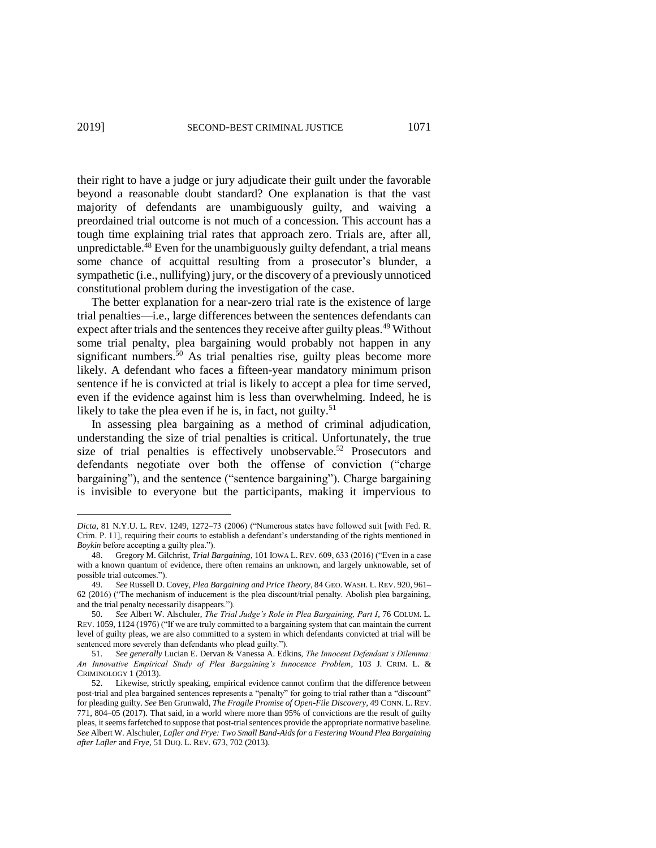their right to have a judge or jury adjudicate their guilt under the favorable beyond a reasonable doubt standard? One explanation is that the vast majority of defendants are unambiguously guilty, and waiving a preordained trial outcome is not much of a concession. This account has a tough time explaining trial rates that approach zero. Trials are, after all, unpredictable.<sup>48</sup> Even for the unambiguously guilty defendant, a trial means some chance of acquittal resulting from a prosecutor's blunder, a sympathetic (i.e., nullifying) jury, or the discovery of a previously unnoticed constitutional problem during the investigation of the case.

The better explanation for a near-zero trial rate is the existence of large trial penalties—i.e., large differences between the sentences defendants can expect after trials and the sentences they receive after guilty pleas.<sup>49</sup> Without some trial penalty, plea bargaining would probably not happen in any significant numbers. $50$  As trial penalties rise, guilty pleas become more likely. A defendant who faces a fifteen-year mandatory minimum prison sentence if he is convicted at trial is likely to accept a plea for time served, even if the evidence against him is less than overwhelming. Indeed, he is likely to take the plea even if he is, in fact, not guilty.<sup>51</sup>

In assessing plea bargaining as a method of criminal adjudication, understanding the size of trial penalties is critical. Unfortunately, the true size of trial penalties is effectively unobservable.<sup>52</sup> Prosecutors and defendants negotiate over both the offense of conviction ("charge bargaining"), and the sentence ("sentence bargaining"). Charge bargaining is invisible to everyone but the participants, making it impervious to

*Dicta*, 81 N.Y.U. L. REV. 1249, 1272–73 (2006) ("Numerous states have followed suit [with Fed. R. Crim. P. 11], requiring their courts to establish a defendant's understanding of the rights mentioned in *Boykin* before accepting a guilty plea.").

<sup>48.</sup> Gregory M. Gilchrist, *Trial Bargaining*, 101 IOWA L. REV. 609, 633 (2016) ("Even in a case with a known quantum of evidence, there often remains an unknown, and largely unknowable, set of possible trial outcomes.").

<sup>49.</sup> *See* Russell D. Covey, *Plea Bargaining and Price Theory*, 84 GEO. WASH. L. REV. 920, 961– 62 (2016) ("The mechanism of inducement is the plea discount/trial penalty. Abolish plea bargaining, and the trial penalty necessarily disappears.").

<sup>50.</sup> *See* Albert W. Alschuler, *The Trial Judge's Role in Plea Bargaining, Part I*, 76 COLUM. L. REV. 1059, 1124 (1976) ("If we are truly committed to a bargaining system that can maintain the current level of guilty pleas, we are also committed to a system in which defendants convicted at trial will be sentenced more severely than defendants who plead guilty.").

<sup>51.</sup> *See generally* Lucian E. Dervan & Vanessa A. Edkins, *The Innocent Defendant's Dilemma: An Innovative Empirical Study of Plea Bargaining's Innocence Problem*, 103 J. CRIM. L. & CRIMINOLOGY 1 (2013).

<sup>52.</sup> Likewise, strictly speaking, empirical evidence cannot confirm that the difference between post-trial and plea bargained sentences represents a "penalty" for going to trial rather than a "discount" for pleading guilty. *See* Ben Grunwald, *The Fragile Promise of Open-File Discovery*, 49 CONN. L. REV. 771, 804–05 (2017). That said, in a world where more than 95% of convictions are the result of guilty pleas, it seems farfetched to suppose that post-trial sentences provide the appropriate normative baseline. *See* Albert W. Alschuler, *Lafler and Frye: Two Small Band-Aids for a Festering Wound Plea Bargaining after Lafler* and *Frye*, 51 DUQ. L. REV. 673, 702 (2013).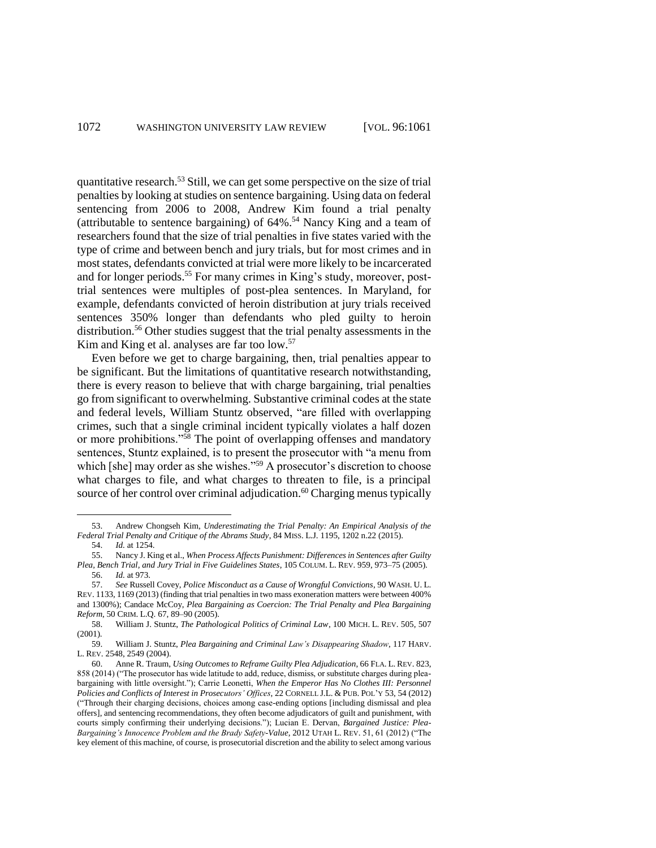quantitative research.<sup>53</sup> Still, we can get some perspective on the size of trial penalties by looking at studies on sentence bargaining. Using data on federal sentencing from 2006 to 2008, Andrew Kim found a trial penalty (attributable to sentence bargaining) of 64%. <sup>54</sup> Nancy King and a team of researchers found that the size of trial penalties in five states varied with the type of crime and between bench and jury trials, but for most crimes and in most states, defendants convicted at trial were more likely to be incarcerated and for longer periods.<sup>55</sup> For many crimes in King's study, moreover, posttrial sentences were multiples of post-plea sentences. In Maryland, for example, defendants convicted of heroin distribution at jury trials received sentences 350% longer than defendants who pled guilty to heroin distribution.<sup>56</sup> Other studies suggest that the trial penalty assessments in the Kim and King et al. analyses are far too low.<sup>57</sup>

Even before we get to charge bargaining, then, trial penalties appear to be significant. But the limitations of quantitative research notwithstanding, there is every reason to believe that with charge bargaining, trial penalties go from significant to overwhelming. Substantive criminal codes at the state and federal levels, William Stuntz observed, "are filled with overlapping crimes, such that a single criminal incident typically violates a half dozen or more prohibitions."<sup>58</sup> The point of overlapping offenses and mandatory sentences, Stuntz explained, is to present the prosecutor with "a menu from which [she] may order as she wishes."<sup>59</sup> A prosecutor's discretion to choose what charges to file, and what charges to threaten to file, is a principal source of her control over criminal adjudication.<sup>60</sup> Charging menus typically

<sup>53.</sup> Andrew Chongseh Kim, *Underestimating the Trial Penalty: An Empirical Analysis of the Federal Trial Penalty and Critique of the Abrams Study*, 84 MISS. L.J. 1195, 1202 n.22 (2015).

<sup>54.</sup> *Id.* at 1254.

<sup>55.</sup> Nancy J. King et al., *When Process Affects Punishment: Differences in Sentences after Guilty Plea, Bench Trial, and Jury Trial in Five Guidelines States*, 105 COLUM. L. REV. 959, 973–75 (2005). 56. *Id.* at 973.

<sup>57.</sup> *See* Russell Covey, *Police Misconduct as a Cause of Wrongful Convictions*, 90 WASH. U. L. REV. 1133, 1169 (2013) (finding that trial penalties in two mass exoneration matters were between 400% and 1300%); Candace McCoy, *Plea Bargaining as Coercion: The Trial Penalty and Plea Bargaining Reform*, 50 CRIM. L.Q. 67, 89–90 (2005).

<sup>58.</sup> William J. Stuntz, *The Pathological Politics of Criminal Law*, 100 MICH. L. REV. 505, 507 (2001).

<sup>59.</sup> William J. Stuntz, *Plea Bargaining and Criminal Law's Disappearing Shadow*, 117 HARV. L. REV. 2548, 2549 (2004).

<sup>60.</sup> Anne R. Traum, *Using Outcomes to Reframe Guilty Plea Adjudication*, 66 FLA. L. REV. 823, 858 (2014) ("The prosecutor has wide latitude to add, reduce, dismiss, or substitute charges during pleabargaining with little oversight."); Carrie Leonetti, *When the Emperor Has No Clothes III: Personnel Policies and Conflicts of Interest in Prosecutors' Offices*, 22 CORNELL J.L. & PUB. POL'Y 53, 54 (2012) ("Through their charging decisions, choices among case-ending options [including dismissal and plea offers], and sentencing recommendations, they often become adjudicators of guilt and punishment, with courts simply confirming their underlying decisions."); Lucian E. Dervan, *Bargained Justice: Plea-Bargaining's Innocence Problem and the Brady Safety-Value*, 2012 UTAH L. REV. 51, 61 (2012) ("The key element of this machine, of course, is prosecutorial discretion and the ability to select among various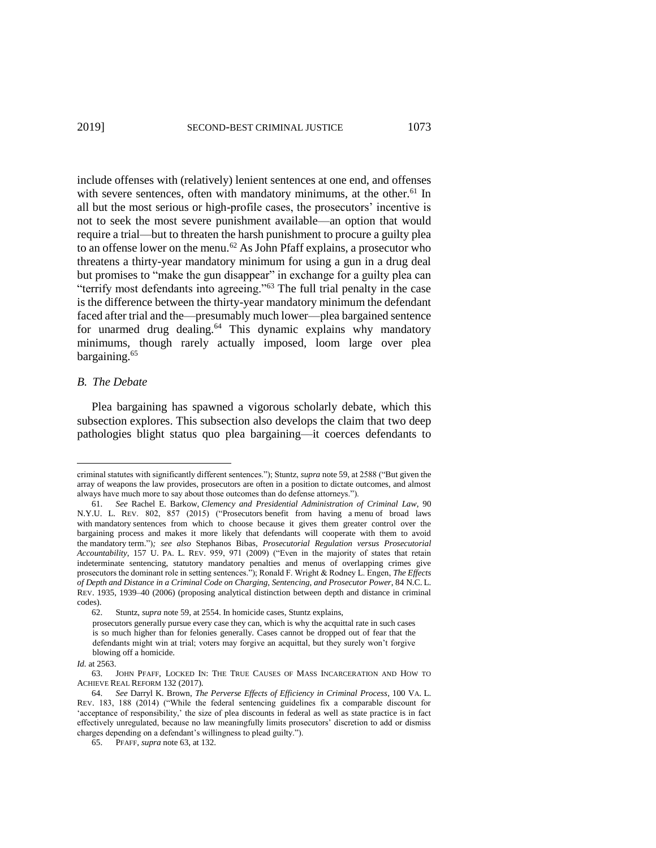include offenses with (relatively) lenient sentences at one end, and offenses with severe sentences, often with mandatory minimums, at the other.<sup>61</sup> In all but the most serious or high-profile cases, the prosecutors' incentive is not to seek the most severe punishment available—an option that would require a trial—but to threaten the harsh punishment to procure a guilty plea to an offense lower on the menu.<sup>62</sup> As John Pfaff explains, a prosecutor who threatens a thirty-year mandatory minimum for using a gun in a drug deal but promises to "make the gun disappear" in exchange for a guilty plea can "terrify most defendants into agreeing."<sup>63</sup> The full trial penalty in the case is the difference between the thirty-year mandatory minimum the defendant faced after trial and the—presumably much lower—plea bargained sentence for unarmed drug dealing.<sup>64</sup> This dynamic explains why mandatory minimums, though rarely actually imposed, loom large over plea bargaining.<sup>65</sup>

## *B. The Debate*

 $\overline{\phantom{a}}$ 

Plea bargaining has spawned a vigorous scholarly debate, which this subsection explores. This subsection also develops the claim that two deep pathologies blight status quo plea bargaining—it coerces defendants to

*Id.* at 2563.

criminal statutes with significantly different sentences."); Stuntz, *supra* note 59, at 2588 ("But given the array of weapons the law provides, prosecutors are often in a position to dictate outcomes, and almost always have much more to say about those outcomes than do defense attorneys.").

<sup>61.</sup> *See* Rachel E. Barkow, *Clemency and Presidential Administration of Criminal Law*, 90 N.Y.U. L. REV. 802, 857 (2015) ("Prosecutors benefit from having a menu of broad laws with mandatory sentences from which to choose because it gives them greater control over the bargaining process and makes it more likely that defendants will cooperate with them to avoid the mandatory term.")*; see also* Stephanos Bibas, *Prosecutorial Regulation versus Prosecutorial Accountability*, 157 U. PA. L. REV. 959, 971 (2009) ("Even in the majority of states that retain indeterminate sentencing, statutory mandatory penalties and menus of overlapping crimes give prosecutors the dominant role in setting sentences."); Ronald F. Wright & Rodney L. Engen, *The Effects of Depth and Distance in a Criminal Code on Charging, Sentencing, and Prosecutor Power*, 84 N.C. L. REV. 1935, 1939–40 (2006) (proposing analytical distinction between depth and distance in criminal codes).

<sup>62.</sup> Stuntz, *supra* note 59, at 2554. In homicide cases, Stuntz explains,

prosecutors generally pursue every case they can, which is why the acquittal rate in such cases is so much higher than for felonies generally. Cases cannot be dropped out of fear that the defendants might win at trial; voters may forgive an acquittal, but they surely won't forgive blowing off a homicide.

<sup>63.</sup> JOHN PFAFF, LOCKED IN: THE TRUE CAUSES OF MASS INCARCERATION AND HOW TO ACHIEVE REAL REFORM 132 (2017).

<sup>64.</sup> *See* Darryl K. Brown, *The Perverse Effects of Efficiency in Criminal Process*, 100 VA. L. REV. 183, 188 (2014) ("While the federal sentencing guidelines fix a comparable discount for 'acceptance of responsibility,' the size of plea discounts in federal as well as state practice is in fact effectively unregulated, because no law meaningfully limits prosecutors' discretion to add or dismiss charges depending on a defendant's willingness to plead guilty.").

<sup>65.</sup> PFAFF, *supra* note 63, at 132.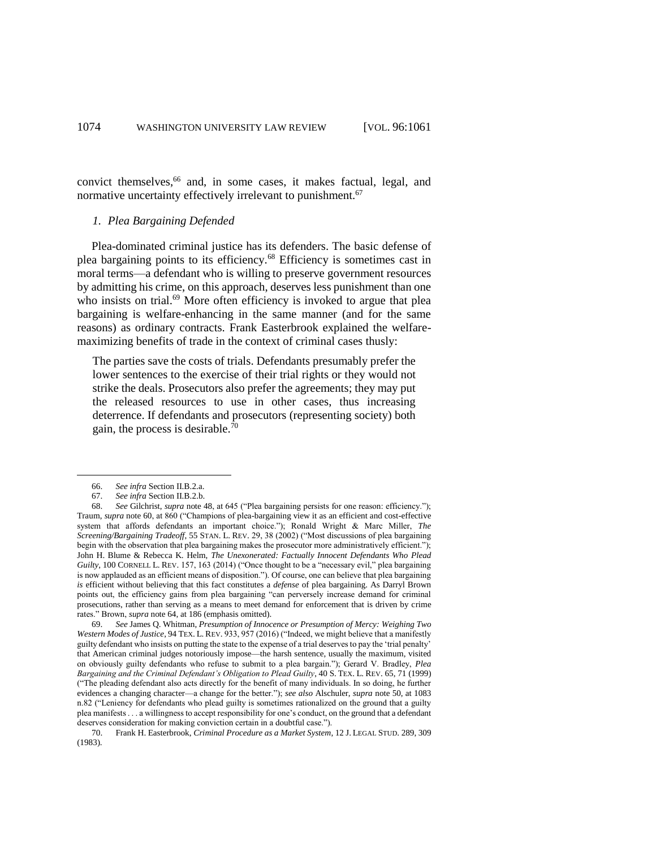convict themselves, <sup>66</sup> and, in some cases, it makes factual, legal, and normative uncertainty effectively irrelevant to punishment.<sup>67</sup>

## *1. Plea Bargaining Defended*

Plea-dominated criminal justice has its defenders. The basic defense of plea bargaining points to its efficiency.<sup>68</sup> Efficiency is sometimes cast in moral terms—a defendant who is willing to preserve government resources by admitting his crime, on this approach, deserves less punishment than one who insists on trial.<sup>69</sup> More often efficiency is invoked to argue that plea bargaining is welfare-enhancing in the same manner (and for the same reasons) as ordinary contracts. Frank Easterbrook explained the welfaremaximizing benefits of trade in the context of criminal cases thusly:

The parties save the costs of trials. Defendants presumably prefer the lower sentences to the exercise of their trial rights or they would not strike the deals. Prosecutors also prefer the agreements; they may put the released resources to use in other cases, thus increasing deterrence. If defendants and prosecutors (representing society) both gain, the process is desirable.<sup>70</sup>

<sup>66.</sup> *See infra* Section II.B.2.a.

<sup>67.</sup> *See infra* Section II.B.2.b.

<sup>68.</sup> *See* Gilchrist, *supra* note 48, at 645 ("Plea bargaining persists for one reason: efficiency."); Traum, *supra* note 60, at 860 ("Champions of plea-bargaining view it as an efficient and cost-effective system that affords defendants an important choice."); Ronald Wright & Marc Miller, *The Screening/Bargaining Tradeoff*, 55 STAN. L. REV. 29, 38 (2002) ("Most discussions of plea bargaining begin with the observation that plea bargaining makes the prosecutor more administratively efficient."); John H. Blume & Rebecca K. Helm, *The Unexonerated: Factually Innocent Defendants Who Plead Guilty*, 100 CORNELL L. REV. 157, 163 (2014) ("Once thought to be a "necessary evil," plea bargaining is now applauded as an efficient means of disposition."). Of course, one can believe that plea bargaining *is* efficient without believing that this fact constitutes a *defense* of plea bargaining. As Darryl Brown points out, the efficiency gains from plea bargaining "can perversely increase demand for criminal prosecutions, rather than serving as a means to meet demand for enforcement that is driven by crime rates." Brown, *supra* note 64, at 186 (emphasis omitted).

<sup>69.</sup> *See* James Q. Whitman, *Presumption of Innocence or Presumption of Mercy: Weighing Two Western Modes of Justice*, 94 TEX. L. REV. 933, 957 (2016) ("Indeed, we might believe that a manifestly guilty defendant who insists on putting the state to the expense of a trial deserves to pay the 'trial penalty' that American criminal judges notoriously impose—the harsh sentence, usually the maximum, visited on obviously guilty defendants who refuse to submit to a plea bargain."); Gerard V. Bradley, *Plea Bargaining and the Criminal Defendant's Obligation to Plead Guilty*, 40 S. TEX. L. REV. 65, 71 (1999) ("The pleading defendant also acts directly for the benefit of many individuals. In so doing, he further evidences a changing character—a change for the better."); *see also* Alschuler, *supra* note 50, at 1083 n.82 ("Leniency for defendants who plead guilty is sometimes rationalized on the ground that a guilty plea manifests . . . a willingness to accept responsibility for one's conduct, on the ground that a defendant deserves consideration for making conviction certain in a doubtful case.").

<sup>70.</sup> Frank H. Easterbrook, *Criminal Procedure as a Market System*, 12 J. LEGAL STUD. 289, 309 (1983).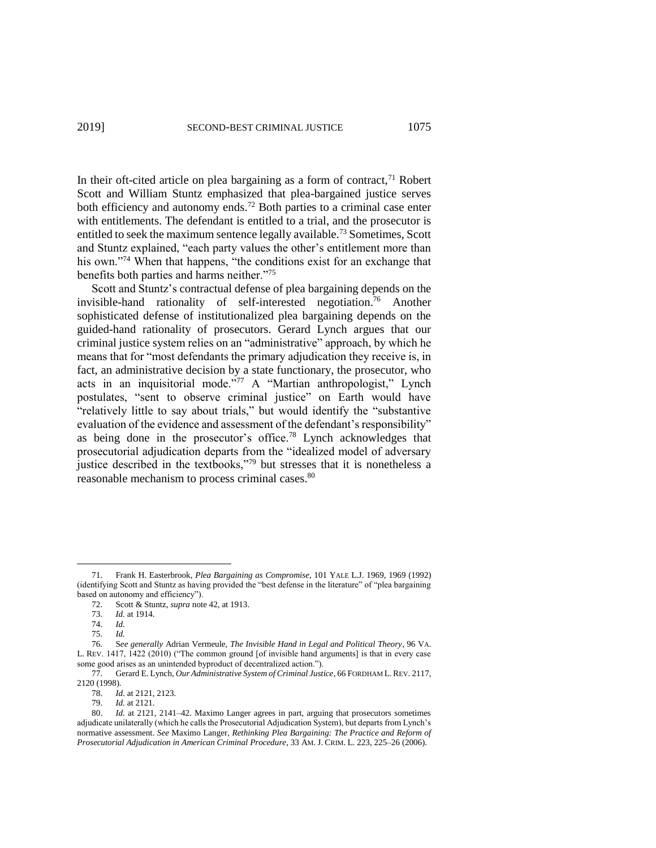In their oft-cited article on plea bargaining as a form of contract, $^{71}$  Robert Scott and William Stuntz emphasized that plea-bargained justice serves both efficiency and autonomy ends.<sup>72</sup> Both parties to a criminal case enter with entitlements. The defendant is entitled to a trial, and the prosecutor is entitled to seek the maximum sentence legally available.<sup>73</sup> Sometimes, Scott and Stuntz explained, "each party values the other's entitlement more than his own."<sup>74</sup> When that happens, "the conditions exist for an exchange that benefits both parties and harms neither."<sup>75</sup>

Scott and Stuntz's contractual defense of plea bargaining depends on the invisible-hand rationality of self-interested negotiation.<sup>76</sup> Another sophisticated defense of institutionalized plea bargaining depends on the guided-hand rationality of prosecutors. Gerard Lynch argues that our criminal justice system relies on an "administrative" approach, by which he means that for "most defendants the primary adjudication they receive is, in fact, an administrative decision by a state functionary, the prosecutor, who acts in an inquisitorial mode."<sup>77</sup> A "Martian anthropologist," Lynch postulates, "sent to observe criminal justice" on Earth would have "relatively little to say about trials," but would identify the "substantive evaluation of the evidence and assessment of the defendant's responsibility" as being done in the prosecutor's office.<sup>78</sup> Lynch acknowledges that prosecutorial adjudication departs from the "idealized model of adversary justice described in the textbooks,"<sup>79</sup> but stresses that it is nonetheless a reasonable mechanism to process criminal cases.<sup>80</sup>

l

<sup>71.</sup> Frank H. Easterbrook, *Plea Bargaining as Compromise*, 101 YALE L.J. 1969, 1969 (1992) (identifying Scott and Stuntz as having provided the "best defense in the literature" of "plea bargaining based on autonomy and efficiency").

<sup>72.</sup> Scott & Stuntz, *supra* note 42, at 1913.

<sup>73.</sup> *Id.* at 1914.

<sup>74.</sup> *Id.*

<sup>75.</sup> *Id.*

<sup>76.</sup> S*ee generally* Adrian Vermeule, *The Invisible Hand in Legal and Political Theory*, 96 VA. L. REV. 1417, 1422 (2010) ("The common ground [of invisible hand arguments] is that in every case some good arises as an unintended byproduct of decentralized action.").

<sup>77.</sup> Gerard E. Lynch, *Our Administrative System of Criminal Justice*, 66 FORDHAM L. REV. 2117, 2120 (1998).

<sup>78.</sup> *Id.* at 2121, 2123.

<sup>79.</sup> *Id.* at 2121.

<sup>80.</sup> *Id.* at 2121, 2141–42. Maximo Langer agrees in part, arguing that prosecutors sometimes adjudicate unilaterally (which he calls the Prosecutorial Adjudication System), but departs from Lynch's normative assessment. *See* Maximo Langer, *Rethinking Plea Bargaining: The Practice and Reform of Prosecutorial Adjudication in American Criminal Procedure*, 33 AM. J. CRIM. L. 223, 225–26 (2006).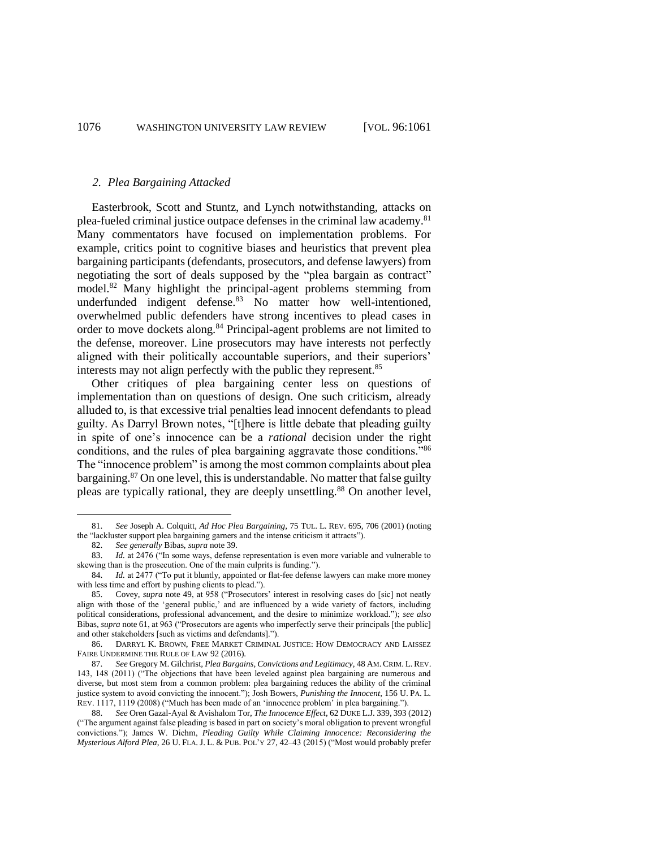#### *2. Plea Bargaining Attacked*

Easterbrook, Scott and Stuntz, and Lynch notwithstanding, attacks on plea-fueled criminal justice outpace defenses in the criminal law academy.<sup>81</sup> Many commentators have focused on implementation problems. For example, critics point to cognitive biases and heuristics that prevent plea bargaining participants (defendants, prosecutors, and defense lawyers) from negotiating the sort of deals supposed by the "plea bargain as contract" model.<sup>82</sup> Many highlight the principal-agent problems stemming from underfunded indigent defense.<sup>83</sup> No matter how well-intentioned, overwhelmed public defenders have strong incentives to plead cases in order to move dockets along.<sup>84</sup> Principal-agent problems are not limited to the defense, moreover. Line prosecutors may have interests not perfectly aligned with their politically accountable superiors, and their superiors' interests may not align perfectly with the public they represent.<sup>85</sup>

Other critiques of plea bargaining center less on questions of implementation than on questions of design. One such criticism, already alluded to, is that excessive trial penalties lead innocent defendants to plead guilty. As Darryl Brown notes, "[t]here is little debate that pleading guilty in spite of one's innocence can be a *rational* decision under the right conditions, and the rules of plea bargaining aggravate those conditions."<sup>86</sup> The "innocence problem" is among the most common complaints about plea bargaining.<sup>87</sup> On one level, this is understandable. No matter that false guilty pleas are typically rational, they are deeply unsettling.<sup>88</sup> On another level,

<sup>81.</sup> *See* Joseph A. Colquitt, *Ad Hoc Plea Bargaining*, 75 TUL. L. REV. 695, 706 (2001) (noting the "lackluster support plea bargaining garners and the intense criticism it attracts").

<sup>82.</sup> *See generally* Bibas, *supra* note 39.

<sup>83.</sup> *Id.* at 2476 ("In some ways, defense representation is even more variable and vulnerable to skewing than is the prosecution. One of the main culprits is funding.").

<sup>84.</sup> *Id.* at 2477 ("To put it bluntly, appointed or flat-fee defense lawyers can make more money with less time and effort by pushing clients to plead.").

<sup>85.</sup> Covey, *supra* note 49, at 958 ("Prosecutors' interest in resolving cases do [sic] not neatly align with those of the 'general public,' and are influenced by a wide variety of factors, including political considerations, professional advancement, and the desire to minimize workload."); *see also*  Bibas, *supra* note 61, at 963 ("Prosecutors are agents who imperfectly serve their principals [the public] and other stakeholders [such as victims and defendants].").

<sup>86.</sup> DARRYL K. BROWN, FREE MARKET CRIMINAL JUSTICE: HOW DEMOCRACY AND LAISSEZ FAIRE UNDERMINE THE RULE OF LAW 92 (2016).

<sup>87.</sup> *See* Gregory M. Gilchrist, *Plea Bargains, Convictions and Legitimacy*, 48 AM. CRIM. L. REV. 143, 148 (2011) ("The objections that have been leveled against plea bargaining are numerous and diverse, but most stem from a common problem: plea bargaining reduces the ability of the criminal justice system to avoid convicting the innocent."); Josh Bowers, *Punishing the Innocent*, 156 U. PA. L. REV. 1117, 1119 (2008) ("Much has been made of an 'innocence problem' in plea bargaining.").

<sup>88.</sup> *See* Oren Gazal-Ayal & Avishalom Tor, *The Innocence Effect*, 62 DUKE L.J. 339, 393 (2012) ("The argument against false pleading is based in part on society's moral obligation to prevent wrongful convictions."); James W. Diehm, *Pleading Guilty While Claiming Innocence: Reconsidering the Mysterious Alford Plea*, 26 U. FLA. J. L. & PUB. POL'Y 27, 42–43 (2015) ("Most would probably prefer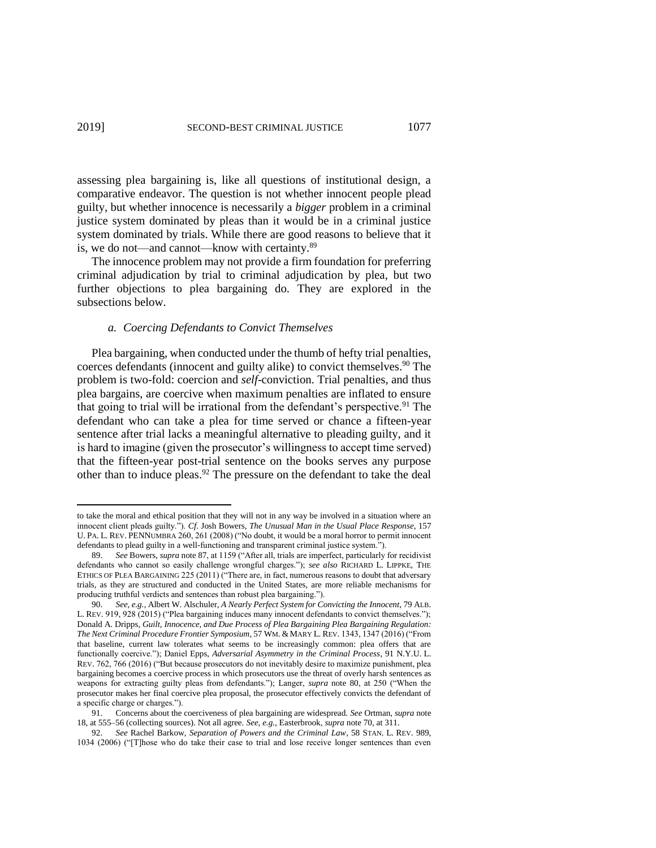assessing plea bargaining is, like all questions of institutional design, a comparative endeavor. The question is not whether innocent people plead guilty, but whether innocence is necessarily a *bigger* problem in a criminal justice system dominated by pleas than it would be in a criminal justice system dominated by trials. While there are good reasons to believe that it is, we do not—and cannot—know with certainty.<sup>89</sup>

The innocence problem may not provide a firm foundation for preferring criminal adjudication by trial to criminal adjudication by plea, but two further objections to plea bargaining do. They are explored in the subsections below.

#### *a. Coercing Defendants to Convict Themselves*

 $\overline{a}$ 

Plea bargaining, when conducted under the thumb of hefty trial penalties, coerces defendants (innocent and guilty alike) to convict themselves.<sup>90</sup> The problem is two-fold: coercion and *self*-conviction. Trial penalties, and thus plea bargains, are coercive when maximum penalties are inflated to ensure that going to trial will be irrational from the defendant's perspective.<sup>91</sup> The defendant who can take a plea for time served or chance a fifteen-year sentence after trial lacks a meaningful alternative to pleading guilty, and it is hard to imagine (given the prosecutor's willingness to accept time served) that the fifteen-year post-trial sentence on the books serves any purpose other than to induce pleas.<sup>92</sup> The pressure on the defendant to take the deal

to take the moral and ethical position that they will not in any way be involved in a situation where an innocent client pleads guilty."). *Cf.* Josh Bowers, *The Unusual Man in the Usual Place Response*, 157 U. PA. L. REV. PENNUMBRA 260, 261 (2008) ("No doubt, it would be a moral horror to permit innocent defendants to plead guilty in a well-functioning and transparent criminal justice system.").

<sup>89.</sup> *See* Bowers, *supra* note 87, at 1159 ("After all, trials are imperfect, particularly for recidivist defendants who cannot so easily challenge wrongful charges."); *see also* RICHARD L. LIPPKE, THE ETHICS OF PLEA BARGAINING 225 (2011) ("There are, in fact, numerous reasons to doubt that adversary trials, as they are structured and conducted in the United States, are more reliable mechanisms for producing truthful verdicts and sentences than robust plea bargaining.").

<sup>90.</sup> *See, e.g.*, Albert W. Alschuler, *A Nearly Perfect System for Convicting the Innocent*, 79 ALB. L. REV. 919, 928 (2015) ("Plea bargaining induces many innocent defendants to convict themselves."); Donald A. Dripps, *Guilt, Innocence, and Due Process of Plea Bargaining Plea Bargaining Regulation:*  The Next Criminal Procedure Frontier Symposium, 57 WM. & MARY L. REV. 1343, 1347 (2016) ("From that baseline, current law tolerates what seems to be increasingly common: plea offers that are functionally coercive."); Daniel Epps, *Adversarial Asymmetry in the Criminal Process*, 91 N.Y.U. L. REV. 762, 766 (2016) ("But because prosecutors do not inevitably desire to maximize punishment, plea bargaining becomes a coercive process in which prosecutors use the threat of overly harsh sentences as weapons for extracting guilty pleas from defendants."); Langer, *supra* note 80, at 250 ("When the prosecutor makes her final coercive plea proposal, the prosecutor effectively convicts the defendant of a specific charge or charges.").

<sup>91.</sup> Concerns about the coerciveness of plea bargaining are widespread. *See* Ortman, *supra* note 18, at 555–56 (collecting sources). Not all agree. *See, e.g.*, Easterbrook, *supra* note 70, at 311.

<sup>92.</sup> *See* Rachel Barkow, *Separation of Powers and the Criminal Law*, 58 STAN. L. REV. 989, 1034 (2006) ("[T]hose who do take their case to trial and lose receive longer sentences than even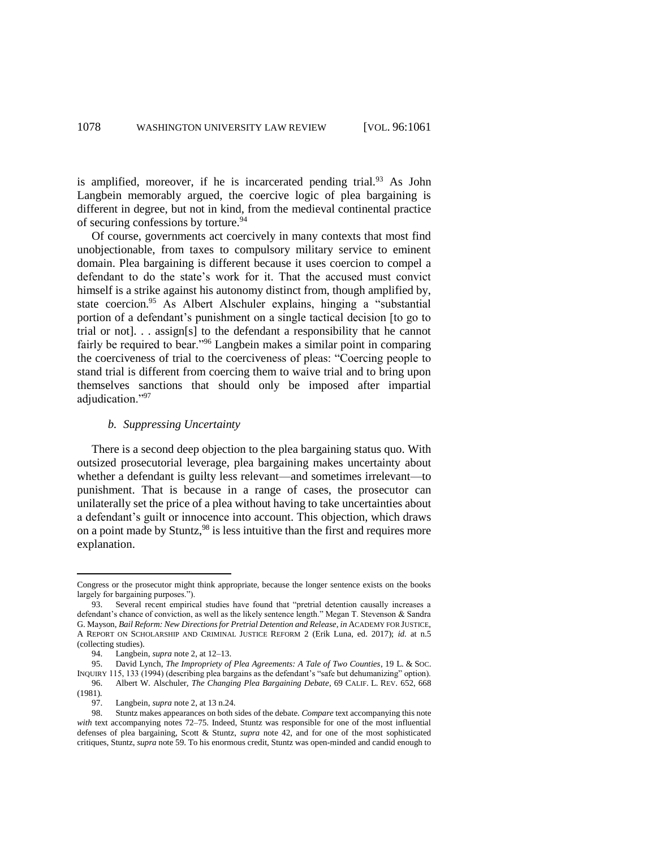is amplified, moreover, if he is incarcerated pending trial.<sup>93</sup> As John Langbein memorably argued, the coercive logic of plea bargaining is different in degree, but not in kind, from the medieval continental practice of securing confessions by torture.<sup>94</sup>

Of course, governments act coercively in many contexts that most find unobjectionable, from taxes to compulsory military service to eminent domain. Plea bargaining is different because it uses coercion to compel a defendant to do the state's work for it. That the accused must convict himself is a strike against his autonomy distinct from, though amplified by, state coercion.<sup>95</sup> As Albert Alschuler explains, hinging a "substantial portion of a defendant's punishment on a single tactical decision [to go to trial or not]. . . assign[s] to the defendant a responsibility that he cannot fairly be required to bear."<sup>96</sup> Langbein makes a similar point in comparing the coerciveness of trial to the coerciveness of pleas: "Coercing people to stand trial is different from coercing them to waive trial and to bring upon themselves sanctions that should only be imposed after impartial adjudication."<sup>97</sup>

### *b. Suppressing Uncertainty*

There is a second deep objection to the plea bargaining status quo. With outsized prosecutorial leverage, plea bargaining makes uncertainty about whether a defendant is guilty less relevant—and sometimes irrelevant—to punishment. That is because in a range of cases, the prosecutor can unilaterally set the price of a plea without having to take uncertainties about a defendant's guilt or innocence into account. This objection, which draws on a point made by Stuntz, <sup>98</sup> is less intuitive than the first and requires more explanation.

 $\overline{a}$ 

Congress or the prosecutor might think appropriate, because the longer sentence exists on the books largely for bargaining purposes.").

<sup>93.</sup> Several recent empirical studies have found that "pretrial detention causally increases a defendant's chance of conviction, as well as the likely sentence length." Megan T. Stevenson & Sandra G. Mayson, *Bail Reform: New Directions for Pretrial Detention and Release*, *in* ACADEMY FOR JUSTICE, A REPORT ON SCHOLARSHIP AND CRIMINAL JUSTICE REFORM 2 (Erik Luna, ed. 2017); *id.* at n.5 (collecting studies).

<sup>94.</sup> Langbein, *supra* note 2, at 12–13.

<sup>95.</sup> David Lynch, *The Impropriety of Plea Agreements: A Tale of Two Counties*, 19 L. & SOC. INQUIRY 115, 133 (1994) (describing plea bargains as the defendant's "safe but dehumanizing" option). 96. Albert W. Alschuler, *The Changing Plea Bargaining Debate*, 69 CALIF. L. REV. 652, 668 (1981).

<sup>97.</sup> Langbein, *supra* note 2, at 13 n.24.<br>98. Stuntz makes appearances on both s

<sup>98.</sup> Stuntz makes appearances on both sides of the debate. *Compare* text accompanying this note *with* text accompanying notes 72–75. Indeed, Stuntz was responsible for one of the most influential defenses of plea bargaining, Scott & Stuntz, *supra* note 42, and for one of the most sophisticated critiques, Stuntz, *supra* note 59. To his enormous credit, Stuntz was open-minded and candid enough to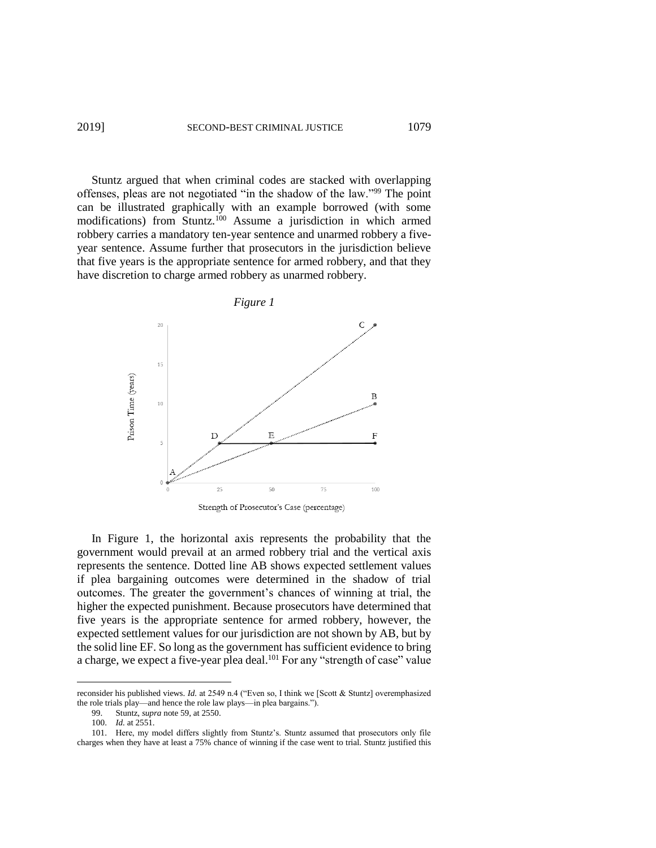Stuntz argued that when criminal codes are stacked with overlapping offenses, pleas are not negotiated "in the shadow of the law."<sup>99</sup> The point can be illustrated graphically with an example borrowed (with some modifications) from Stuntz.<sup>100</sup> Assume a jurisdiction in which armed robbery carries a mandatory ten-year sentence and unarmed robbery a fiveyear sentence. Assume further that prosecutors in the jurisdiction believe that five years is the appropriate sentence for armed robbery, and that they have discretion to charge armed robbery as unarmed robbery.



In Figure 1, the horizontal axis represents the probability that the government would prevail at an armed robbery trial and the vertical axis represents the sentence. Dotted line AB shows expected settlement values if plea bargaining outcomes were determined in the shadow of trial outcomes. The greater the government's chances of winning at trial, the higher the expected punishment. Because prosecutors have determined that five years is the appropriate sentence for armed robbery, however, the expected settlement values for our jurisdiction are not shown by AB, but by the solid line EF. So long as the government has sufficient evidence to bring a charge, we expect a five-year plea deal.<sup>101</sup> For any "strength of case" value

reconsider his published views. *Id.* at 2549 n.4 ("Even so, I think we [Scott & Stuntz] overemphasized the role trials play—and hence the role law plays—in plea bargains.").<br>99. Stuntz, *supra* note 59, at 2550.

Stuntz, *supra* note 59, at 2550.

<sup>100.</sup> *Id.* at 2551.

<sup>101.</sup> Here, my model differs slightly from Stuntz's. Stuntz assumed that prosecutors only file charges when they have at least a 75% chance of winning if the case went to trial. Stuntz justified this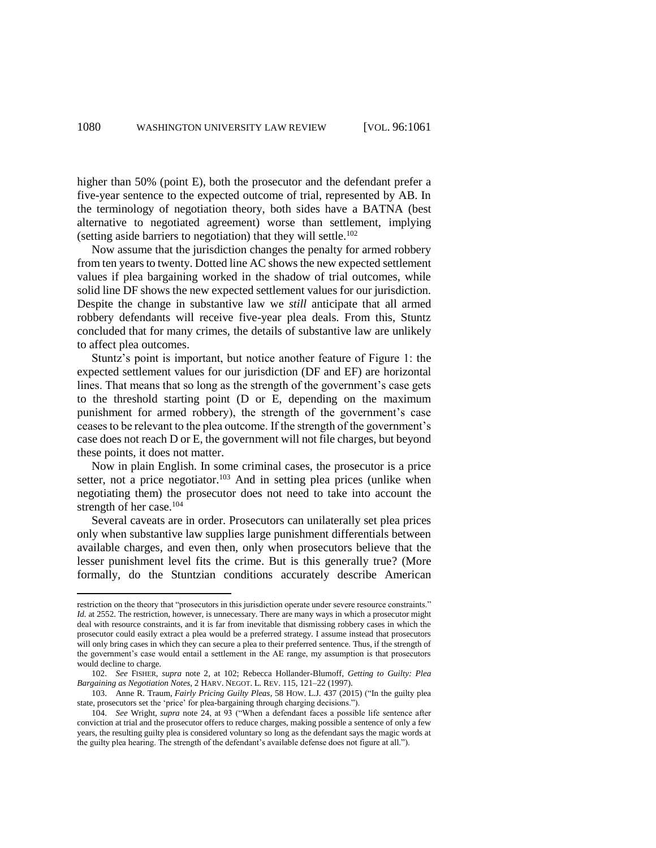higher than 50% (point E), both the prosecutor and the defendant prefer a five-year sentence to the expected outcome of trial, represented by AB. In the terminology of negotiation theory, both sides have a BATNA (best alternative to negotiated agreement) worse than settlement, implying (setting aside barriers to negotiation) that they will settle.<sup>102</sup>

Now assume that the jurisdiction changes the penalty for armed robbery from ten years to twenty. Dotted line AC shows the new expected settlement values if plea bargaining worked in the shadow of trial outcomes, while solid line DF shows the new expected settlement values for our jurisdiction. Despite the change in substantive law we *still* anticipate that all armed robbery defendants will receive five-year plea deals. From this, Stuntz concluded that for many crimes, the details of substantive law are unlikely to affect plea outcomes.

Stuntz's point is important, but notice another feature of Figure 1: the expected settlement values for our jurisdiction (DF and EF) are horizontal lines. That means that so long as the strength of the government's case gets to the threshold starting point (D or E, depending on the maximum punishment for armed robbery), the strength of the government's case ceases to be relevant to the plea outcome. If the strength of the government's case does not reach D or E, the government will not file charges, but beyond these points, it does not matter.

Now in plain English. In some criminal cases, the prosecutor is a price setter, not a price negotiator.<sup>103</sup> And in setting plea prices (unlike when negotiating them) the prosecutor does not need to take into account the strength of her case.<sup>104</sup>

Several caveats are in order. Prosecutors can unilaterally set plea prices only when substantive law supplies large punishment differentials between available charges, and even then, only when prosecutors believe that the lesser punishment level fits the crime. But is this generally true? (More formally, do the Stuntzian conditions accurately describe American

 $\overline{a}$ 

restriction on the theory that "prosecutors in this jurisdiction operate under severe resource constraints." *Id.* at 2552. The restriction, however, is unnecessary. There are many ways in which a prosecutor might deal with resource constraints, and it is far from inevitable that dismissing robbery cases in which the prosecutor could easily extract a plea would be a preferred strategy. I assume instead that prosecutors will only bring cases in which they can secure a plea to their preferred sentence. Thus, if the strength of the government's case would entail a settlement in the AE range, my assumption is that prosecutors would decline to charge.

<sup>102.</sup> *See* FISHER, *supra* note 2, at 102; Rebecca Hollander-Blumoff, *Getting to Guilty: Plea Bargaining as Negotiation Notes*, 2 HARV. NEGOT. L. REV. 115, 121–22 (1997).

<sup>103.</sup> Anne R. Traum, *Fairly Pricing Guilty Pleas*, 58 HOW. L.J. 437 (2015) ("In the guilty plea state, prosecutors set the 'price' for plea-bargaining through charging decisions.").

<sup>104.</sup> *See* Wright, *supra* note 24, at 93 ("When a defendant faces a possible life sentence after conviction at trial and the prosecutor offers to reduce charges, making possible a sentence of only a few years, the resulting guilty plea is considered voluntary so long as the defendant says the magic words at the guilty plea hearing. The strength of the defendant's available defense does not figure at all.").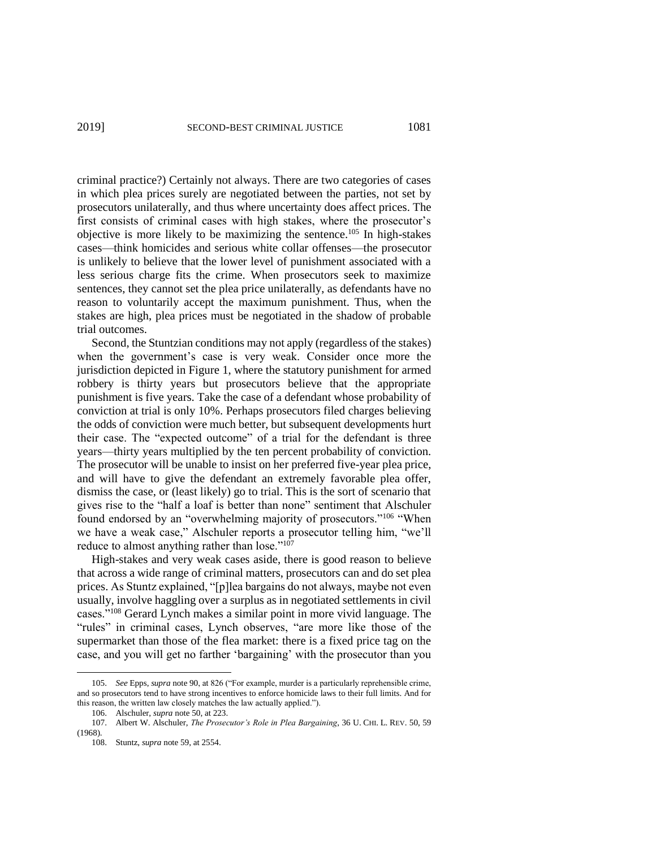criminal practice?) Certainly not always. There are two categories of cases in which plea prices surely are negotiated between the parties, not set by prosecutors unilaterally, and thus where uncertainty does affect prices. The first consists of criminal cases with high stakes, where the prosecutor's objective is more likely to be maximizing the sentence.<sup>105</sup> In high-stakes cases—think homicides and serious white collar offenses—the prosecutor is unlikely to believe that the lower level of punishment associated with a less serious charge fits the crime. When prosecutors seek to maximize sentences, they cannot set the plea price unilaterally, as defendants have no reason to voluntarily accept the maximum punishment. Thus, when the stakes are high, plea prices must be negotiated in the shadow of probable trial outcomes.

Second, the Stuntzian conditions may not apply (regardless of the stakes) when the government's case is very weak. Consider once more the jurisdiction depicted in Figure 1, where the statutory punishment for armed robbery is thirty years but prosecutors believe that the appropriate punishment is five years. Take the case of a defendant whose probability of conviction at trial is only 10%. Perhaps prosecutors filed charges believing the odds of conviction were much better, but subsequent developments hurt their case. The "expected outcome" of a trial for the defendant is three years—thirty years multiplied by the ten percent probability of conviction. The prosecutor will be unable to insist on her preferred five-year plea price, and will have to give the defendant an extremely favorable plea offer, dismiss the case, or (least likely) go to trial. This is the sort of scenario that gives rise to the "half a loaf is better than none" sentiment that Alschuler found endorsed by an "overwhelming majority of prosecutors."<sup>106</sup> "When we have a weak case," Alschuler reports a prosecutor telling him, "we'll reduce to almost anything rather than lose."<sup>107</sup>

High-stakes and very weak cases aside, there is good reason to believe that across a wide range of criminal matters, prosecutors can and do set plea prices. As Stuntz explained, "[p]lea bargains do not always, maybe not even usually, involve haggling over a surplus as in negotiated settlements in civil cases."<sup>108</sup> Gerard Lynch makes a similar point in more vivid language. The "rules" in criminal cases, Lynch observes, "are more like those of the supermarket than those of the flea market: there is a fixed price tag on the case, and you will get no farther 'bargaining' with the prosecutor than you

<sup>105.</sup> *See* Epps, *supra* note 90, at 826 ("For example, murder is a particularly reprehensible crime, and so prosecutors tend to have strong incentives to enforce homicide laws to their full limits. And for this reason, the written law closely matches the law actually applied.").

<sup>106.</sup> Alschuler, *supra* note 50, at 223.

<sup>107.</sup> Albert W. Alschuler, *The Prosecutor's Role in Plea Bargaining*, 36 U. CHI. L. REV. 50, 59 (1968).

<sup>108.</sup> Stuntz, *supra* note 59, at 2554.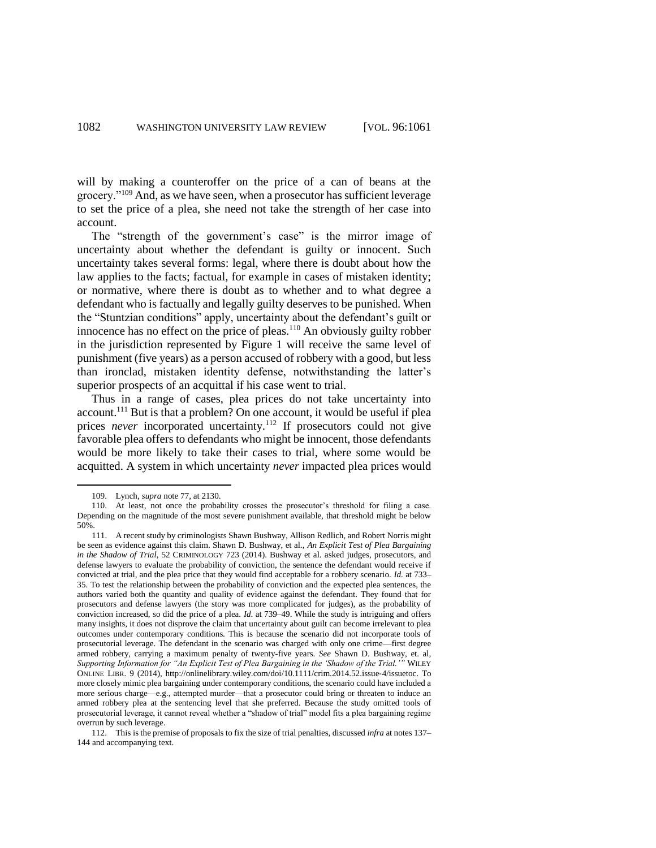will by making a counteroffer on the price of a can of beans at the grocery."<sup>109</sup> And, as we have seen, when a prosecutor has sufficient leverage to set the price of a plea, she need not take the strength of her case into account.

The "strength of the government's case" is the mirror image of uncertainty about whether the defendant is guilty or innocent. Such uncertainty takes several forms: legal, where there is doubt about how the law applies to the facts; factual, for example in cases of mistaken identity; or normative, where there is doubt as to whether and to what degree a defendant who is factually and legally guilty deserves to be punished. When the "Stuntzian conditions" apply, uncertainty about the defendant's guilt or innocence has no effect on the price of pleas.<sup>110</sup> An obviously guilty robber in the jurisdiction represented by Figure 1 will receive the same level of punishment (five years) as a person accused of robbery with a good, but less than ironclad, mistaken identity defense, notwithstanding the latter's superior prospects of an acquittal if his case went to trial.

Thus in a range of cases, plea prices do not take uncertainty into account.<sup>111</sup> But is that a problem? On one account, it would be useful if plea prices *never* incorporated uncertainty.<sup>112</sup> If prosecutors could not give favorable plea offers to defendants who might be innocent, those defendants would be more likely to take their cases to trial, where some would be acquitted. A system in which uncertainty *never* impacted plea prices would

 $\overline{\phantom{a}}$ 

112. This is the premise of proposals to fix the size of trial penalties, discussed *infra* at notes 137– 144 and accompanying text.

<sup>109.</sup> Lynch, *supra* note 77, at 2130.

<sup>110.</sup> At least, not once the probability crosses the prosecutor's threshold for filing a case. Depending on the magnitude of the most severe punishment available, that threshold might be below 50%.

<sup>111.</sup> A recent study by criminologists Shawn Bushway, Allison Redlich, and Robert Norris might be seen as evidence against this claim. Shawn D. Bushway, et al., *An Explicit Test of Plea Bargaining in the Shadow of Trial*, 52 CRIMINOLOGY 723 (2014). Bushway et al. asked judges, prosecutors, and defense lawyers to evaluate the probability of conviction, the sentence the defendant would receive if convicted at trial, and the plea price that they would find acceptable for a robbery scenario. *Id.* at 733– 35. To test the relationship between the probability of conviction and the expected plea sentences, the authors varied both the quantity and quality of evidence against the defendant. They found that for prosecutors and defense lawyers (the story was more complicated for judges), as the probability of conviction increased, so did the price of a plea. *Id*. at 739–49. While the study is intriguing and offers many insights, it does not disprove the claim that uncertainty about guilt can become irrelevant to plea outcomes under contemporary conditions. This is because the scenario did not incorporate tools of prosecutorial leverage. The defendant in the scenario was charged with only one crime—first degree armed robbery, carrying a maximum penalty of twenty-five years. *See* Shawn D. Bushway, et. al, *Supporting Information for "An Explicit Test of Plea Bargaining in the 'Shadow of the Trial.'"* WILEY ONLINE LIBR. 9 (2014), http://onlinelibrary.wiley.com/doi/10.1111/crim.2014.52.issue‐4/issuetoc. To more closely mimic plea bargaining under contemporary conditions, the scenario could have included a more serious charge—e.g., attempted murder—that a prosecutor could bring or threaten to induce an armed robbery plea at the sentencing level that she preferred. Because the study omitted tools of prosecutorial leverage, it cannot reveal whether a "shadow of trial" model fits a plea bargaining regime overrun by such leverage.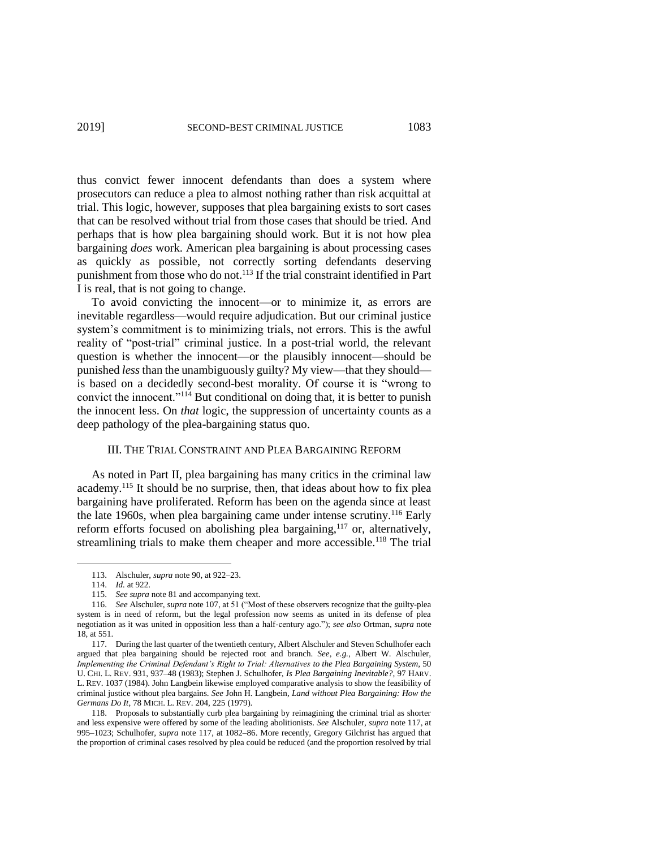thus convict fewer innocent defendants than does a system where prosecutors can reduce a plea to almost nothing rather than risk acquittal at trial. This logic, however, supposes that plea bargaining exists to sort cases that can be resolved without trial from those cases that should be tried. And perhaps that is how plea bargaining should work. But it is not how plea bargaining *does* work. American plea bargaining is about processing cases as quickly as possible, not correctly sorting defendants deserving punishment from those who do not.<sup>113</sup> If the trial constraint identified in Part I is real, that is not going to change.

To avoid convicting the innocent—or to minimize it, as errors are inevitable regardless—would require adjudication. But our criminal justice system's commitment is to minimizing trials, not errors. This is the awful reality of "post-trial" criminal justice. In a post-trial world, the relevant question is whether the innocent—or the plausibly innocent—should be punished *less* than the unambiguously guilty? My view—that they should is based on a decidedly second-best morality. Of course it is "wrong to convict the innocent."<sup>114</sup> But conditional on doing that, it is better to punish the innocent less. On *that* logic, the suppression of uncertainty counts as a deep pathology of the plea-bargaining status quo.

#### III. THE TRIAL CONSTRAINT AND PLEA BARGAINING REFORM

As noted in Part II, plea bargaining has many critics in the criminal law academy.<sup>115</sup> It should be no surprise, then, that ideas about how to fix plea bargaining have proliferated. Reform has been on the agenda since at least the late 1960s, when plea bargaining came under intense scrutiny.<sup>116</sup> Early reform efforts focused on abolishing plea bargaining, $117$  or, alternatively, streamlining trials to make them cheaper and more accessible.<sup>118</sup> The trial

l

<sup>113.</sup> Alschuler, *supra* note 90, at 922–23.

<sup>114.</sup> *Id.* at 922.

<sup>115.</sup> *See supra* note 81 and accompanying text.

<sup>116.</sup> *See* Alschuler, *supra* note 107, at 51 ("Most of these observers recognize that the guilty-plea system is in need of reform, but the legal profession now seems as united in its defense of plea negotiation as it was united in opposition less than a half-century ago."); *see also* Ortman, *supra* note 18, at 551.

<sup>117.</sup> During the last quarter of the twentieth century, Albert Alschuler and Steven Schulhofer each argued that plea bargaining should be rejected root and branch. *See, e.g.*, Albert W. Alschuler, *Implementing the Criminal Defendant's Right to Trial: Alternatives to the Plea Bargaining System*, 50 U. CHI. L. REV. 931, 937–48 (1983); Stephen J. Schulhofer, *Is Plea Bargaining Inevitable?*, 97 HARV. L. REV. 1037 (1984). John Langbein likewise employed comparative analysis to show the feasibility of criminal justice without plea bargains. *See* John H. Langbein, *Land without Plea Bargaining: How the Germans Do It*, 78 MICH. L. REV. 204, 225 (1979).

<sup>118.</sup> Proposals to substantially curb plea bargaining by reimagining the criminal trial as shorter and less expensive were offered by some of the leading abolitionists. *See* Alschuler, *supra* note 117, at 995–1023; Schulhofer, *supra* note 117, at 1082–86. More recently, Gregory Gilchrist has argued that the proportion of criminal cases resolved by plea could be reduced (and the proportion resolved by trial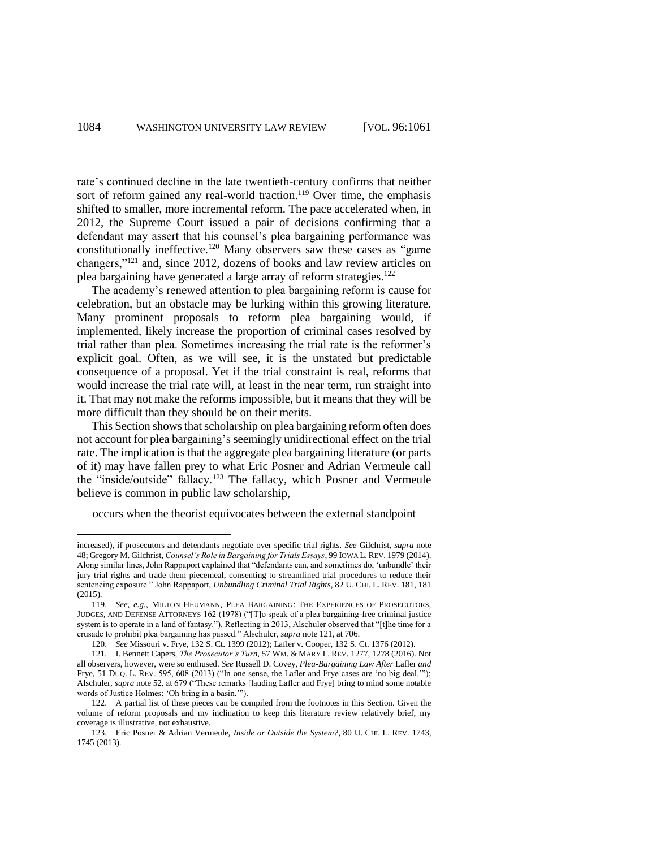rate's continued decline in the late twentieth-century confirms that neither sort of reform gained any real-world traction.<sup>119</sup> Over time, the emphasis shifted to smaller, more incremental reform. The pace accelerated when, in 2012, the Supreme Court issued a pair of decisions confirming that a defendant may assert that his counsel's plea bargaining performance was constitutionally ineffective.<sup>120</sup> Many observers saw these cases as "game changers,"<sup>121</sup> and, since 2012, dozens of books and law review articles on plea bargaining have generated a large array of reform strategies.<sup>122</sup>

The academy's renewed attention to plea bargaining reform is cause for celebration, but an obstacle may be lurking within this growing literature. Many prominent proposals to reform plea bargaining would, if implemented, likely increase the proportion of criminal cases resolved by trial rather than plea. Sometimes increasing the trial rate is the reformer's explicit goal. Often, as we will see, it is the unstated but predictable consequence of a proposal. Yet if the trial constraint is real, reforms that would increase the trial rate will, at least in the near term, run straight into it. That may not make the reforms impossible, but it means that they will be more difficult than they should be on their merits.

This Section shows that scholarship on plea bargaining reform often does not account for plea bargaining's seemingly unidirectional effect on the trial rate. The implication is that the aggregate plea bargaining literature (or parts of it) may have fallen prey to what Eric Posner and Adrian Vermeule call the "inside/outside" fallacy.<sup>123</sup> The fallacy, which Posner and Vermeule believe is common in public law scholarship,

occurs when the theorist equivocates between the external standpoint

increased), if prosecutors and defendants negotiate over specific trial rights. *See* Gilchrist, *supra* note 48; Gregory M. Gilchrist, *Counsel's Role in Bargaining for Trials Essays*, 99 IOWA L. REV. 1979 (2014). Along similar lines, John Rappaport explained that "defendants can, and sometimes do, 'unbundle' their jury trial rights and trade them piecemeal, consenting to streamlined trial procedures to reduce their sentencing exposure." John Rappaport, *Unbundling Criminal Trial Rights*, 82 U. CHI. L. REV. 181, 181 (2015).

<sup>119.</sup> *See, e.g.*, MILTON HEUMANN, PLEA BARGAINING: THE EXPERIENCES OF PROSECUTORS, JUDGES, AND DEFENSE ATTORNEYS 162 (1978) ("[T]o speak of a plea bargaining-free criminal justice system is to operate in a land of fantasy."). Reflecting in 2013, Alschuler observed that "[t]he time for a crusade to prohibit plea bargaining has passed." Alschuler, *supra* note 121, at 706.

<sup>120.</sup> *See* Missouri v. Frye, 132 S. Ct. 1399 (2012); Lafler v. Cooper, 132 S. Ct. 1376 (2012).

<sup>121.</sup> I. Bennett Capers, *The Prosecutor's Turn*, 57 WM. & MARY L. REV. 1277, 1278 (2016). Not all observers, however, were so enthused. *See* Russell D. Covey, *Plea-Bargaining Law After* Lafler *and*  Frye, 51 DUQ. L. REV. 595, 608 (2013) ("In one sense, the Lafler and Frye cases are 'no big deal.'"); Alschuler, *supra* note 52, at 679 ("These remarks [lauding Lafler and Frye] bring to mind some notable words of Justice Holmes: 'Oh bring in a basin.'").

<sup>122.</sup> A partial list of these pieces can be compiled from the footnotes in this Section. Given the volume of reform proposals and my inclination to keep this literature review relatively brief, my coverage is illustrative, not exhaustive.

<sup>123.</sup> Eric Posner & Adrian Vermeule, *Inside or Outside the System?*, 80 U. CHI. L. REV. 1743, 1745 (2013).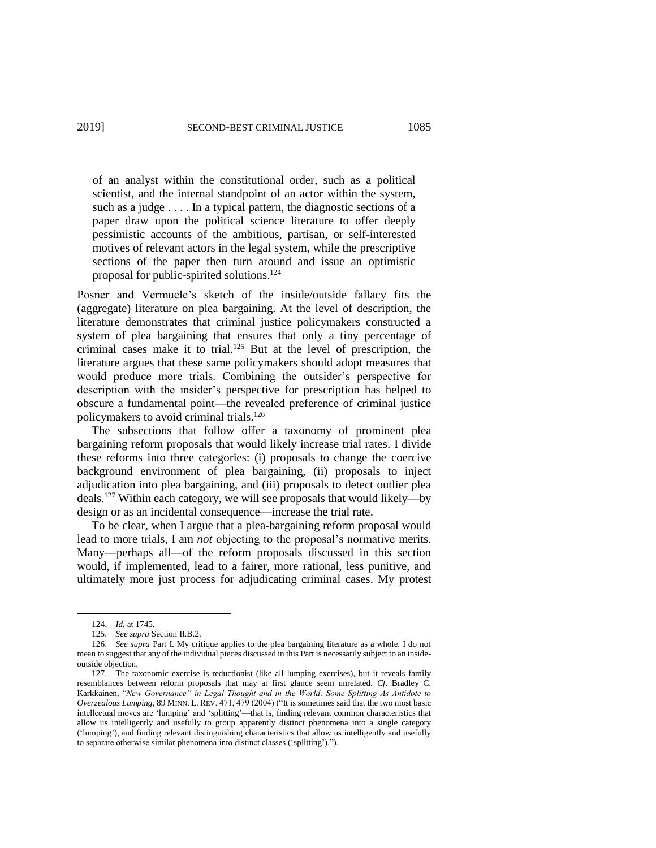of an analyst within the constitutional order, such as a political scientist, and the internal standpoint of an actor within the system, such as a judge . . . . In a typical pattern, the diagnostic sections of a paper draw upon the political science literature to offer deeply pessimistic accounts of the ambitious, partisan, or self-interested motives of relevant actors in the legal system, while the prescriptive sections of the paper then turn around and issue an optimistic proposal for public-spirited solutions.<sup>124</sup>

Posner and Vermuele's sketch of the inside/outside fallacy fits the (aggregate) literature on plea bargaining. At the level of description, the literature demonstrates that criminal justice policymakers constructed a system of plea bargaining that ensures that only a tiny percentage of criminal cases make it to trial.<sup>125</sup> But at the level of prescription, the literature argues that these same policymakers should adopt measures that would produce more trials. Combining the outsider's perspective for description with the insider's perspective for prescription has helped to obscure a fundamental point—the revealed preference of criminal justice policymakers to avoid criminal trials.<sup>126</sup>

The subsections that follow offer a taxonomy of prominent plea bargaining reform proposals that would likely increase trial rates. I divide these reforms into three categories: (i) proposals to change the coercive background environment of plea bargaining, (ii) proposals to inject adjudication into plea bargaining, and (iii) proposals to detect outlier plea deals.<sup>127</sup> Within each category, we will see proposals that would likely—by design or as an incidental consequence—increase the trial rate.

To be clear, when I argue that a plea-bargaining reform proposal would lead to more trials, I am *not* objecting to the proposal's normative merits. Many—perhaps all—of the reform proposals discussed in this section would, if implemented, lead to a fairer, more rational, less punitive, and ultimately more just process for adjudicating criminal cases. My protest

l

<sup>124.</sup> *Id.* at 1745.

<sup>125.</sup> *See supra* Section II.B.2.

<sup>126.</sup> *See supra* Part I. My critique applies to the plea bargaining literature as a whole. I do not mean to suggest that any of the individual pieces discussed in this Part is necessarily subject to an insideoutside objection.

<sup>127.</sup> The taxonomic exercise is reductionist (like all lumping exercises), but it reveals family resemblances between reform proposals that may at first glance seem unrelated. *Cf*. Bradley C. Karkkainen, *"New Governance" in Legal Thought and in the World: Some Splitting As Antidote to Overzealous Lumping*, 89 MINN. L. REV. 471, 479 (2004) ("It is sometimes said that the two most basic intellectual moves are 'lumping' and 'splitting'—that is, finding relevant common characteristics that allow us intelligently and usefully to group apparently distinct phenomena into a single category ('lumping'), and finding relevant distinguishing characteristics that allow us intelligently and usefully to separate otherwise similar phenomena into distinct classes ('splitting').").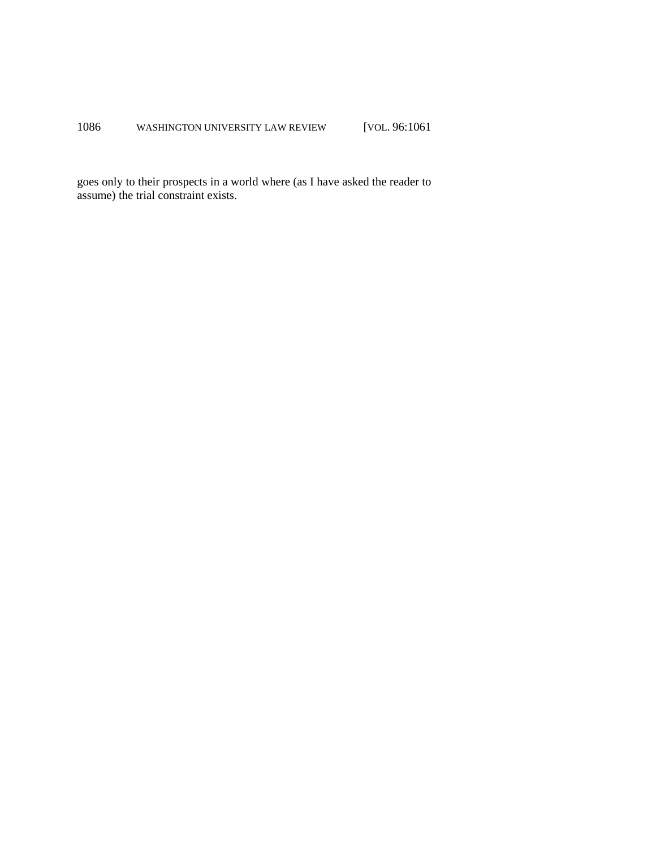goes only to their prospects in a world where (as I have asked the reader to assume) the trial constraint exists.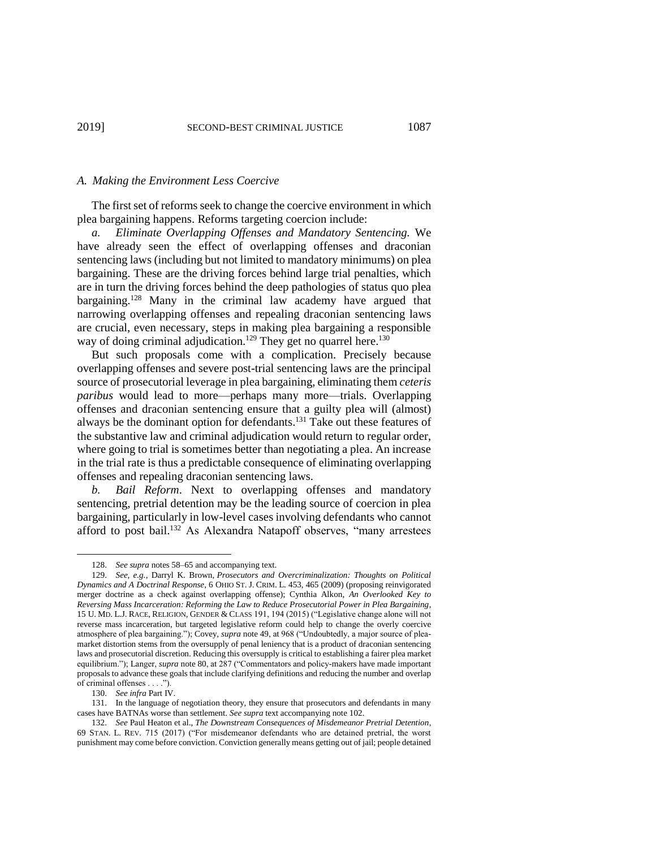#### *A. Making the Environment Less Coercive*

The first set of reforms seek to change the coercive environment in which plea bargaining happens. Reforms targeting coercion include:

*a. Eliminate Overlapping Offenses and Mandatory Sentencing.* We have already seen the effect of overlapping offenses and draconian sentencing laws (including but not limited to mandatory minimums) on plea bargaining. These are the driving forces behind large trial penalties, which are in turn the driving forces behind the deep pathologies of status quo plea bargaining.<sup>128</sup> Many in the criminal law academy have argued that narrowing overlapping offenses and repealing draconian sentencing laws are crucial, even necessary, steps in making plea bargaining a responsible way of doing criminal adjudication.<sup>129</sup> They get no quarrel here.<sup>130</sup>

But such proposals come with a complication. Precisely because overlapping offenses and severe post-trial sentencing laws are the principal source of prosecutorial leverage in plea bargaining, eliminating them *ceteris paribus* would lead to more—perhaps many more—trials. Overlapping offenses and draconian sentencing ensure that a guilty plea will (almost) always be the dominant option for defendants. <sup>131</sup> Take out these features of the substantive law and criminal adjudication would return to regular order, where going to trial is sometimes better than negotiating a plea. An increase in the trial rate is thus a predictable consequence of eliminating overlapping offenses and repealing draconian sentencing laws.

*b. Bail Reform*. Next to overlapping offenses and mandatory sentencing, pretrial detention may be the leading source of coercion in plea bargaining, particularly in low-level cases involving defendants who cannot afford to post bail.<sup>132</sup> As Alexandra Natapoff observes, "many arrestees

 $\overline{a}$ 

<sup>128.</sup> *See supra* notes 58–65 and accompanying text.

<sup>129.</sup> *See, e.g.*, Darryl K. Brown, *Prosecutors and Overcriminalization: Thoughts on Political Dynamics and A Doctrinal Response*, 6 OHIO ST. J. CRIM. L. 453, 465 (2009) (proposing reinvigorated merger doctrine as a check against overlapping offense); Cynthia Alkon, *An Overlooked Key to Reversing Mass Incarceration: Reforming the Law to Reduce Prosecutorial Power in Plea Bargaining*, 15 U. MD. L.J. RACE, RELIGION, GENDER & CLASS 191, 194 (2015) ("Legislative change alone will not reverse mass incarceration, but targeted legislative reform could help to change the overly coercive atmosphere of plea bargaining."); Covey, *supra* note 49, at 968 ("Undoubtedly, a major source of pleamarket distortion stems from the oversupply of penal leniency that is a product of draconian sentencing laws and prosecutorial discretion. Reducing this oversupply is critical to establishing a fairer plea market equilibrium."); Langer, *supra* note 80, at 287 ("Commentators and policy-makers have made important proposals to advance these goals that include clarifying definitions and reducing the number and overlap of criminal offenses . . . .").

<sup>130.</sup> *See infra* Part IV.

<sup>131.</sup> In the language of negotiation theory, they ensure that prosecutors and defendants in many cases have BATNAs worse than settlement. *See supra* text accompanying note 102.

<sup>132.</sup> *See* Paul Heaton et al., *The Downstream Consequences of Misdemeanor Pretrial Detention*, 69 STAN. L. REV. 715 (2017) ("For misdemeanor defendants who are detained pretrial, the worst punishment may come before conviction. Conviction generally means getting out of jail; people detained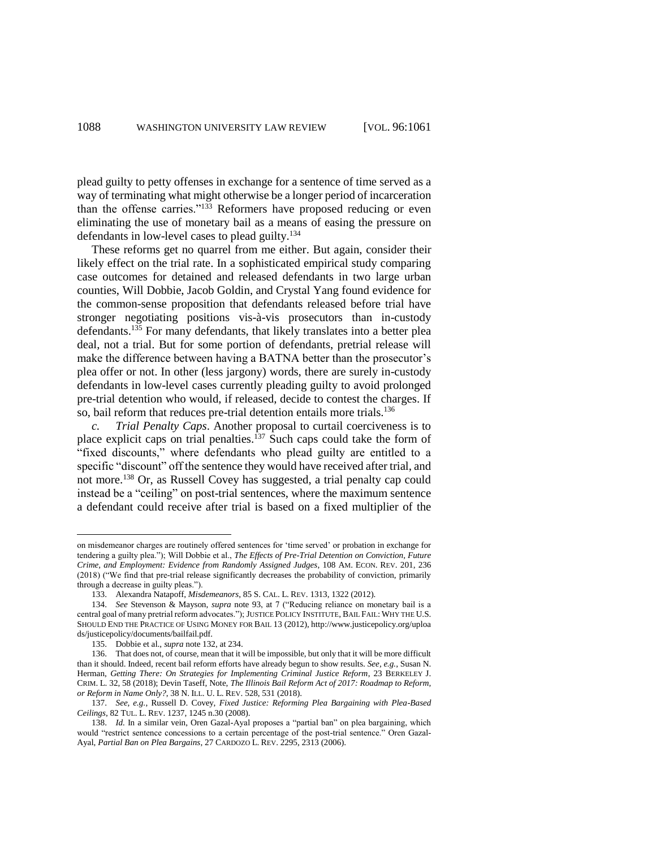plead guilty to petty offenses in exchange for a sentence of time served as a way of terminating what might otherwise be a longer period of incarceration than the offense carries."<sup>133</sup> Reformers have proposed reducing or even eliminating the use of monetary bail as a means of easing the pressure on defendants in low-level cases to plead guilty.<sup>134</sup>

These reforms get no quarrel from me either. But again, consider their likely effect on the trial rate. In a sophisticated empirical study comparing case outcomes for detained and released defendants in two large urban counties, Will Dobbie, Jacob Goldin, and Crystal Yang found evidence for the common-sense proposition that defendants released before trial have stronger negotiating positions vis-à-vis prosecutors than in-custody defendants.<sup>135</sup> For many defendants, that likely translates into a better plea deal, not a trial. But for some portion of defendants, pretrial release will make the difference between having a BATNA better than the prosecutor's plea offer or not. In other (less jargony) words, there are surely in-custody defendants in low-level cases currently pleading guilty to avoid prolonged pre-trial detention who would, if released, decide to contest the charges. If so, bail reform that reduces pre-trial detention entails more trials.<sup>136</sup>

*c. Trial Penalty Caps*. Another proposal to curtail coerciveness is to place explicit caps on trial penalties.<sup>137</sup> Such caps could take the form of "fixed discounts," where defendants who plead guilty are entitled to a specific "discount" off the sentence they would have received after trial, and not more.<sup>138</sup> Or, as Russell Covey has suggested, a trial penalty cap could instead be a "ceiling" on post-trial sentences, where the maximum sentence a defendant could receive after trial is based on a fixed multiplier of the

on misdemeanor charges are routinely offered sentences for 'time served' or probation in exchange for tendering a guilty plea."); Will Dobbie et al., *The Effects of Pre-Trial Detention on Conviction, Future Crime, and Employment: Evidence from Randomly Assigned Judges*, 108 AM. ECON. REV. 201, 236 (2018) ("We find that pre-trial release significantly decreases the probability of conviction, primarily through a decrease in guilty pleas.").

<sup>133.</sup> Alexandra Natapoff, *Misdemeanors*, 85 S. CAL. L. REV. 1313, 1322 (2012).

<sup>134.</sup> *See* Stevenson & Mayson, *supra* note 93, at 7 ("Reducing reliance on monetary bail is a central goal of many pretrial reform advocates."); JUSTICE POLICY INSTITUTE, BAIL FAIL: WHY THE U.S. SHOULD END THE PRACTICE OF USING MONEY FOR BAIL 13 (2012), http://www.justicepolicy.org/uploa ds/justicepolicy/documents/bailfail.pdf.

<sup>135.</sup> Dobbie et al., *supra* note 132, at 234.

<sup>136.</sup> That does not, of course, mean that it will be impossible, but only that it will be more difficult than it should. Indeed, recent bail reform efforts have already begun to show results. *See, e.g.*, Susan N. Herman, *Getting There: On Strategies for Implementing Criminal Justice Reform*, 23 BERKELEY J. CRIM. L. 32, 58 (2018); Devin Taseff, Note, *The Illinois Bail Reform Act of 2017: Roadmap to Reform, or Reform in Name Only?*, 38 N. ILL. U. L. REV. 528, 531 (2018).

<sup>137.</sup> *See, e.g.*, Russell D. Covey, *Fixed Justice: Reforming Plea Bargaining with Plea-Based Ceilings*, 82 TUL. L. REV. 1237, 1245 n.30 (2008).

<sup>138.</sup> *Id.* In a similar vein, Oren Gazal-Ayal proposes a "partial ban" on plea bargaining, which would "restrict sentence concessions to a certain percentage of the post-trial sentence." Oren Gazal-Ayal, *Partial Ban on Plea Bargains*, 27 CARDOZO L. REV. 2295, 2313 (2006).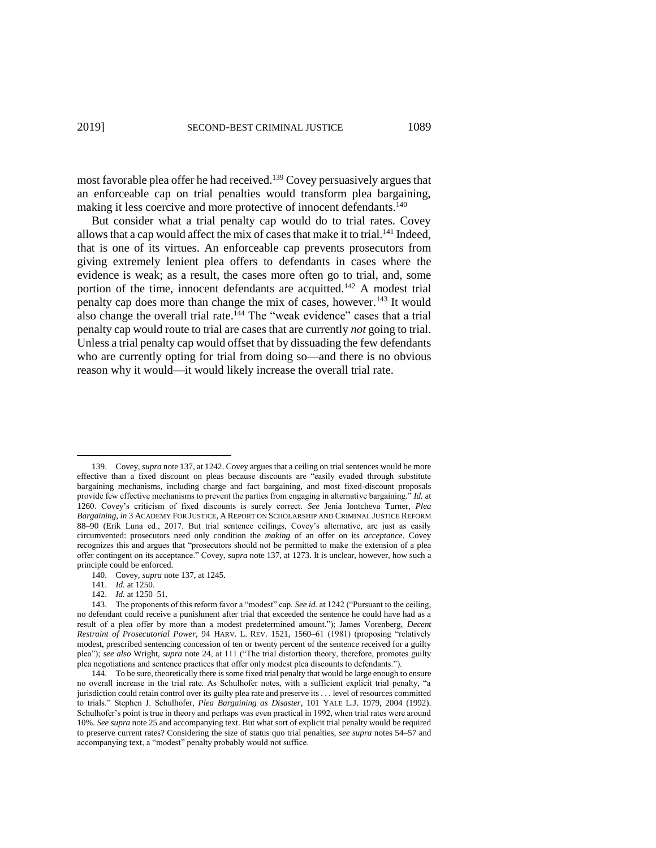most favorable plea offer he had received.<sup>139</sup> Covey persuasively argues that an enforceable cap on trial penalties would transform plea bargaining, making it less coercive and more protective of innocent defendants.<sup>140</sup>

But consider what a trial penalty cap would do to trial rates. Covey allows that a cap would affect the mix of cases that make it to trial.<sup>141</sup> Indeed, that is one of its virtues. An enforceable cap prevents prosecutors from giving extremely lenient plea offers to defendants in cases where the evidence is weak; as a result, the cases more often go to trial, and, some portion of the time, innocent defendants are acquitted.<sup>142</sup> A modest trial penalty cap does more than change the mix of cases, however.<sup>143</sup> It would also change the overall trial rate.<sup>144</sup> The "weak evidence" cases that a trial penalty cap would route to trial are cases that are currently *not* going to trial. Unless a trial penalty cap would offset that by dissuading the few defendants who are currently opting for trial from doing so—and there is no obvious reason why it would—it would likely increase the overall trial rate.

<sup>139.</sup> Covey, *supra* note 137, at 1242. Covey argues that a ceiling on trial sentences would be more effective than a fixed discount on pleas because discounts are "easily evaded through substitute bargaining mechanisms, including charge and fact bargaining, and most fixed-discount proposals provide few effective mechanisms to prevent the parties from engaging in alternative bargaining." *Id.* at 1260. Covey's criticism of fixed discounts is surely correct. *See* Jenia Iontcheva Turner, *Plea Bargaining*, *in* 3 ACADEMY FOR JUSTICE, A REPORT ON SCHOLARSHIP AND CRIMINAL JUSTICE REFORM 88–90 (Erik Luna ed., 2017. But trial sentence ceilings, Covey's alternative, are just as easily circumvented: prosecutors need only condition the *making* of an offer on its *acceptance*. Covey recognizes this and argues that "prosecutors should not be permitted to make the extension of a plea offer contingent on its acceptance." Covey, *supra* note 137, at 1273. It is unclear, however, how such a principle could be enforced.

<sup>140.</sup> Covey, *supra* note 137, at 1245.

<sup>141.</sup> *Id.* at 1250.

<sup>142.</sup> *Id.* at 1250–51.

<sup>143.</sup> The proponents of this reform favor a "modest" cap. *See id.* at 1242 ("Pursuant to the ceiling, no defendant could receive a punishment after trial that exceeded the sentence he could have had as a result of a plea offer by more than a modest predetermined amount."); James Vorenberg, *Decent Restraint of Prosecutorial Power*, 94 HARV. L. REV. 1521, 1560–61 (1981) (proposing "relatively modest, prescribed sentencing concession of ten or twenty percent of the sentence received for a guilty plea"); *see also* Wright, *supra* note 24, at 111 ("The trial distortion theory, therefore, promotes guilty plea negotiations and sentence practices that offer only modest plea discounts to defendants.").

<sup>144.</sup> To be sure, theoretically there is some fixed trial penalty that would be large enough to ensure no overall increase in the trial rate. As Schulhofer notes, with a sufficient explicit trial penalty, "a jurisdiction could retain control over its guilty plea rate and preserve its . . . level of resources committed to trials." Stephen J. Schulhofer, *Plea Bargaining as Disaster*, 101 YALE L.J. 1979, 2004 (1992). Schulhofer's point is true in theory and perhaps was even practical in 1992, when trial rates were around 10%. *See supra* note 25 and accompanying text. But what sort of explicit trial penalty would be required to preserve current rates? Considering the size of status quo trial penalties, *see supra* notes 54–57 and accompanying text, a "modest" penalty probably would not suffice.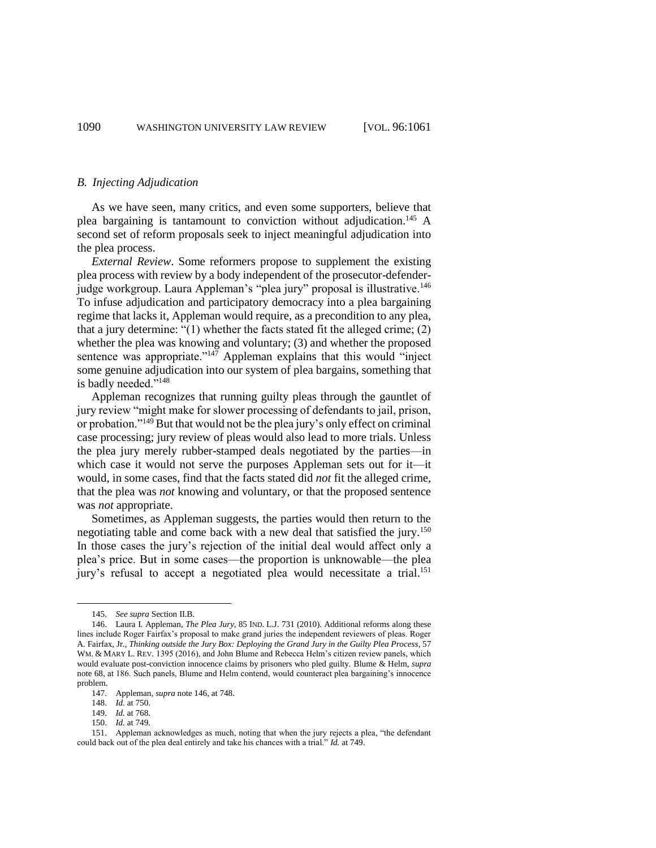#### *B. Injecting Adjudication*

As we have seen, many critics, and even some supporters, believe that plea bargaining is tantamount to conviction without adjudication.<sup>145</sup> A second set of reform proposals seek to inject meaningful adjudication into the plea process.

*External Review*. Some reformers propose to supplement the existing plea process with review by a body independent of the prosecutor-defenderjudge workgroup. Laura Appleman's "plea jury" proposal is illustrative.<sup>146</sup> To infuse adjudication and participatory democracy into a plea bargaining regime that lacks it, Appleman would require, as a precondition to any plea, that a jury determine: "(1) whether the facts stated fit the alleged crime; (2) whether the plea was knowing and voluntary; (3) and whether the proposed sentence was appropriate."<sup>147</sup> Appleman explains that this would "inject some genuine adjudication into our system of plea bargains, something that is badly needed."<sup>148</sup>

Appleman recognizes that running guilty pleas through the gauntlet of jury review "might make for slower processing of defendants to jail, prison, or probation."<sup>149</sup> But that would not be the plea jury's only effect on criminal case processing; jury review of pleas would also lead to more trials. Unless the plea jury merely rubber-stamped deals negotiated by the parties—in which case it would not serve the purposes Appleman sets out for it—it would, in some cases, find that the facts stated did *not* fit the alleged crime, that the plea was *not* knowing and voluntary, or that the proposed sentence was *not* appropriate.

Sometimes, as Appleman suggests, the parties would then return to the negotiating table and come back with a new deal that satisfied the jury.<sup>150</sup> In those cases the jury's rejection of the initial deal would affect only a plea's price. But in some cases—the proportion is unknowable—the plea jury's refusal to accept a negotiated plea would necessitate a trial.<sup>151</sup>

<sup>145.</sup> *See supra* Section II.B.

<sup>146.</sup> Laura I. Appleman, *The Plea Jury*, 85 IND. L.J. 731 (2010). Additional reforms along these lines include Roger Fairfax's proposal to make grand juries the independent reviewers of pleas. Roger A. Fairfax, Jr., *Thinking outside the Jury Box: Deploying the Grand Jury in the Guilty Plea Process*, 57 WM. & MARY L. REV. 1395 (2016), and John Blume and Rebecca Helm's citizen review panels, which would evaluate post-conviction innocence claims by prisoners who pled guilty. Blume & Helm, *supra* note 68, at 186. Such panels, Blume and Helm contend, would counteract plea bargaining's innocence problem.

<sup>147.</sup> Appleman, *supra* note 146, at 748.

<sup>148.</sup> *Id.* at 750.

<sup>149.</sup> *Id.* at 768.

<sup>150.</sup> *Id.* at 749.

<sup>151.</sup> Appleman acknowledges as much, noting that when the jury rejects a plea, "the defendant could back out of the plea deal entirely and take his chances with a trial." *Id.* at 749.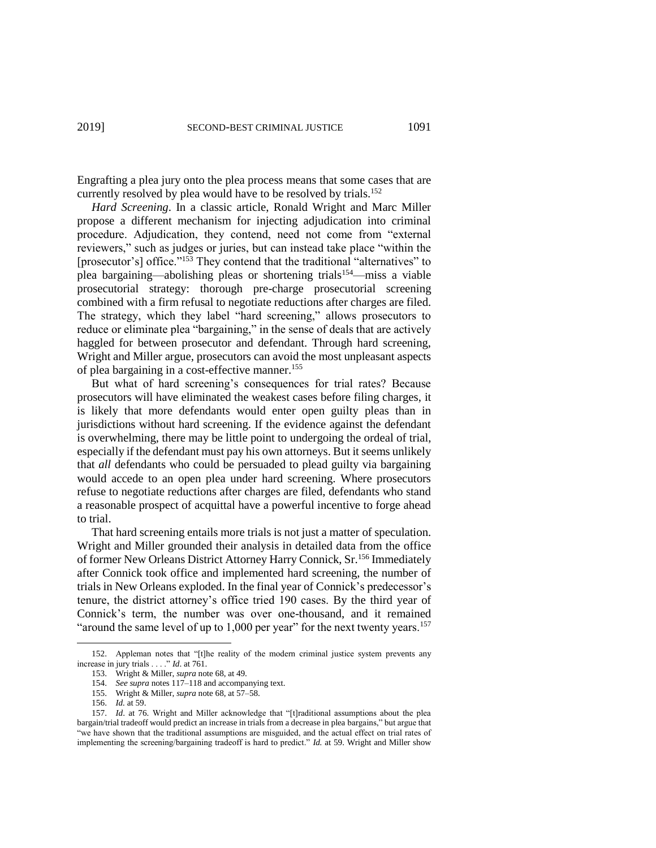Engrafting a plea jury onto the plea process means that some cases that are currently resolved by plea would have to be resolved by trials.<sup>152</sup>

*Hard Screening*. In a classic article, Ronald Wright and Marc Miller propose a different mechanism for injecting adjudication into criminal procedure. Adjudication, they contend, need not come from "external reviewers," such as judges or juries, but can instead take place "within the [prosecutor's] office."<sup>153</sup> They contend that the traditional "alternatives" to plea bargaining—abolishing pleas or shortening trials<sup>154</sup>—miss a viable prosecutorial strategy: thorough pre-charge prosecutorial screening combined with a firm refusal to negotiate reductions after charges are filed. The strategy, which they label "hard screening," allows prosecutors to reduce or eliminate plea "bargaining," in the sense of deals that are actively haggled for between prosecutor and defendant. Through hard screening, Wright and Miller argue, prosecutors can avoid the most unpleasant aspects of plea bargaining in a cost-effective manner.<sup>155</sup>

But what of hard screening's consequences for trial rates? Because prosecutors will have eliminated the weakest cases before filing charges, it is likely that more defendants would enter open guilty pleas than in jurisdictions without hard screening. If the evidence against the defendant is overwhelming, there may be little point to undergoing the ordeal of trial, especially if the defendant must pay his own attorneys. But it seems unlikely that *all* defendants who could be persuaded to plead guilty via bargaining would accede to an open plea under hard screening. Where prosecutors refuse to negotiate reductions after charges are filed, defendants who stand a reasonable prospect of acquittal have a powerful incentive to forge ahead to trial.

That hard screening entails more trials is not just a matter of speculation. Wright and Miller grounded their analysis in detailed data from the office of former New Orleans District Attorney Harry Connick, Sr.<sup>156</sup> Immediately after Connick took office and implemented hard screening, the number of trials in New Orleans exploded. In the final year of Connick's predecessor's tenure, the district attorney's office tried 190 cases. By the third year of Connick's term, the number was over one-thousand, and it remained "around the same level of up to  $1,000$  per year" for the next twenty years.<sup>157</sup>

<sup>152.</sup> Appleman notes that "[t]he reality of the modern criminal justice system prevents any increase in jury trials . . . ." *Id*. at 761.

<sup>153.</sup> Wright & Miller, *supra* note 68, at 49.

<sup>154.</sup> *See supra* notes 117–118 and accompanying text.

<sup>155.</sup> Wright & Miller, *supra* note 68, at 57–58.

<sup>156.</sup> *Id.* at 59.

<sup>157.</sup> *Id*. at 76. Wright and Miller acknowledge that "[t]raditional assumptions about the plea bargain/trial tradeoff would predict an increase in trials from a decrease in plea bargains," but argue that "we have shown that the traditional assumptions are misguided, and the actual effect on trial rates of implementing the screening/bargaining tradeoff is hard to predict." *Id.* at 59. Wright and Miller show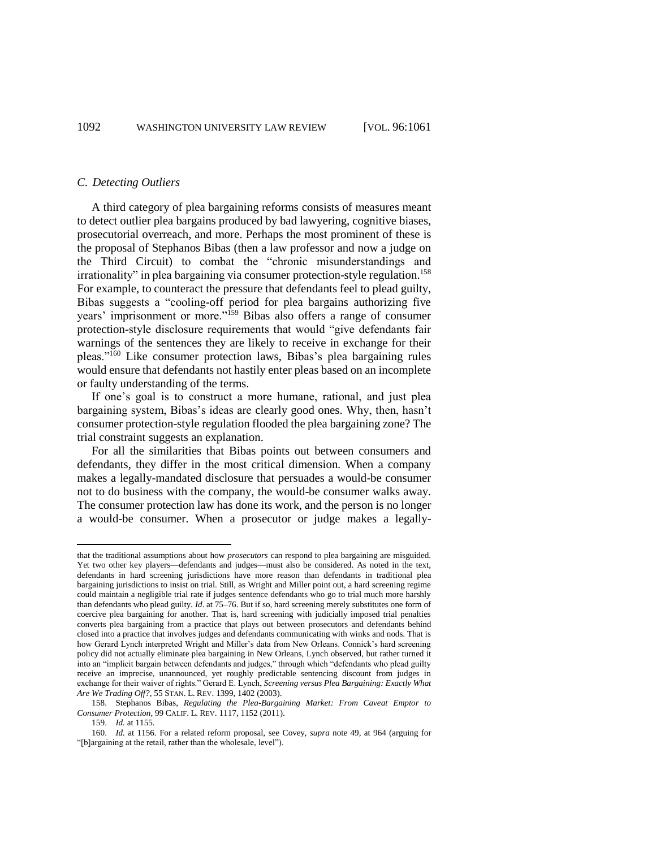#### *C. Detecting Outliers*

A third category of plea bargaining reforms consists of measures meant to detect outlier plea bargains produced by bad lawyering, cognitive biases, prosecutorial overreach, and more. Perhaps the most prominent of these is the proposal of Stephanos Bibas (then a law professor and now a judge on the Third Circuit) to combat the "chronic misunderstandings and irrationality" in plea bargaining via consumer protection-style regulation.<sup>158</sup> For example, to counteract the pressure that defendants feel to plead guilty, Bibas suggests a "cooling-off period for plea bargains authorizing five years' imprisonment or more."<sup>159</sup> Bibas also offers a range of consumer protection-style disclosure requirements that would "give defendants fair warnings of the sentences they are likely to receive in exchange for their pleas."<sup>160</sup> Like consumer protection laws, Bibas's plea bargaining rules would ensure that defendants not hastily enter pleas based on an incomplete or faulty understanding of the terms.

If one's goal is to construct a more humane, rational, and just plea bargaining system, Bibas's ideas are clearly good ones. Why, then, hasn't consumer protection-style regulation flooded the plea bargaining zone? The trial constraint suggests an explanation.

For all the similarities that Bibas points out between consumers and defendants, they differ in the most critical dimension. When a company makes a legally-mandated disclosure that persuades a would-be consumer not to do business with the company, the would-be consumer walks away. The consumer protection law has done its work, and the person is no longer a would-be consumer. When a prosecutor or judge makes a legally-

that the traditional assumptions about how *prosecutors* can respond to plea bargaining are misguided. Yet two other key players—defendants and judges—must also be considered. As noted in the text, defendants in hard screening jurisdictions have more reason than defendants in traditional plea bargaining jurisdictions to insist on trial. Still, as Wright and Miller point out, a hard screening regime could maintain a negligible trial rate if judges sentence defendants who go to trial much more harshly than defendants who plead guilty. *Id*. at 75–76. But if so, hard screening merely substitutes one form of coercive plea bargaining for another. That is, hard screening with judicially imposed trial penalties converts plea bargaining from a practice that plays out between prosecutors and defendants behind closed into a practice that involves judges and defendants communicating with winks and nods. That is how Gerard Lynch interpreted Wright and Miller's data from New Orleans. Connick's hard screening policy did not actually eliminate plea bargaining in New Orleans, Lynch observed, but rather turned it into an "implicit bargain between defendants and judges," through which "defendants who plead guilty receive an imprecise, unannounced, yet roughly predictable sentencing discount from judges in exchange for their waiver of rights." Gerard E. Lynch, *Screening versus Plea Bargaining: Exactly What Are We Trading Off?*, 55 STAN. L. REV. 1399, 1402 (2003).

<sup>158.</sup> Stephanos Bibas, *Regulating the Plea-Bargaining Market: From Caveat Emptor to Consumer Protection*, 99 CALIF. L. REV. 1117, 1152 (2011).

<sup>159.</sup> *Id.* at 1155.

<sup>160.</sup> *Id.* at 1156. For a related reform proposal, see Covey, *supra* note 49, at 964 (arguing for "[b]argaining at the retail, rather than the wholesale, level").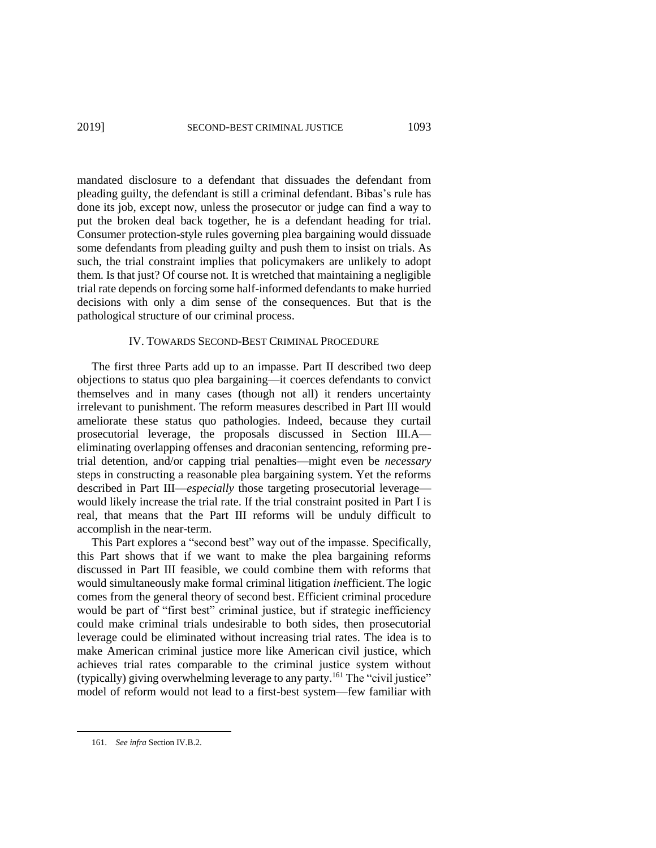mandated disclosure to a defendant that dissuades the defendant from pleading guilty, the defendant is still a criminal defendant. Bibas's rule has done its job, except now, unless the prosecutor or judge can find a way to put the broken deal back together, he is a defendant heading for trial. Consumer protection-style rules governing plea bargaining would dissuade some defendants from pleading guilty and push them to insist on trials. As such, the trial constraint implies that policymakers are unlikely to adopt them. Is that just? Of course not. It is wretched that maintaining a negligible trial rate depends on forcing some half-informed defendants to make hurried decisions with only a dim sense of the consequences. But that is the pathological structure of our criminal process.

#### IV. TOWARDS SECOND-BEST CRIMINAL PROCEDURE

The first three Parts add up to an impasse. Part II described two deep objections to status quo plea bargaining—it coerces defendants to convict themselves and in many cases (though not all) it renders uncertainty irrelevant to punishment. The reform measures described in Part III would ameliorate these status quo pathologies. Indeed, because they curtail prosecutorial leverage, the proposals discussed in Section III.A eliminating overlapping offenses and draconian sentencing, reforming pretrial detention, and/or capping trial penalties—might even be *necessary* steps in constructing a reasonable plea bargaining system. Yet the reforms described in Part III—*especially* those targeting prosecutorial leverage would likely increase the trial rate. If the trial constraint posited in Part I is real, that means that the Part III reforms will be unduly difficult to accomplish in the near-term.

This Part explores a "second best" way out of the impasse. Specifically, this Part shows that if we want to make the plea bargaining reforms discussed in Part III feasible, we could combine them with reforms that would simultaneously make formal criminal litigation *in*efficient.The logic comes from the general theory of second best. Efficient criminal procedure would be part of "first best" criminal justice, but if strategic inefficiency could make criminal trials undesirable to both sides, then prosecutorial leverage could be eliminated without increasing trial rates. The idea is to make American criminal justice more like American civil justice, which achieves trial rates comparable to the criminal justice system without (typically) giving overwhelming leverage to any party.<sup>161</sup> The "civil justice" model of reform would not lead to a first-best system—few familiar with

<sup>161.</sup> *See infra* Section IV.B.2.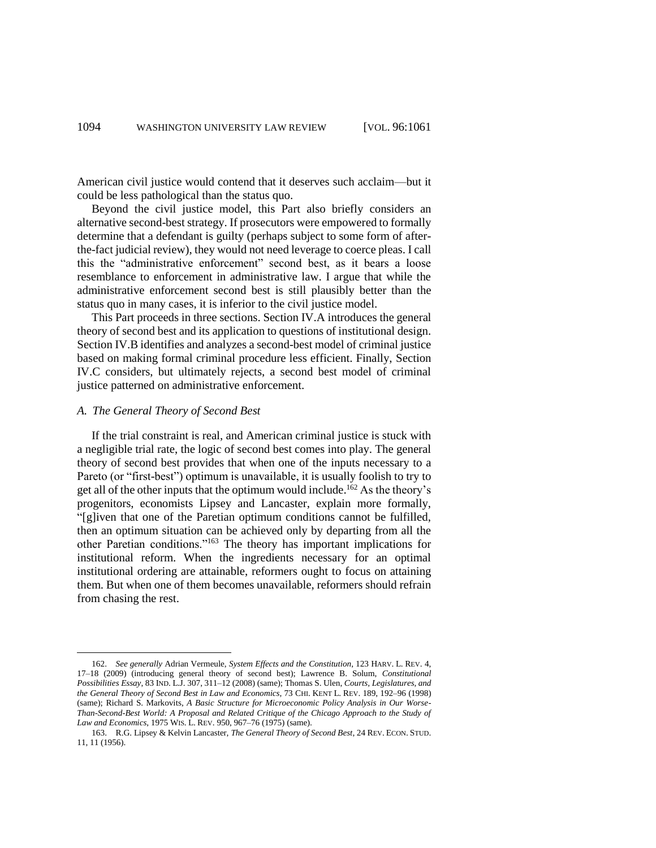American civil justice would contend that it deserves such acclaim—but it could be less pathological than the status quo.

Beyond the civil justice model, this Part also briefly considers an alternative second-best strategy. If prosecutors were empowered to formally determine that a defendant is guilty (perhaps subject to some form of afterthe-fact judicial review), they would not need leverage to coerce pleas. I call this the "administrative enforcement" second best, as it bears a loose resemblance to enforcement in administrative law. I argue that while the administrative enforcement second best is still plausibly better than the status quo in many cases, it is inferior to the civil justice model.

This Part proceeds in three sections. Section IV.A introduces the general theory of second best and its application to questions of institutional design. Section IV.B identifies and analyzes a second-best model of criminal justice based on making formal criminal procedure less efficient. Finally, Section IV.C considers, but ultimately rejects, a second best model of criminal justice patterned on administrative enforcement.

#### *A. The General Theory of Second Best*

l

If the trial constraint is real, and American criminal justice is stuck with a negligible trial rate, the logic of second best comes into play. The general theory of second best provides that when one of the inputs necessary to a Pareto (or "first-best") optimum is unavailable, it is usually foolish to try to get all of the other inputs that the optimum would include. <sup>162</sup> As the theory's progenitors, economists Lipsey and Lancaster, explain more formally, "[g]iven that one of the Paretian optimum conditions cannot be fulfilled, then an optimum situation can be achieved only by departing from all the other Paretian conditions."<sup>163</sup> The theory has important implications for institutional reform. When the ingredients necessary for an optimal institutional ordering are attainable, reformers ought to focus on attaining them. But when one of them becomes unavailable, reformers should refrain from chasing the rest.

<sup>162.</sup> *See generally* Adrian Vermeule, *System Effects and the Constitution*, 123 HARV. L. REV. 4, 17–18 (2009) (introducing general theory of second best); Lawrence B. Solum, *Constitutional Possibilities Essay*, 83 IND. L.J. 307, 311–12 (2008) (same); Thomas S. Ulen, *Courts, Legislatures, and the General Theory of Second Best in Law and Economics*, 73 CHI. KENT L. REV. 189, 192–96 (1998) (same); Richard S. Markovits, *A Basic Structure for Microeconomic Policy Analysis in Our Worse-Than-Second-Best World: A Proposal and Related Critique of the Chicago Approach to the Study of Law and Economics*, 1975 WIS. L. REV. 950, 967–76 (1975) (same).

<sup>163.</sup> R.G. Lipsey & Kelvin Lancaster, *The General Theory of Second Best*, 24 REV. ECON. STUD. 11, 11 (1956).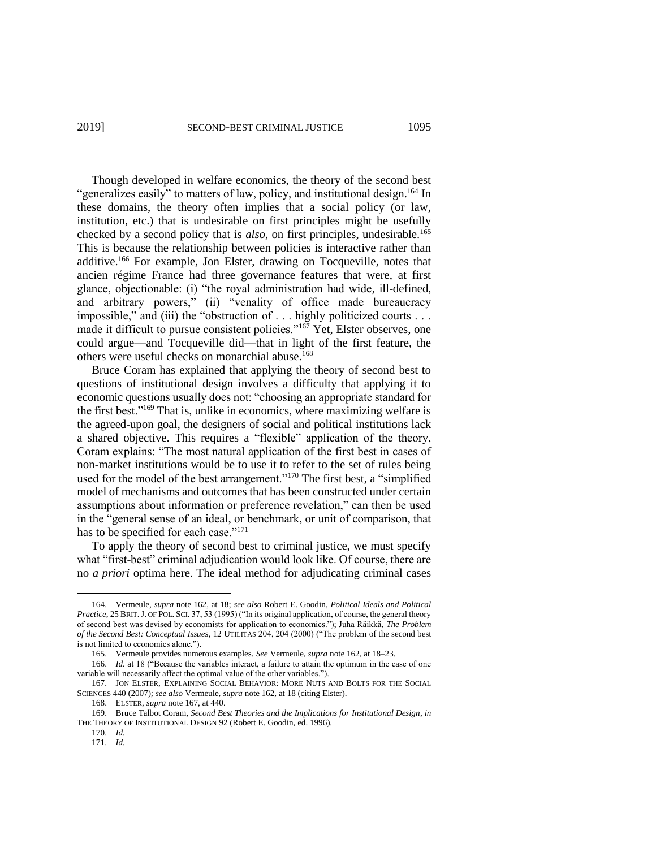Though developed in welfare economics, the theory of the second best "generalizes easily" to matters of law, policy, and institutional design.<sup>164</sup> In these domains, the theory often implies that a social policy (or law, institution, etc.) that is undesirable on first principles might be usefully checked by a second policy that is *also*, on first principles, undesirable.<sup>165</sup> This is because the relationship between policies is interactive rather than additive.<sup>166</sup> For example, Jon Elster, drawing on Tocqueville, notes that ancien régime France had three governance features that were, at first glance, objectionable: (i) "the royal administration had wide, ill-defined, and arbitrary powers," (ii) "venality of office made bureaucracy impossible," and (iii) the "obstruction of . . . highly politicized courts . . . made it difficult to pursue consistent policies."<sup>167</sup> Yet, Elster observes, one could argue—and Tocqueville did—that in light of the first feature, the others were useful checks on monarchial abuse.<sup>168</sup>

Bruce Coram has explained that applying the theory of second best to questions of institutional design involves a difficulty that applying it to economic questions usually does not: "choosing an appropriate standard for the first best."<sup>169</sup> That is, unlike in economics, where maximizing welfare is the agreed-upon goal, the designers of social and political institutions lack a shared objective. This requires a "flexible" application of the theory, Coram explains: "The most natural application of the first best in cases of non-market institutions would be to use it to refer to the set of rules being used for the model of the best arrangement."<sup>170</sup> The first best, a "simplified model of mechanisms and outcomes that has been constructed under certain assumptions about information or preference revelation," can then be used in the "general sense of an ideal, or benchmark, or unit of comparison, that has to be specified for each case."<sup>171</sup>

To apply the theory of second best to criminal justice, we must specify what "first-best" criminal adjudication would look like. Of course, there are no *a priori* optima here. The ideal method for adjudicating criminal cases

 $\overline{a}$ 

<sup>164.</sup> Vermeule, *supra* note 162, at 18; *see also* Robert E. Goodin, *Political Ideals and Political Practice*, 25 BRIT. J. OF POL. SCI. 37, 53 (1995) ("In its original application, of course, the general theory of second best was devised by economists for application to economics."); Juha Räikkä, *The Problem of the Second Best: Conceptual Issues*, 12 UTILITAS 204, 204 (2000) ("The problem of the second best is not limited to economics alone.").

<sup>165.</sup> Vermeule provides numerous examples. *See* Vermeule, *supra* note 162, at 18–23.

<sup>166.</sup> *Id.* at 18 ("Because the variables interact, a failure to attain the optimum in the case of one variable will necessarily affect the optimal value of the other variables.").

<sup>167.</sup> JON ELSTER, EXPLAINING SOCIAL BEHAVIOR: MORE NUTS AND BOLTS FOR THE SOCIAL SCIENCES 440 (2007); *see also* Vermeule, *supra* note 162, at 18 (citing Elster).

<sup>168.</sup> ELSTER, *supra* note 167, at 440. 169. Bruce Talbot Coram, *Second Best Theories and the Implications for Institutional Design*, *in* THE THEORY OF INSTITUTIONAL DESIGN 92 (Robert E. Goodin, ed. 1996).

<sup>170.</sup> *Id.*

<sup>171.</sup> *Id.*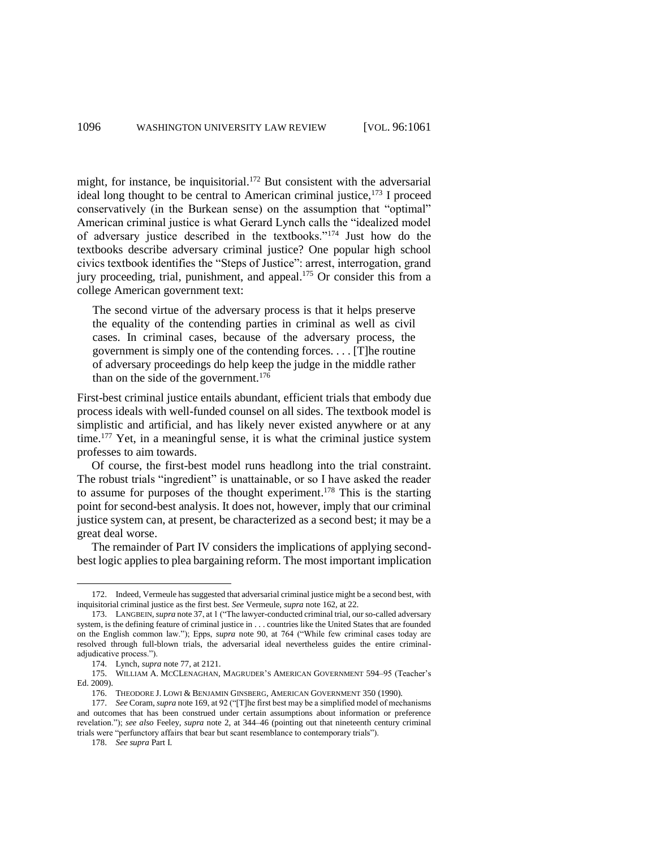might, for instance, be inquisitorial.<sup>172</sup> But consistent with the adversarial ideal long thought to be central to American criminal justice, $173$  I proceed conservatively (in the Burkean sense) on the assumption that "optimal" American criminal justice is what Gerard Lynch calls the "idealized model of adversary justice described in the textbooks."<sup>174</sup> Just how do the textbooks describe adversary criminal justice? One popular high school civics textbook identifies the "Steps of Justice": arrest, interrogation, grand jury proceeding, trial, punishment, and appeal.<sup>175</sup> Or consider this from a college American government text:

The second virtue of the adversary process is that it helps preserve the equality of the contending parties in criminal as well as civil cases. In criminal cases, because of the adversary process, the government is simply one of the contending forces. . . . [T]he routine of adversary proceedings do help keep the judge in the middle rather than on the side of the government.<sup>176</sup>

First-best criminal justice entails abundant, efficient trials that embody due process ideals with well-funded counsel on all sides. The textbook model is simplistic and artificial, and has likely never existed anywhere or at any time.<sup>177</sup> Yet, in a meaningful sense, it is what the criminal justice system professes to aim towards.

Of course, the first-best model runs headlong into the trial constraint. The robust trials "ingredient" is unattainable, or so I have asked the reader to assume for purposes of the thought experiment. <sup>178</sup> This is the starting point for second-best analysis. It does not, however, imply that our criminal justice system can, at present, be characterized as a second best; it may be a great deal worse.

The remainder of Part IV considers the implications of applying secondbest logic applies to plea bargaining reform. The most important implication

178. *See supra* Part I.

<sup>172.</sup> Indeed, Vermeule has suggested that adversarial criminal justice might be a second best, with inquisitorial criminal justice as the first best. *See* Vermeule, *supra* note 162, at 22.

<sup>173.</sup> LANGBEIN, *supra* note 37, at 1 ("The lawyer-conducted criminal trial, our so-called adversary system, is the defining feature of criminal justice in . . . countries like the United States that are founded on the English common law."); Epps, *supra* note 90, at 764 ("While few criminal cases today are resolved through full-blown trials, the adversarial ideal nevertheless guides the entire criminaladjudicative process.").

<sup>174.</sup> Lynch, *supra* note 77, at 2121.

<sup>175.</sup> WILLIAM A. MCCLENAGHAN, MAGRUDER'S AMERICAN GOVERNMENT 594–95 (Teacher's Ed. 2009).

<sup>176.</sup> THEODORE J. LOWI & BENJAMIN GINSBERG, AMERICAN GOVERNMENT 350 (1990).

<sup>177.</sup> *See* Coram, *supra* note 169, at 92 ("[T]he first best may be a simplified model of mechanisms and outcomes that has been construed under certain assumptions about information or preference revelation."); *see also* Feeley, *supra* note 2, at 344–46 (pointing out that nineteenth century criminal trials were "perfunctory affairs that bear but scant resemblance to contemporary trials").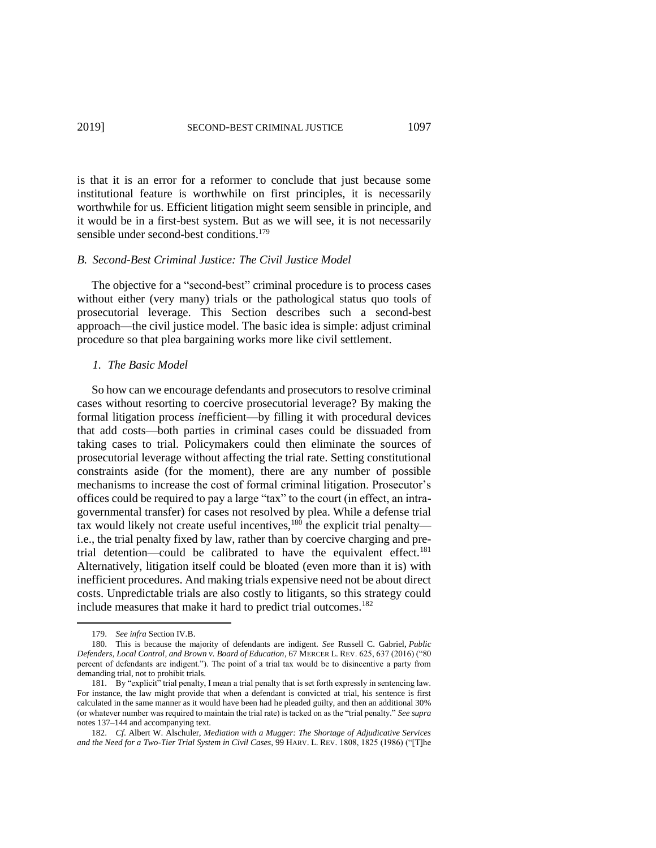is that it is an error for a reformer to conclude that just because some institutional feature is worthwhile on first principles, it is necessarily worthwhile for us. Efficient litigation might seem sensible in principle, and it would be in a first-best system. But as we will see, it is not necessarily sensible under second-best conditions.<sup>179</sup>

#### *B. Second-Best Criminal Justice: The Civil Justice Model*

The objective for a "second-best" criminal procedure is to process cases without either (very many) trials or the pathological status quo tools of prosecutorial leverage. This Section describes such a second-best approach—the civil justice model. The basic idea is simple: adjust criminal procedure so that plea bargaining works more like civil settlement.

#### *1. The Basic Model*

So how can we encourage defendants and prosecutors to resolve criminal cases without resorting to coercive prosecutorial leverage? By making the formal litigation process *in*efficient—by filling it with procedural devices that add costs—both parties in criminal cases could be dissuaded from taking cases to trial. Policymakers could then eliminate the sources of prosecutorial leverage without affecting the trial rate. Setting constitutional constraints aside (for the moment), there are any number of possible mechanisms to increase the cost of formal criminal litigation. Prosecutor's offices could be required to pay a large "tax" to the court (in effect, an intragovernmental transfer) for cases not resolved by plea. While a defense trial tax would likely not create useful incentives, $180$  the explicit trial penalty i.e., the trial penalty fixed by law, rather than by coercive charging and pretrial detention—could be calibrated to have the equivalent effect.<sup>181</sup> Alternatively, litigation itself could be bloated (even more than it is) with inefficient procedures. And making trials expensive need not be about direct costs. Unpredictable trials are also costly to litigants, so this strategy could include measures that make it hard to predict trial outcomes.<sup>182</sup>

<sup>179.</sup> *See infra* Section IV.B.

<sup>180.</sup> This is because the majority of defendants are indigent. *See* Russell C. Gabriel, *Public Defenders, Local Control, and Brown v. Board of Education*, 67 MERCER L. REV. 625, 637 (2016) ("80 percent of defendants are indigent."). The point of a trial tax would be to disincentive a party from demanding trial, not to prohibit trials.

<sup>181.</sup> By "explicit" trial penalty, I mean a trial penalty that is set forth expressly in sentencing law. For instance, the law might provide that when a defendant is convicted at trial, his sentence is first calculated in the same manner as it would have been had he pleaded guilty, and then an additional 30% (or whatever number was required to maintain the trial rate) is tacked on as the "trial penalty." *See supra* notes 137–144 and accompanying text.

<sup>182.</sup> *Cf*. Albert W. Alschuler, *Mediation with a Mugger: The Shortage of Adjudicative Services and the Need for a Two-Tier Trial System in Civil Cases*, 99 HARV. L. REV. 1808, 1825 (1986) ("[T]he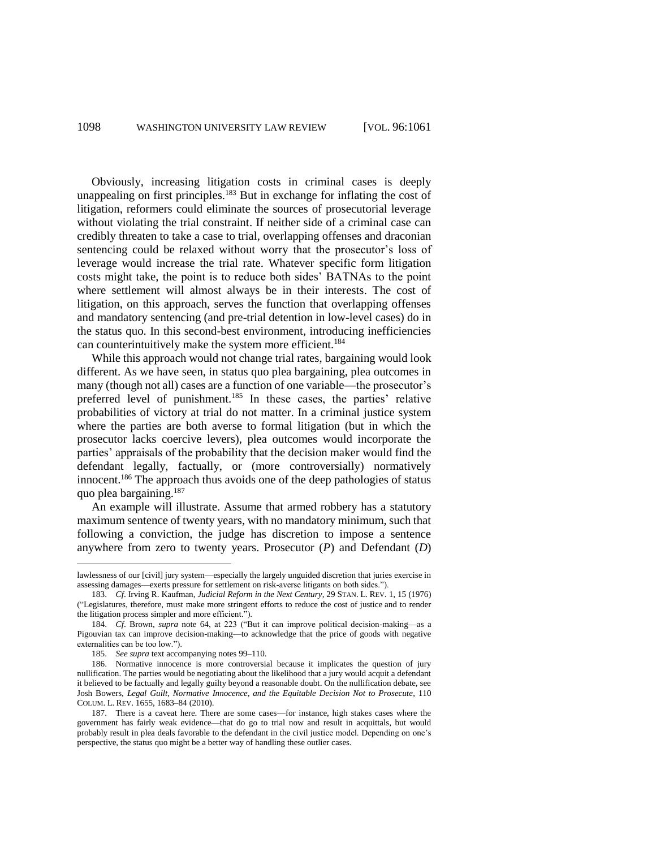Obviously, increasing litigation costs in criminal cases is deeply unappealing on first principles.<sup>183</sup> But in exchange for inflating the cost of litigation, reformers could eliminate the sources of prosecutorial leverage without violating the trial constraint. If neither side of a criminal case can credibly threaten to take a case to trial, overlapping offenses and draconian sentencing could be relaxed without worry that the prosecutor's loss of leverage would increase the trial rate. Whatever specific form litigation costs might take, the point is to reduce both sides' BATNAs to the point where settlement will almost always be in their interests. The cost of litigation, on this approach, serves the function that overlapping offenses and mandatory sentencing (and pre-trial detention in low-level cases) do in the status quo. In this second-best environment, introducing inefficiencies can counterintuitively make the system more efficient.<sup>184</sup>

While this approach would not change trial rates, bargaining would look different. As we have seen, in status quo plea bargaining, plea outcomes in many (though not all) cases are a function of one variable—the prosecutor's preferred level of punishment.<sup>185</sup> In these cases, the parties' relative probabilities of victory at trial do not matter. In a criminal justice system where the parties are both averse to formal litigation (but in which the prosecutor lacks coercive levers), plea outcomes would incorporate the parties' appraisals of the probability that the decision maker would find the defendant legally, factually, or (more controversially) normatively innocent.<sup>186</sup> The approach thus avoids one of the deep pathologies of status quo plea bargaining.<sup>187</sup>

An example will illustrate. Assume that armed robbery has a statutory maximum sentence of twenty years, with no mandatory minimum, such that following a conviction, the judge has discretion to impose a sentence anywhere from zero to twenty years. Prosecutor (*P*) and Defendant (*D*)

l

lawlessness of our [civil] jury system—especially the largely unguided discretion that juries exercise in assessing damages—exerts pressure for settlement on risk-averse litigants on both sides.").

<sup>183.</sup> *Cf*. Irving R. Kaufman, *Judicial Reform in the Next Century*, 29 STAN. L. REV. 1, 15 (1976) ("Legislatures, therefore, must make more stringent efforts to reduce the cost of justice and to render the litigation process simpler and more efficient.").

<sup>184.</sup> *Cf*. Brown, *supra* note 64, at 223 ("But it can improve political decision-making—as a Pigouvian tax can improve decision-making—to acknowledge that the price of goods with negative externalities can be too low.").

<sup>185.</sup> *See supra* text accompanying notes 99–110.

<sup>186.</sup> Normative innocence is more controversial because it implicates the question of jury nullification. The parties would be negotiating about the likelihood that a jury would acquit a defendant it believed to be factually and legally guilty beyond a reasonable doubt. On the nullification debate, see Josh Bowers, *Legal Guilt, Normative Innocence, and the Equitable Decision Not to Prosecute*, 110 COLUM. L. REV. 1655, 1683–84 (2010).

<sup>187.</sup> There is a caveat here. There are some cases—for instance, high stakes cases where the government has fairly weak evidence—that do go to trial now and result in acquittals, but would probably result in plea deals favorable to the defendant in the civil justice model. Depending on one's perspective, the status quo might be a better way of handling these outlier cases.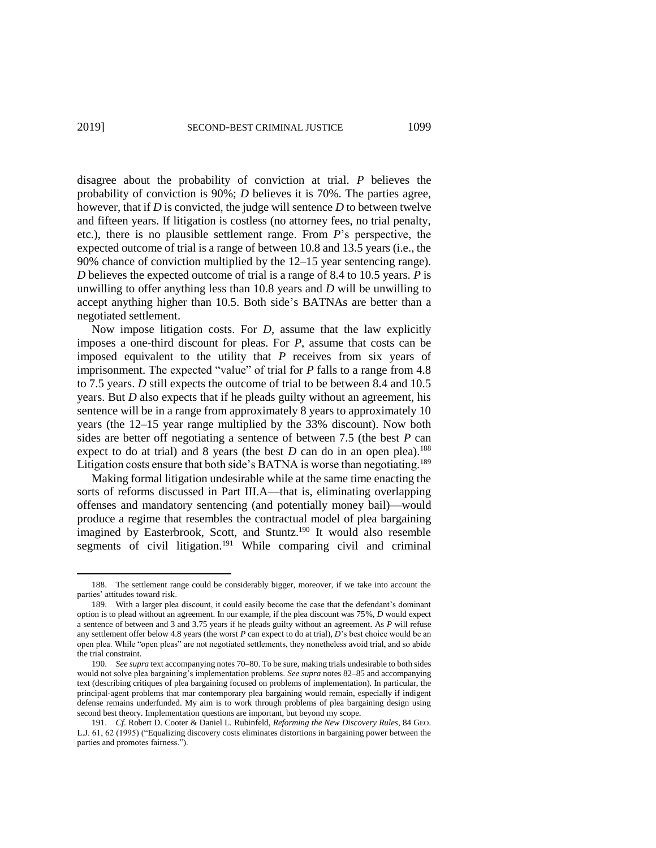disagree about the probability of conviction at trial. *P* believes the probability of conviction is 90%; *D* believes it is 70%. The parties agree, however, that if *D* is convicted, the judge will sentence *D* to between twelve and fifteen years. If litigation is costless (no attorney fees, no trial penalty, etc.), there is no plausible settlement range. From *P*'s perspective, the expected outcome of trial is a range of between 10.8 and 13.5 years (i.e., the 90% chance of conviction multiplied by the 12–15 year sentencing range). *D* believes the expected outcome of trial is a range of 8.4 to 10.5 years. *P* is unwilling to offer anything less than 10.8 years and *D* will be unwilling to accept anything higher than 10.5. Both side's BATNAs are better than a negotiated settlement.

Now impose litigation costs. For *D*, assume that the law explicitly imposes a one-third discount for pleas. For *P*, assume that costs can be imposed equivalent to the utility that *P* receives from six years of imprisonment. The expected "value" of trial for *P* falls to a range from 4.8 to 7.5 years. *D* still expects the outcome of trial to be between 8.4 and 10.5 years. But *D* also expects that if he pleads guilty without an agreement, his sentence will be in a range from approximately 8 years to approximately 10 years (the 12–15 year range multiplied by the 33% discount). Now both sides are better off negotiating a sentence of between 7.5 (the best *P* can expect to do at trial) and 8 years (the best  $D$  can do in an open plea).<sup>188</sup> Litigation costs ensure that both side's BATNA is worse than negotiating.<sup>189</sup>

Making formal litigation undesirable while at the same time enacting the sorts of reforms discussed in Part III.A—that is, eliminating overlapping offenses and mandatory sentencing (and potentially money bail)—would produce a regime that resembles the contractual model of plea bargaining imagined by Easterbrook, Scott, and Stuntz.<sup>190</sup> It would also resemble segments of civil litigation.<sup>191</sup> While comparing civil and criminal

 $\overline{a}$ 

<sup>188.</sup> The settlement range could be considerably bigger, moreover, if we take into account the parties' attitudes toward risk.

<sup>189.</sup> With a larger plea discount, it could easily become the case that the defendant's dominant option is to plead without an agreement. In our example, if the plea discount was 75%, *D* would expect a sentence of between and 3 and 3.75 years if he pleads guilty without an agreement. As *P* will refuse any settlement offer below 4.8 years (the worst *P* can expect to do at trial), *D*'s best choice would be an open plea. While "open pleas" are not negotiated settlements, they nonetheless avoid trial, and so abide the trial constraint.

<sup>190.</sup> *See supra* text accompanying notes 70–80. To be sure, making trials undesirable to both sides would not solve plea bargaining's implementation problems. *See supra* notes 82–85 and accompanying text (describing critiques of plea bargaining focused on problems of implementation). In particular, the principal-agent problems that mar contemporary plea bargaining would remain, especially if indigent defense remains underfunded. My aim is to work through problems of plea bargaining design using second best theory. Implementation questions are important, but beyond my scope.

<sup>191.</sup> *Cf*. Robert D. Cooter & Daniel L. Rubinfeld, *Reforming the New Discovery Rules*, 84 GEO. L.J. 61, 62 (1995) ("Equalizing discovery costs eliminates distortions in bargaining power between the parties and promotes fairness.").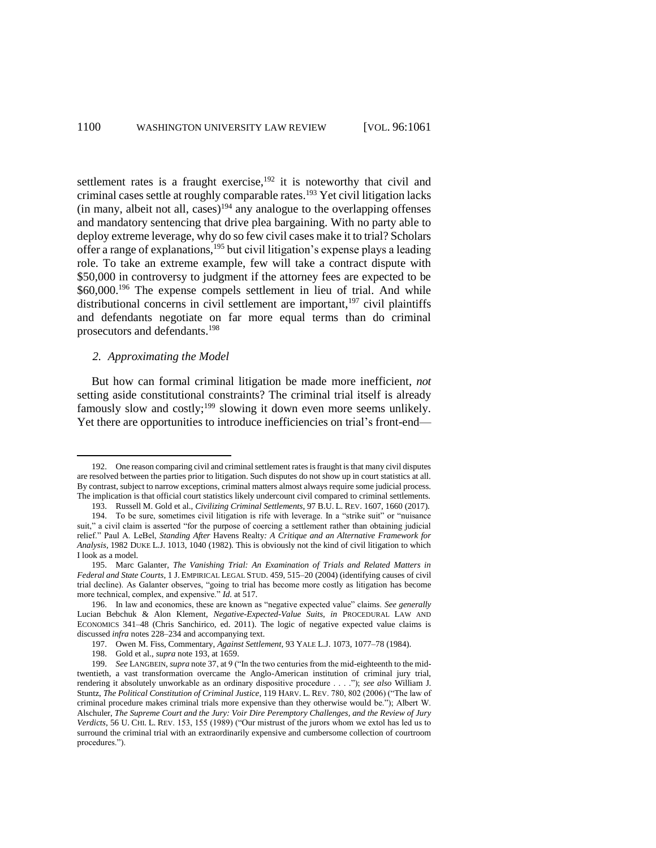settlement rates is a fraught exercise, $192$  it is noteworthy that civil and criminal cases settle at roughly comparable rates.<sup>193</sup> Yet civil litigation lacks (in many, albeit not all, cases)<sup>194</sup> any analogue to the overlapping offenses and mandatory sentencing that drive plea bargaining. With no party able to deploy extreme leverage, why do so few civil cases make it to trial? Scholars offer a range of explanations,<sup>195</sup> but civil litigation's expense plays a leading role. To take an extreme example, few will take a contract dispute with \$50,000 in controversy to judgment if the attorney fees are expected to be \$60,000.<sup>196</sup> The expense compels settlement in lieu of trial. And while distributional concerns in civil settlement are important,  $197$  civil plaintiffs and defendants negotiate on far more equal terms than do criminal prosecutors and defendants.<sup>198</sup>

#### *2. Approximating the Model*

 $\overline{\phantom{a}}$ 

But how can formal criminal litigation be made more inefficient, *not* setting aside constitutional constraints? The criminal trial itself is already famously slow and costly;<sup>199</sup> slowing it down even more seems unlikely. Yet there are opportunities to introduce inefficiencies on trial's front-end—

<sup>192.</sup> One reason comparing civil and criminal settlement rates is fraught is that many civil disputes are resolved between the parties prior to litigation. Such disputes do not show up in court statistics at all. By contrast, subject to narrow exceptions, criminal matters almost always require some judicial process. The implication is that official court statistics likely undercount civil compared to criminal settlements.

<sup>193.</sup> Russell M. Gold et al., *Civilizing Criminal Settlements*, 97 B.U. L. REV. 1607, 1660 (2017). 194. To be sure, sometimes civil litigation is rife with leverage. In a "strike suit" or "nuisance suit," a civil claim is asserted "for the purpose of coercing a settlement rather than obtaining judicial relief." Paul A. LeBel, *Standing After* Havens Realty*: A Critique and an Alternative Framework for Analysis*, 1982 DUKE L.J. 1013, 1040 (1982). This is obviously not the kind of civil litigation to which I look as a model.

<sup>195.</sup> Marc Galanter, *The Vanishing Trial: An Examination of Trials and Related Matters in Federal and State Courts*, 1 J. EMPIRICAL LEGAL STUD. 459, 515–20 (2004) (identifying causes of civil trial decline). As Galanter observes, "going to trial has become more costly as litigation has become more technical, complex, and expensive." *Id.* at 517.

<sup>196.</sup> In law and economics, these are known as "negative expected value" claims. *See generally* Lucian Bebchuk & Alon Klement, *Negative-Expected-Value Suits*, *in* PROCEDURAL LAW AND ECONOMICS 341–48 (Chris Sanchirico, ed. 2011). The logic of negative expected value claims is discussed *infra* notes 228–234 and accompanying text.

<sup>197.</sup> Owen M. Fiss, Commentary, *Against Settlement*, 93 YALE L.J. 1073, 1077–78 (1984).

<sup>198.</sup> Gold et al., *supra* note 193, at 1659.

<sup>199.</sup> *See* LANGBEIN, *supra* note 37, at 9 ("In the two centuries from the mid-eighteenth to the midtwentieth, a vast transformation overcame the Anglo-American institution of criminal jury trial, rendering it absolutely unworkable as an ordinary dispositive procedure . . . ."); *see also* William J. Stuntz, *The Political Constitution of Criminal Justice*, 119 HARV. L. REV. 780, 802 (2006) ("The law of criminal procedure makes criminal trials more expensive than they otherwise would be."); Albert W. Alschuler, *The Supreme Court and the Jury: Voir Dire Peremptory Challenges, and the Review of Jury Verdicts*, 56 U. CHI. L. REV. 153, 155 (1989) ("Our mistrust of the jurors whom we extol has led us to surround the criminal trial with an extraordinarily expensive and cumbersome collection of courtroom procedures.").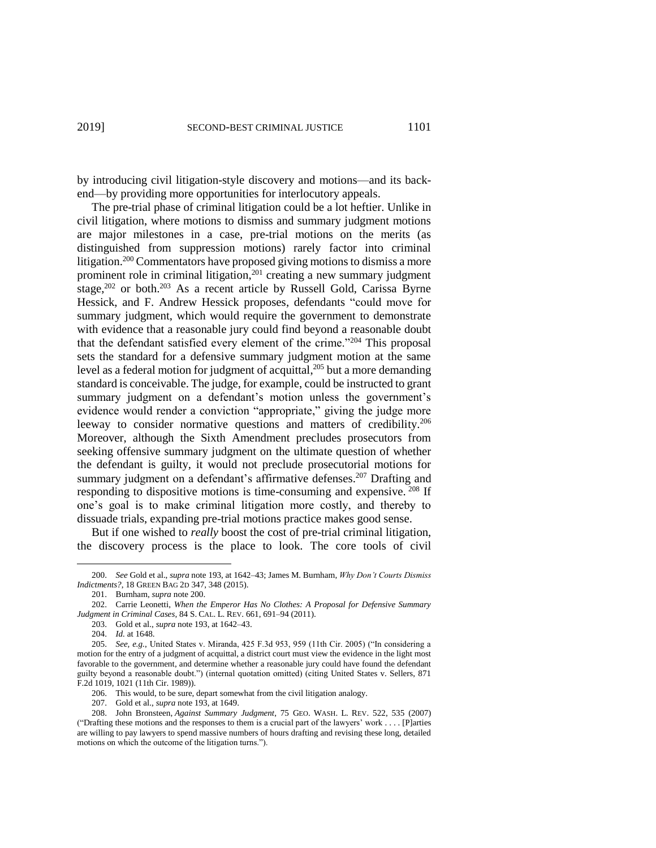by introducing civil litigation-style discovery and motions—and its backend—by providing more opportunities for interlocutory appeals.

The pre-trial phase of criminal litigation could be a lot heftier. Unlike in civil litigation, where motions to dismiss and summary judgment motions are major milestones in a case, pre-trial motions on the merits (as distinguished from suppression motions) rarely factor into criminal litigation.<sup>200</sup> Commentators have proposed giving motions to dismiss a more prominent role in criminal litigation, $201$  creating a new summary judgment stage, $202$  or both. $203$  As a recent article by Russell Gold, Carissa Byrne Hessick, and F. Andrew Hessick proposes, defendants "could move for summary judgment, which would require the government to demonstrate with evidence that a reasonable jury could find beyond a reasonable doubt that the defendant satisfied every element of the crime."<sup>204</sup> This proposal sets the standard for a defensive summary judgment motion at the same level as a federal motion for judgment of acquittal, <sup>205</sup> but a more demanding standard is conceivable. The judge, for example, could be instructed to grant summary judgment on a defendant's motion unless the government's evidence would render a conviction "appropriate," giving the judge more leeway to consider normative questions and matters of credibility.<sup>206</sup> Moreover, although the Sixth Amendment precludes prosecutors from seeking offensive summary judgment on the ultimate question of whether the defendant is guilty, it would not preclude prosecutorial motions for summary judgment on a defendant's affirmative defenses.<sup>207</sup> Drafting and responding to dispositive motions is time-consuming and expensive. <sup>208</sup> If one's goal is to make criminal litigation more costly, and thereby to dissuade trials, expanding pre-trial motions practice makes good sense.

But if one wished to *really* boost the cost of pre-trial criminal litigation, the discovery process is the place to look. The core tools of civil

l

<sup>200.</sup> *See* Gold et al., *supra* note 193, at 1642–43; James M. Burnham, *Why Don't Courts Dismiss Indictments?*, 18 GREEN BAG 2D 347, 348 (2015).

<sup>201.</sup> Burnham, *supra* note 200.

<sup>202.</sup> Carrie Leonetti, *When the Emperor Has No Clothes: A Proposal for Defensive Summary Judgment in Criminal Cases*, 84 S. CAL. L. REV. 661, 691–94 (2011).

<sup>203.</sup> Gold et al., *supra* note 193, at 1642–43.

<sup>204.</sup> *Id.* at 1648.

<sup>205.</sup> *See, e.g.*, United States v. Miranda, 425 F.3d 953, 959 (11th Cir. 2005) ("In considering a motion for the entry of a judgment of acquittal, a district court must view the evidence in the light most favorable to the government, and determine whether a reasonable jury could have found the defendant guilty beyond a reasonable doubt.") (internal quotation omitted) (citing United States v. Sellers, 871 F.2d 1019, 1021 (11th Cir. 1989)).

<sup>206.</sup> This would, to be sure, depart somewhat from the civil litigation analogy.

<sup>207.</sup> Gold et al., *supra* note 193, at 1649.

<sup>208.</sup> John Bronsteen, *Against Summary Judgment*, 75 GEO. WASH. L. REV. 522, 535 (2007) ("Drafting these motions and the responses to them is a crucial part of the lawyers' work . . . . [P]arties are willing to pay lawyers to spend massive numbers of hours drafting and revising these long, detailed motions on which the outcome of the litigation turns.").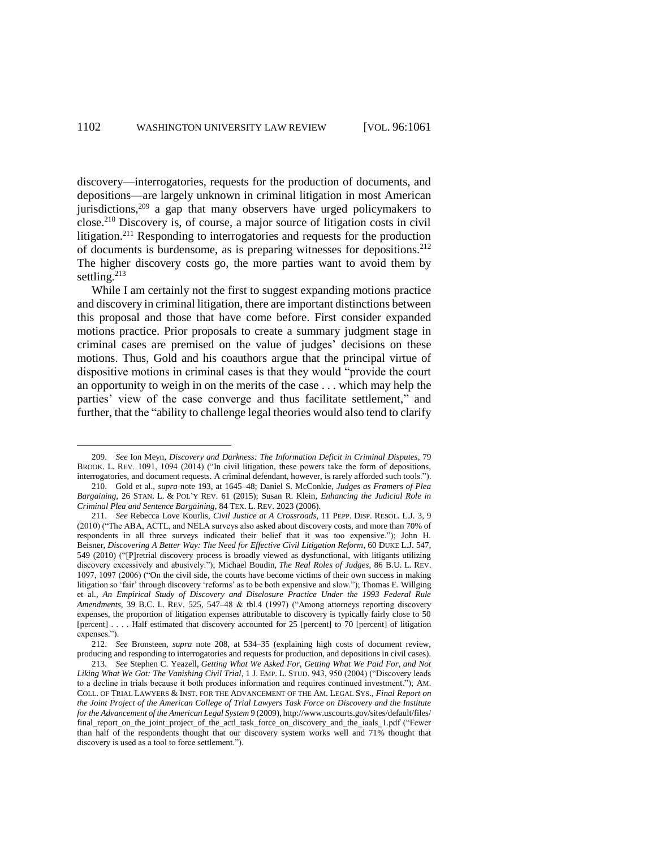discovery—interrogatories, requests for the production of documents, and depositions—are largely unknown in criminal litigation in most American jurisdictions,<sup>209</sup> a gap that many observers have urged policymakers to close. <sup>210</sup> Discovery is, of course, a major source of litigation costs in civil litigation.<sup>211</sup> Responding to interrogatories and requests for the production of documents is burdensome, as is preparing witnesses for depositions.<sup>212</sup> The higher discovery costs go, the more parties want to avoid them by settling.<sup>213</sup>

While I am certainly not the first to suggest expanding motions practice and discovery in criminal litigation, there are important distinctions between this proposal and those that have come before. First consider expanded motions practice. Prior proposals to create a summary judgment stage in criminal cases are premised on the value of judges' decisions on these motions. Thus, Gold and his coauthors argue that the principal virtue of dispositive motions in criminal cases is that they would "provide the court an opportunity to weigh in on the merits of the case . . . which may help the parties' view of the case converge and thus facilitate settlement," and further, that the "ability to challenge legal theories would also tend to clarify

 $\overline{a}$ 

<sup>209.</sup> *See* Ion Meyn, *Discovery and Darkness: The Information Deficit in Criminal Disputes*, 79 BROOK. L. REV. 1091, 1094 (2014) ("In civil litigation, these powers take the form of depositions, interrogatories, and document requests. A criminal defendant, however, is rarely afforded such tools.").

<sup>210.</sup> Gold et al., *supra* note 193, at 1645–48; Daniel S. McConkie, *Judges as Framers of Plea Bargaining*, 26 STAN. L. & POL'Y REV. 61 (2015); Susan R. Klein, *Enhancing the Judicial Role in Criminal Plea and Sentence Bargaining*, 84 TEX. L. REV. 2023 (2006).

<sup>211.</sup> *See* Rebecca Love Kourlis, *Civil Justice at A Crossroads*, 11 PEPP. DISP. RESOL. L.J. 3, 9 (2010) ("The ABA, ACTL, and NELA surveys also asked about discovery costs, and more than 70% of respondents in all three surveys indicated their belief that it was too expensive."); John H. Beisner, *Discovering A Better Way: The Need for Effective Civil Litigation Reform*, 60 DUKE L.J. 547, 549 (2010) ("[P]retrial discovery process is broadly viewed as dysfunctional, with litigants utilizing discovery excessively and abusively."); Michael Boudin, *The Real Roles of Judges*, 86 B.U. L. REV. 1097, 1097 (2006) ("On the civil side, the courts have become victims of their own success in making litigation so 'fair' through discovery 'reforms' as to be both expensive and slow."); Thomas E. Willging et al., *An Empirical Study of Discovery and Disclosure Practice Under the 1993 Federal Rule Amendments*, 39 B.C. L. REV. 525, 547–48 & tbl.4 (1997) ("Among attorneys reporting discovery expenses, the proportion of litigation expenses attributable to discovery is typically fairly close to 50 [percent] . . . . Half estimated that discovery accounted for 25 [percent] to 70 [percent] of litigation expenses.").

<sup>212.</sup> *See* Bronsteen, *supra* note 208, at 534–35 (explaining high costs of document review, producing and responding to interrogatories and requests for production, and depositions in civil cases).

<sup>213.</sup> *See* Stephen C. Yeazell, *Getting What We Asked For, Getting What We Paid For, and Not Liking What We Got: The Vanishing Civil Trial*, 1 J. EMP. L. STUD. 943, 950 (2004) ("Discovery leads to a decline in trials because it both produces information and requires continued investment."); AM. COLL. OF TRIAL LAWYERS & INST. FOR THE ADVANCEMENT OF THE AM. LEGAL SYS., *Final Report on the Joint Project of the American College of Trial Lawyers Task Force on Discovery and the Institute for the Advancement of the American Legal System* 9 (2009), http://www.uscourts.gov/sites/default/files/ final\_report\_on\_the\_joint\_project\_of\_the\_actl\_task\_force\_on\_discovery\_and\_the\_iaals\_1.pdf ("Fewer than half of the respondents thought that our discovery system works well and 71% thought that discovery is used as a tool to force settlement.").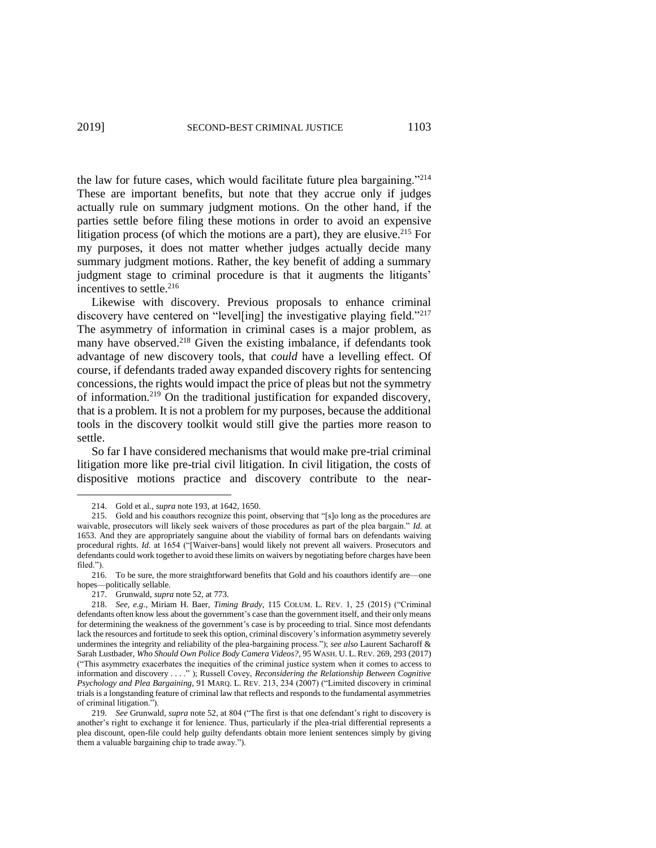the law for future cases, which would facilitate future plea bargaining."<sup>214</sup> These are important benefits, but note that they accrue only if judges actually rule on summary judgment motions. On the other hand, if the parties settle before filing these motions in order to avoid an expensive litigation process (of which the motions are a part), they are elusive. <sup>215</sup> For my purposes, it does not matter whether judges actually decide many summary judgment motions. Rather, the key benefit of adding a summary judgment stage to criminal procedure is that it augments the litigants' incentives to settle.<sup>216</sup>

Likewise with discovery. Previous proposals to enhance criminal discovery have centered on "level[ing] the investigative playing field."<sup>217</sup> The asymmetry of information in criminal cases is a major problem, as many have observed.<sup>218</sup> Given the existing imbalance, if defendants took advantage of new discovery tools, that *could* have a levelling effect. Of course, if defendants traded away expanded discovery rights for sentencing concessions, the rights would impact the price of pleas but not the symmetry of information.<sup>219</sup> On the traditional justification for expanded discovery, that is a problem. It is not a problem for my purposes, because the additional tools in the discovery toolkit would still give the parties more reason to settle.

So far I have considered mechanisms that would make pre-trial criminal litigation more like pre-trial civil litigation. In civil litigation, the costs of dispositive motions practice and discovery contribute to the near-

<sup>214.</sup> Gold et al., *supra* note 193, at 1642, 1650.

<sup>215.</sup> Gold and his coauthors recognize this point, observing that "[s]o long as the procedures are waivable, prosecutors will likely seek waivers of those procedures as part of the plea bargain." *Id.* at 1653. And they are appropriately sanguine about the viability of formal bars on defendants waiving procedural rights. *Id*. at 1654 ("[Waiver-bans] would likely not prevent all waivers. Prosecutors and defendants could work together to avoid these limits on waivers by negotiating before charges have been filed.").

<sup>216.</sup> To be sure, the more straightforward benefits that Gold and his coauthors identify are—one hopes—politically sellable.

<sup>217.</sup> Grunwald, *supra* note 52, at 773.

<sup>218.</sup> *See, e.g.*, Miriam H. Baer, *Timing Brady*, 115 COLUM. L. REV. 1, 25 (2015) ("Criminal defendants often know less about the government's case than the government itself, and their only means for determining the weakness of the government's case is by proceeding to trial. Since most defendants lack the resources and fortitude to seek this option, criminal discovery's information asymmetry severely undermines the integrity and reliability of the plea-bargaining process."); *see also* Laurent Sacharoff & Sarah Lustbader, *Who Should Own Police Body Camera Videos?*, 95 WASH. U. L. REV. 269, 293 (2017) ("This asymmetry exacerbates the inequities of the criminal justice system when it comes to access to information and discovery . . . ." ); Russell Covey, *Reconsidering the Relationship Between Cognitive Psychology and Plea Bargaining*, 91 MARQ. L. REV. 213, 234 (2007) ("Limited discovery in criminal trials is a longstanding feature of criminal law that reflects and responds to the fundamental asymmetries of criminal litigation.").

<sup>219.</sup> *See* Grunwald, *supra* note 52, at 804 ("The first is that one defendant's right to discovery is another's right to exchange it for lenience. Thus, particularly if the plea-trial differential represents a plea discount, open-file could help guilty defendants obtain more lenient sentences simply by giving them a valuable bargaining chip to trade away.").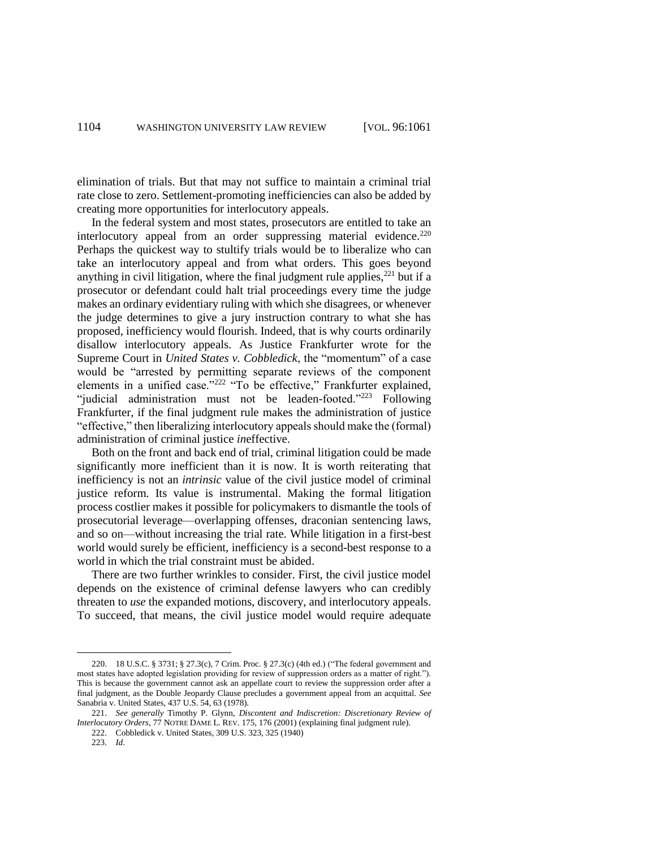elimination of trials. But that may not suffice to maintain a criminal trial rate close to zero. Settlement-promoting inefficiencies can also be added by creating more opportunities for interlocutory appeals.

In the federal system and most states, prosecutors are entitled to take an interlocutory appeal from an order suppressing material evidence.<sup>220</sup> Perhaps the quickest way to stultify trials would be to liberalize who can take an interlocutory appeal and from what orders. This goes beyond anything in civil litigation, where the final judgment rule applies, $^{221}$  but if a prosecutor or defendant could halt trial proceedings every time the judge makes an ordinary evidentiary ruling with which she disagrees, or whenever the judge determines to give a jury instruction contrary to what she has proposed, inefficiency would flourish. Indeed, that is why courts ordinarily disallow interlocutory appeals. As Justice Frankfurter wrote for the Supreme Court in *United States v. Cobbledick*, the "momentum" of a case would be "arrested by permitting separate reviews of the component elements in a unified case."<sup>222</sup> "To be effective," Frankfurter explained, "judicial administration must not be leaden-footed."<sup>223</sup> Following Frankfurter, if the final judgment rule makes the administration of justice "effective," then liberalizing interlocutory appeals should make the (formal) administration of criminal justice *in*effective.

Both on the front and back end of trial, criminal litigation could be made significantly more inefficient than it is now. It is worth reiterating that inefficiency is not an *intrinsic* value of the civil justice model of criminal justice reform. Its value is instrumental. Making the formal litigation process costlier makes it possible for policymakers to dismantle the tools of prosecutorial leverage—overlapping offenses, draconian sentencing laws, and so on—without increasing the trial rate. While litigation in a first-best world would surely be efficient, inefficiency is a second-best response to a world in which the trial constraint must be abided.

There are two further wrinkles to consider. First, the civil justice model depends on the existence of criminal defense lawyers who can credibly threaten to *use* the expanded motions, discovery, and interlocutory appeals. To succeed, that means, the civil justice model would require adequate

l

<sup>220.</sup> 18 U.S.C. § 3731; § 27.3(c), 7 Crim. Proc. § 27.3(c) (4th ed.) ("The federal government and most states have adopted legislation providing for review of suppression orders as a matter of right."). This is because the government cannot ask an appellate court to review the suppression order after a final judgment, as the Double Jeopardy Clause precludes a government appeal from an acquittal. *See* Sanabria v. United States, 437 U.S. 54, 63 (1978).

<sup>221.</sup> *See generally* Timothy P. Glynn, *Discontent and Indiscretion: Discretionary Review of Interlocutory Orders*, 77 NOTRE DAME L. REV. 175, 176 (2001) (explaining final judgment rule).

<sup>222.</sup> Cobbledick v. United States, 309 U.S. 323, 325 (1940)

<sup>223.</sup> *Id*.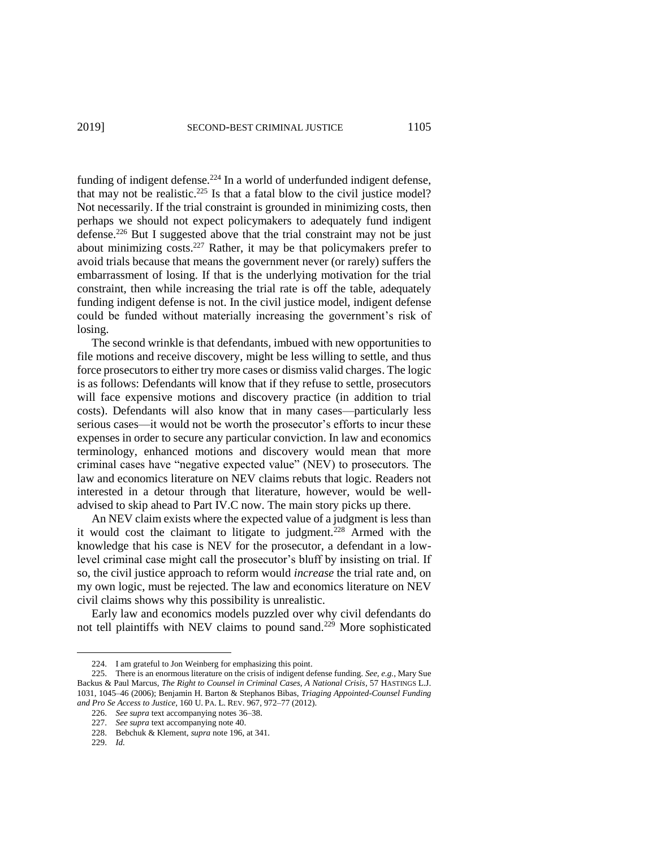funding of indigent defense.<sup>224</sup> In a world of underfunded indigent defense, that may not be realistic. $225$  Is that a fatal blow to the civil justice model? Not necessarily. If the trial constraint is grounded in minimizing costs, then perhaps we should not expect policymakers to adequately fund indigent defense.<sup>226</sup> But I suggested above that the trial constraint may not be just about minimizing  $\cos^{-227}$  Rather, it may be that policymakers prefer to avoid trials because that means the government never (or rarely) suffers the embarrassment of losing. If that is the underlying motivation for the trial constraint, then while increasing the trial rate is off the table, adequately funding indigent defense is not. In the civil justice model, indigent defense could be funded without materially increasing the government's risk of losing.

The second wrinkle is that defendants, imbued with new opportunities to file motions and receive discovery, might be less willing to settle, and thus force prosecutors to either try more cases or dismiss valid charges. The logic is as follows: Defendants will know that if they refuse to settle, prosecutors will face expensive motions and discovery practice (in addition to trial costs). Defendants will also know that in many cases—particularly less serious cases—it would not be worth the prosecutor's efforts to incur these expenses in order to secure any particular conviction. In law and economics terminology, enhanced motions and discovery would mean that more criminal cases have "negative expected value" (NEV) to prosecutors. The law and economics literature on NEV claims rebuts that logic. Readers not interested in a detour through that literature, however, would be welladvised to skip ahead to Part IV.C now. The main story picks up there.

An NEV claim exists where the expected value of a judgment is less than it would cost the claimant to litigate to judgment.<sup>228</sup> Armed with the knowledge that his case is NEV for the prosecutor, a defendant in a lowlevel criminal case might call the prosecutor's bluff by insisting on trial. If so, the civil justice approach to reform would *increase* the trial rate and, on my own logic, must be rejected. The law and economics literature on NEV civil claims shows why this possibility is unrealistic.

Early law and economics models puzzled over why civil defendants do not tell plaintiffs with NEV claims to pound sand.<sup>229</sup> More sophisticated

229. *Id.*

l

<sup>224.</sup> I am grateful to Jon Weinberg for emphasizing this point.

<sup>225.</sup> There is an enormous literature on the crisis of indigent defense funding. *See, e.g.*, Mary Sue Backus & Paul Marcus, *The Right to Counsel in Criminal Cases, A National Crisis*, 57 HASTINGS L.J. 1031, 1045–46 (2006); Benjamin H. Barton & Stephanos Bibas, *Triaging Appointed-Counsel Funding and Pro Se Access to Justice*, 160 U. PA. L. REV. 967, 972–77 (2012).

<sup>226.</sup> *See supra* text accompanying notes 36–38.

<sup>227.</sup> *See supra* text accompanying note 40.

<sup>228.</sup> Bebchuk & Klement, *supra* note 196, at 341.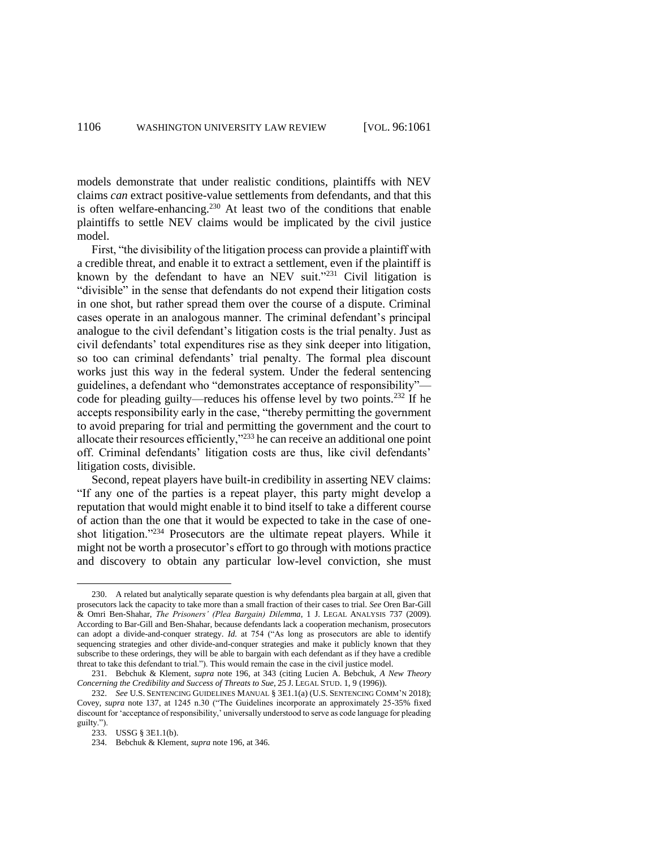models demonstrate that under realistic conditions, plaintiffs with NEV claims *can* extract positive-value settlements from defendants, and that this is often welfare-enhancing.<sup>230</sup> At least two of the conditions that enable plaintiffs to settle NEV claims would be implicated by the civil justice model.

First, "the divisibility of the litigation process can provide a plaintiff with a credible threat, and enable it to extract a settlement, even if the plaintiff is known by the defendant to have an NEV suit."<sup>231</sup> Civil litigation is "divisible" in the sense that defendants do not expend their litigation costs in one shot, but rather spread them over the course of a dispute. Criminal cases operate in an analogous manner. The criminal defendant's principal analogue to the civil defendant's litigation costs is the trial penalty. Just as civil defendants' total expenditures rise as they sink deeper into litigation, so too can criminal defendants' trial penalty. The formal plea discount works just this way in the federal system. Under the federal sentencing guidelines, a defendant who "demonstrates acceptance of responsibility" code for pleading guilty—reduces his offense level by two points.<sup>232</sup> If he accepts responsibility early in the case, "thereby permitting the government to avoid preparing for trial and permitting the government and the court to allocate their resources efficiently,"<sup>233</sup> he can receive an additional one point off. Criminal defendants' litigation costs are thus, like civil defendants' litigation costs, divisible.

Second, repeat players have built-in credibility in asserting NEV claims: "If any one of the parties is a repeat player, this party might develop a reputation that would might enable it to bind itself to take a different course of action than the one that it would be expected to take in the case of oneshot litigation."<sup>234</sup> Prosecutors are the ultimate repeat players. While it might not be worth a prosecutor's effort to go through with motions practice and discovery to obtain any particular low-level conviction, she must

<sup>230.</sup> A related but analytically separate question is why defendants plea bargain at all, given that prosecutors lack the capacity to take more than a small fraction of their cases to trial. *See* Oren Bar-Gill & Omri Ben-Shahar, *The Prisoners' (Plea Bargain) Dilemma*, 1 J. LEGAL ANALYSIS 737 (2009). According to Bar-Gill and Ben-Shahar, because defendants lack a cooperation mechanism, prosecutors can adopt a divide-and-conquer strategy. *Id.* at 754 ("As long as prosecutors are able to identify sequencing strategies and other divide-and-conquer strategies and make it publicly known that they subscribe to these orderings, they will be able to bargain with each defendant as if they have a credible threat to take this defendant to trial."). This would remain the case in the civil justice model.

<sup>231.</sup> Bebchuk & Klement, *supra* note 196, at 343 (citing Lucien A. Bebchuk, *A New Theory Concerning the Credibility and Success of Threats to Sue*, 25 J. LEGAL STUD. 1, 9 (1996)).

<sup>232.</sup> *See* U.S. SENTENCING GUIDELINES MANUAL § 3E1.1(a) (U.S. SENTENCING COMM'N 2018); Covey, *supra* note 137, at 1245 n.30 ("The Guidelines incorporate an approximately 25-35% fixed discount for 'acceptance of responsibility,' universally understood to serve as code language for pleading guilty.").

<sup>233.</sup> USSG § 3E1.1(b).

<sup>234.</sup> Bebchuk & Klement, *supra* note 196, at 346.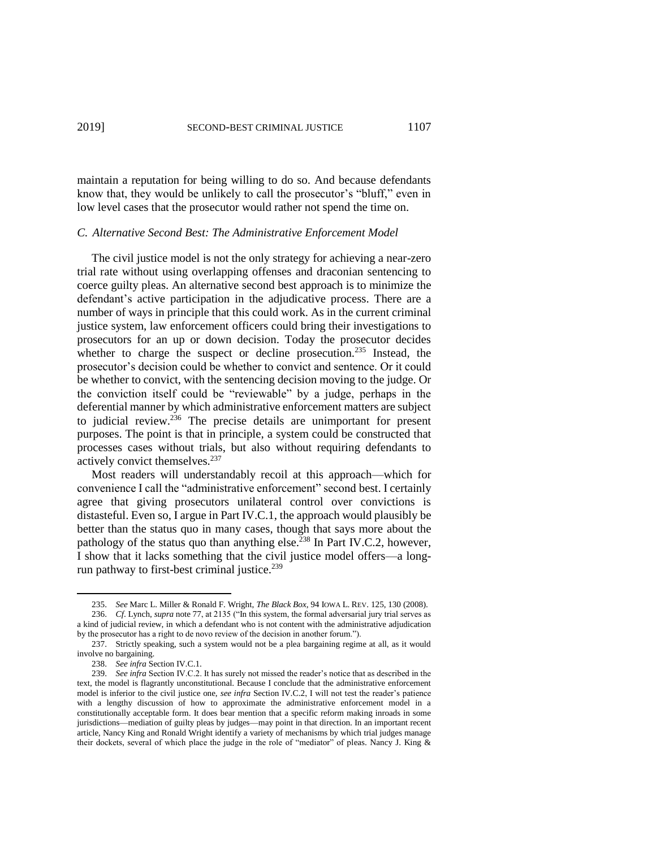maintain a reputation for being willing to do so. And because defendants know that, they would be unlikely to call the prosecutor's "bluff," even in low level cases that the prosecutor would rather not spend the time on.

#### *C. Alternative Second Best: The Administrative Enforcement Model*

The civil justice model is not the only strategy for achieving a near-zero trial rate without using overlapping offenses and draconian sentencing to coerce guilty pleas. An alternative second best approach is to minimize the defendant's active participation in the adjudicative process. There are a number of ways in principle that this could work. As in the current criminal justice system, law enforcement officers could bring their investigations to prosecutors for an up or down decision. Today the prosecutor decides whether to charge the suspect or decline prosecution.<sup>235</sup> Instead, the prosecutor's decision could be whether to convict and sentence. Or it could be whether to convict, with the sentencing decision moving to the judge. Or the conviction itself could be "reviewable" by a judge, perhaps in the deferential manner by which administrative enforcement matters are subject to judicial review.<sup>236</sup> The precise details are unimportant for present purposes. The point is that in principle, a system could be constructed that processes cases without trials, but also without requiring defendants to actively convict themselves.<sup>237</sup>

Most readers will understandably recoil at this approach—which for convenience I call the "administrative enforcement" second best. I certainly agree that giving prosecutors unilateral control over convictions is distasteful. Even so, I argue in Part IV.C.1, the approach would plausibly be better than the status quo in many cases, though that says more about the pathology of the status quo than anything else.<sup>238</sup> In Part IV.C.2, however, I show that it lacks something that the civil justice model offers—a longrun pathway to first-best criminal justice.<sup>239</sup>

 $\overline{a}$ 

<sup>235.</sup> *See* Marc L. Miller & Ronald F. Wright, *The Black Box*, 94 IOWA L. REV. 125, 130 (2008).

<sup>236.</sup> *Cf*. Lynch, *supra* note 77, at 2135 ("In this system, the formal adversarial jury trial serves as a kind of judicial review, in which a defendant who is not content with the administrative adjudication by the prosecutor has a right to de novo review of the decision in another forum.").

<sup>237.</sup> Strictly speaking, such a system would not be a plea bargaining regime at all, as it would involve no bargaining.

<sup>238.</sup> *See infra* Section IV.C.1.

<sup>239.</sup> *See infra* Section IV.C.2. It has surely not missed the reader's notice that as described in the text, the model is flagrantly unconstitutional. Because I conclude that the administrative enforcement model is inferior to the civil justice one, *see infra* Section IV.C.2, I will not test the reader's patience with a lengthy discussion of how to approximate the administrative enforcement model in a constitutionally acceptable form. It does bear mention that a specific reform making inroads in some jurisdictions—mediation of guilty pleas by judges—may point in that direction. In an important recent article, Nancy King and Ronald Wright identify a variety of mechanisms by which trial judges manage their dockets, several of which place the judge in the role of "mediator" of pleas. Nancy J. King &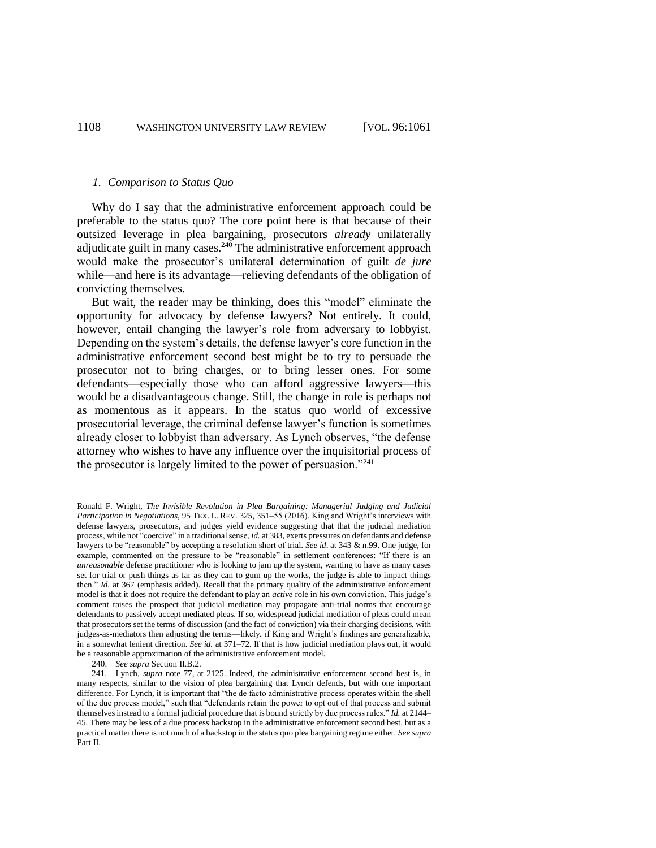#### *1. Comparison to Status Quo*

Why do I say that the administrative enforcement approach could be preferable to the status quo? The core point here is that because of their outsized leverage in plea bargaining, prosecutors *already* unilaterally adjudicate guilt in many cases. $240$  The administrative enforcement approach would make the prosecutor's unilateral determination of guilt *de jure* while—and here is its advantage—relieving defendants of the obligation of convicting themselves.

But wait, the reader may be thinking, does this "model" eliminate the opportunity for advocacy by defense lawyers? Not entirely. It could, however, entail changing the lawyer's role from adversary to lobbyist. Depending on the system's details, the defense lawyer's core function in the administrative enforcement second best might be to try to persuade the prosecutor not to bring charges, or to bring lesser ones. For some defendants—especially those who can afford aggressive lawyers—this would be a disadvantageous change. Still, the change in role is perhaps not as momentous as it appears. In the status quo world of excessive prosecutorial leverage, the criminal defense lawyer's function is sometimes already closer to lobbyist than adversary. As Lynch observes, "the defense attorney who wishes to have any influence over the inquisitorial process of the prosecutor is largely limited to the power of persuasion."<sup>241</sup>

Ronald F. Wright, *The Invisible Revolution in Plea Bargaining: Managerial Judging and Judicial Participation in Negotiations*, 95 TEX. L. REV. 325, 351–55 (2016). King and Wright's interviews with defense lawyers, prosecutors, and judges yield evidence suggesting that that the judicial mediation process, while not "coercive" in a traditional sense, *id.* at 383, exerts pressures on defendants and defense lawyers to be "reasonable" by accepting a resolution short of trial. *See id*. at 343 & n.99. One judge, for example, commented on the pressure to be "reasonable" in settlement conferences: "If there is an *unreasonable* defense practitioner who is looking to jam up the system, wanting to have as many cases set for trial or push things as far as they can to gum up the works, the judge is able to impact things then." *Id.* at 367 (emphasis added). Recall that the primary quality of the administrative enforcement model is that it does not require the defendant to play an *active* role in his own conviction. This judge's comment raises the prospect that judicial mediation may propagate anti-trial norms that encourage defendants to passively accept mediated pleas. If so, widespread judicial mediation of pleas could mean that prosecutors set the terms of discussion (and the fact of conviction) via their charging decisions, with judges-as-mediators then adjusting the terms—likely, if King and Wright's findings are generalizable, in a somewhat lenient direction. *See id.* at 371–72. If that is how judicial mediation plays out, it would be a reasonable approximation of the administrative enforcement model.

<sup>240.</sup> *See supra* Section II.B.2.

<sup>241.</sup> Lynch, *supra* note 77, at 2125. Indeed, the administrative enforcement second best is, in many respects, similar to the vision of plea bargaining that Lynch defends, but with one important difference. For Lynch, it is important that "the de facto administrative process operates within the shell of the due process model," such that "defendants retain the power to opt out of that process and submit themselves instead to a formal judicial procedure that is bound strictly by due process rules." *Id.* at 2144– 45. There may be less of a due process backstop in the administrative enforcement second best, but as a practical matter there is not much of a backstop in the status quo plea bargaining regime either. *See supra* Part II.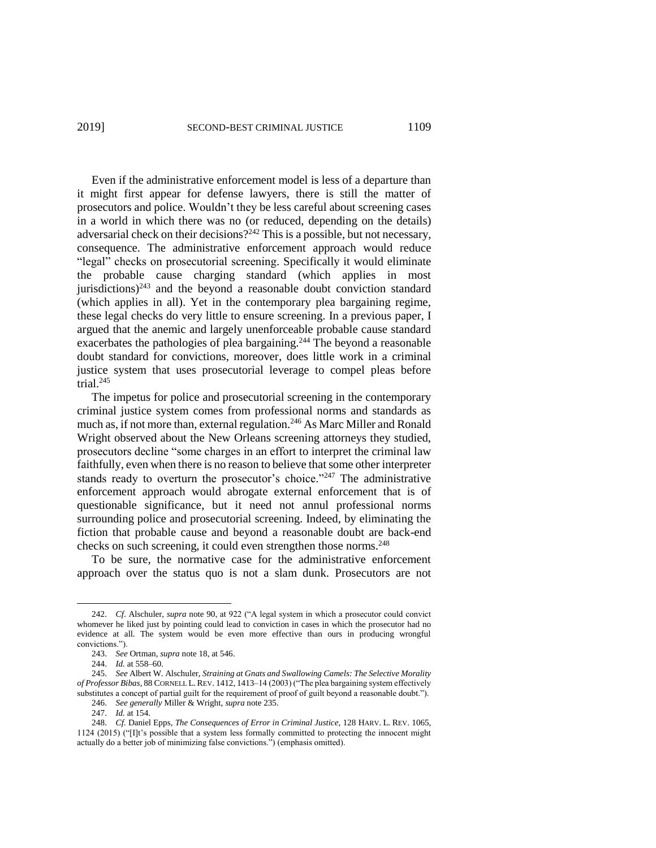Even if the administrative enforcement model is less of a departure than it might first appear for defense lawyers, there is still the matter of prosecutors and police. Wouldn't they be less careful about screening cases in a world in which there was no (or reduced, depending on the details) adversarial check on their decisions?<sup>242</sup> This is a possible, but not necessary, consequence. The administrative enforcement approach would reduce "legal" checks on prosecutorial screening. Specifically it would eliminate the probable cause charging standard (which applies in most jurisdictions) $243$  and the beyond a reasonable doubt conviction standard (which applies in all). Yet in the contemporary plea bargaining regime, these legal checks do very little to ensure screening. In a previous paper, I argued that the anemic and largely unenforceable probable cause standard exacerbates the pathologies of plea bargaining.<sup>244</sup> The beyond a reasonable doubt standard for convictions, moreover, does little work in a criminal justice system that uses prosecutorial leverage to compel pleas before trial. $245$ 

The impetus for police and prosecutorial screening in the contemporary criminal justice system comes from professional norms and standards as much as, if not more than, external regulation.<sup>246</sup> As Marc Miller and Ronald Wright observed about the New Orleans screening attorneys they studied, prosecutors decline "some charges in an effort to interpret the criminal law faithfully, even when there is no reason to believe that some other interpreter stands ready to overturn the prosecutor's choice."<sup>247</sup> The administrative enforcement approach would abrogate external enforcement that is of questionable significance, but it need not annul professional norms surrounding police and prosecutorial screening. Indeed, by eliminating the fiction that probable cause and beyond a reasonable doubt are back-end checks on such screening, it could even strengthen those norms.<sup>248</sup>

To be sure, the normative case for the administrative enforcement approach over the status quo is not a slam dunk. Prosecutors are not

<sup>242.</sup> *Cf*. Alschuler, *supra* note 90, at 922 ("A legal system in which a prosecutor could convict whomever he liked just by pointing could lead to conviction in cases in which the prosecutor had no evidence at all. The system would be even more effective than ours in producing wrongful convictions.").

<sup>243.</sup> *See* Ortman, *supra* note 18, at 546.

<sup>244.</sup> *Id.* at 558–60.

<sup>245.</sup> *See* Albert W. Alschuler, *Straining at Gnats and Swallowing Camels: The Selective Morality of Professor Bibas*, 88 CORNELL L. REV. 1412, 1413–14 (2003) ("The plea bargaining system effectively substitutes a concept of partial guilt for the requirement of proof of guilt beyond a reasonable doubt.").

<sup>246.</sup> *See generally* Miller & Wright, *supra* note 235.

<sup>247.</sup> *Id.* at 154.

<sup>248.</sup> *Cf.* Daniel Epps, *The Consequences of Error in Criminal Justice*, 128 HARV. L. REV. 1065, 1124 (2015) ("[I]t's possible that a system less formally committed to protecting the innocent might actually do a better job of minimizing false convictions.") (emphasis omitted).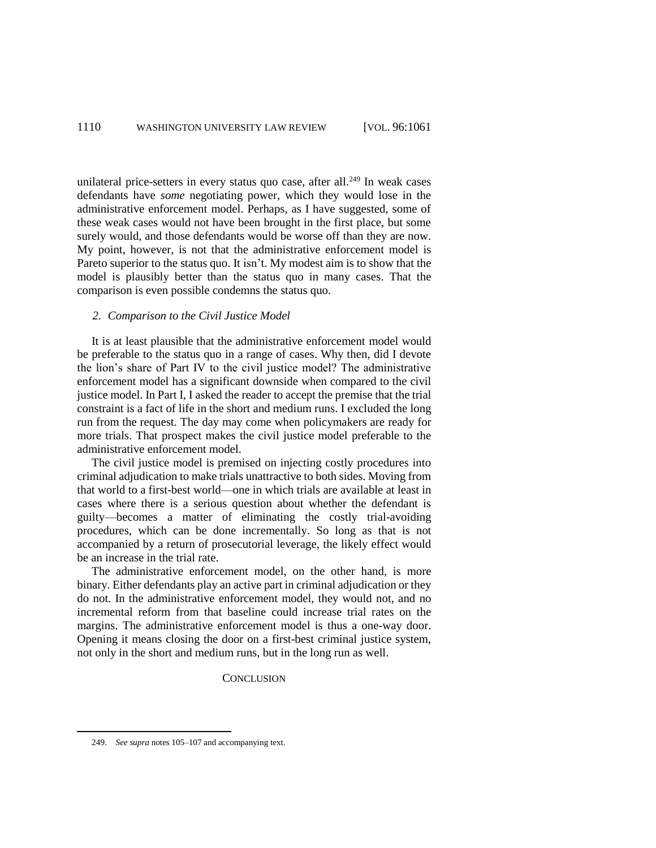unilateral price-setters in every status quo case, after all. $^{249}$  In weak cases defendants have *some* negotiating power, which they would lose in the administrative enforcement model. Perhaps, as I have suggested, some of these weak cases would not have been brought in the first place, but some surely would, and those defendants would be worse off than they are now. My point, however, is not that the administrative enforcement model is Pareto superior to the status quo. It isn't. My modest aim is to show that the model is plausibly better than the status quo in many cases. That the comparison is even possible condemns the status quo.

## *2. Comparison to the Civil Justice Model*

It is at least plausible that the administrative enforcement model would be preferable to the status quo in a range of cases. Why then, did I devote the lion's share of Part IV to the civil justice model? The administrative enforcement model has a significant downside when compared to the civil justice model. In Part I, I asked the reader to accept the premise that the trial constraint is a fact of life in the short and medium runs. I excluded the long run from the request. The day may come when policymakers are ready for more trials. That prospect makes the civil justice model preferable to the administrative enforcement model.

The civil justice model is premised on injecting costly procedures into criminal adjudication to make trials unattractive to both sides. Moving from that world to a first-best world—one in which trials are available at least in cases where there is a serious question about whether the defendant is guilty—becomes a matter of eliminating the costly trial-avoiding procedures, which can be done incrementally. So long as that is not accompanied by a return of prosecutorial leverage, the likely effect would be an increase in the trial rate.

The administrative enforcement model, on the other hand, is more binary. Either defendants play an active part in criminal adjudication or they do not. In the administrative enforcement model, they would not, and no incremental reform from that baseline could increase trial rates on the margins. The administrative enforcement model is thus a one-way door. Opening it means closing the door on a first-best criminal justice system, not only in the short and medium runs, but in the long run as well.

**CONCLUSION** 

<sup>249.</sup> *See supra* notes 105–107 and accompanying text.